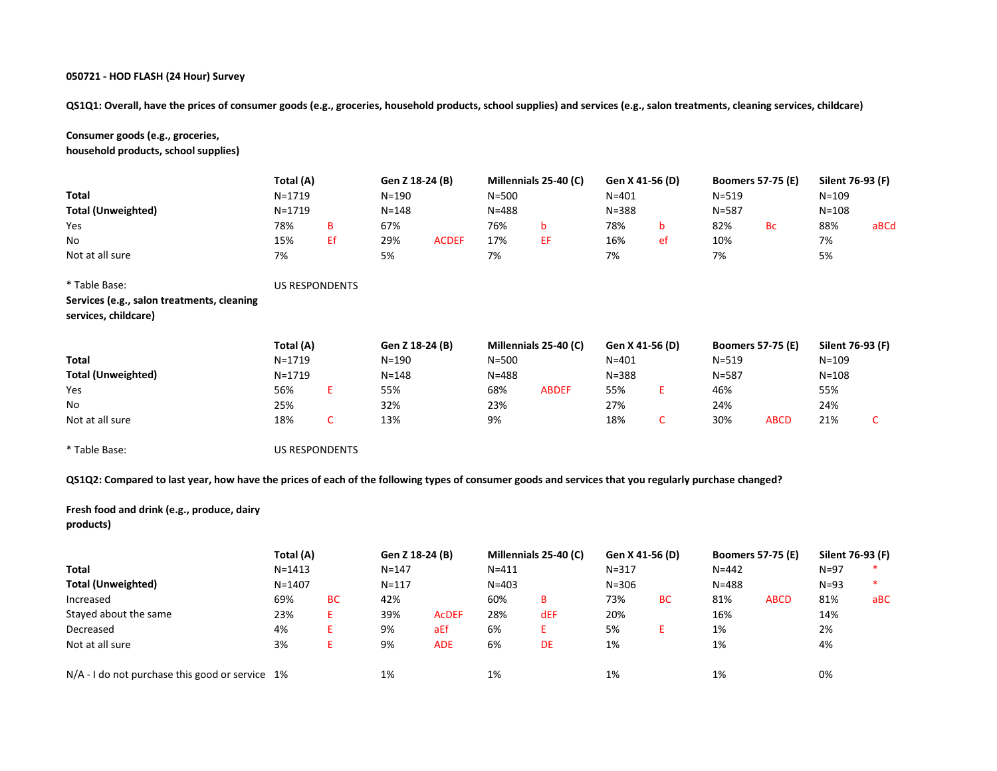QS1Q1: Overall, have the prices of consumer goods (e.g., groceries, household products, school supplies) and services (e.g., salon treatments, cleaning services, childcare)

Consumer goods (e.g., groceries, household products, school supplies)

|                                                                                                                                                      | Total (A)             |    | Gen Z 18-24 (B) |              |           | Millennials 25-40 (C) |           | Gen X 41-56 (D) |           | <b>Boomers 57-75 (E)</b> | Silent 76-93 (F) |      |
|------------------------------------------------------------------------------------------------------------------------------------------------------|-----------------------|----|-----------------|--------------|-----------|-----------------------|-----------|-----------------|-----------|--------------------------|------------------|------|
| <b>Total</b>                                                                                                                                         | $N = 1719$            |    | N=190           |              | $N = 500$ |                       | $N = 401$ |                 | $N = 519$ |                          | $N = 109$        |      |
| <b>Total (Unweighted)</b>                                                                                                                            | N=1719                |    | N=148           |              | $N = 488$ |                       | $N = 388$ |                 | $N = 587$ |                          | $N = 108$        |      |
| Yes                                                                                                                                                  | 78%                   | B  | 67%             |              | 76%       | b                     | 78%       | b               | 82%       | <b>Bc</b>                | 88%              | aBCd |
| No                                                                                                                                                   | 15%                   | Εf | 29%             | <b>ACDEF</b> | 17%       | EF                    | 16%       | ef              | 10%       |                          | 7%               |      |
| Not at all sure                                                                                                                                      | 7%                    |    | 5%              |              | 7%        |                       | 7%        |                 | 7%        |                          | 5%               |      |
| * Table Base:                                                                                                                                        | <b>US RESPONDENTS</b> |    |                 |              |           |                       |           |                 |           |                          |                  |      |
| Services (e.g., salon treatments, cleaning                                                                                                           |                       |    |                 |              |           |                       |           |                 |           |                          |                  |      |
| services, childcare)                                                                                                                                 |                       |    |                 |              |           |                       |           |                 |           |                          |                  |      |
|                                                                                                                                                      | Total (A)             |    | Gen Z 18-24 (B) |              |           | Millennials 25-40 (C) |           | Gen X 41-56 (D) |           | <b>Boomers 57-75 (E)</b> | Silent 76-93 (F) |      |
| <b>Total</b>                                                                                                                                         | N=1719                |    | N=190           |              | $N = 500$ |                       | $N = 401$ |                 | $N = 519$ |                          | $N = 109$        |      |
| <b>Total (Unweighted)</b>                                                                                                                            | $N = 1719$            |    | N=148           |              | $N = 488$ |                       | $N = 388$ |                 | $N = 587$ |                          | $N = 108$        |      |
| Yes                                                                                                                                                  | 56%                   | Ε. | 55%             |              | 68%       | <b>ABDEF</b>          | 55%       | E               | 46%       |                          | 55%              |      |
| No                                                                                                                                                   | 25%                   |    | 32%             |              | 23%       |                       | 27%       |                 | 24%       |                          | 24%              |      |
| Not at all sure                                                                                                                                      | 18%                   | C  | 13%             |              | 9%        |                       | 18%       | C               | 30%       | <b>ABCD</b>              | 21%              | C    |
| * Table Base:                                                                                                                                        | <b>US RESPONDENTS</b> |    |                 |              |           |                       |           |                 |           |                          |                  |      |
| QS1Q2: Compared to last year, how have the prices of each of the following types of consumer goods and services that you regularly purchase changed? |                       |    |                 |              |           |                       |           |                 |           |                          |                  |      |

# Fresh food and drink (e.g., produce, dairy products)

|                                                   | Total (A)  |           | Gen Z 18-24 (B) |              |           | Millennials 25-40 (C) | Gen X 41-56 (D) |    | <b>Boomers 57-75 (E)</b> |             | Silent 76-93 (F) |     |
|---------------------------------------------------|------------|-----------|-----------------|--------------|-----------|-----------------------|-----------------|----|--------------------------|-------------|------------------|-----|
| Total                                             | $N = 1413$ |           | $N = 147$       |              | $N = 411$ |                       | $N = 317$       |    | $N = 442$                |             | $N = 97$         |     |
| <b>Total (Unweighted)</b>                         | $N = 1407$ |           | $N = 117$       |              | $N = 403$ |                       | $N = 306$       |    | $N = 488$                |             | $N = 93$         |     |
| Increased                                         | 69%        | <b>BC</b> | 42%             |              | 60%       | B                     | 73%             | BC | 81%                      | <b>ABCD</b> | 81%              | aBC |
| Stayed about the same                             | 23%        | ь.        | 39%             | <b>ACDEF</b> | 28%       | dEF                   | 20%             |    | 16%                      |             | 14%              |     |
| Decreased                                         | 4%         |           | 9%              | aEf          | 6%        |                       | 5%              | E. | 1%                       |             | 2%               |     |
| Not at all sure                                   | 3%         |           | 9%              | <b>ADE</b>   | 6%        | <b>DE</b>             | 1%              |    | 1%                       |             | 4%               |     |
| $N/A - I$ do not purchase this good or service 1% |            |           | 1%              |              | 1%        |                       | 1%              |    | 1%                       |             | 0%               |     |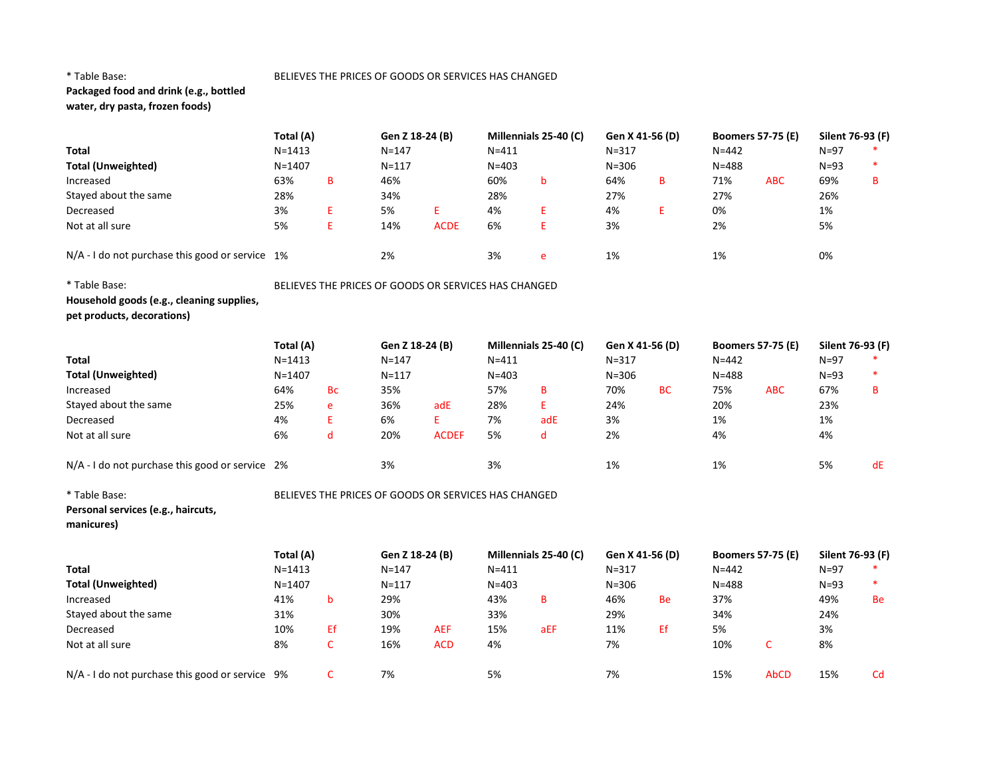# Packaged food and drink (e.g., bottled water, dry pasta, frozen foods)

| <b>Total</b>                                                            | Total (A)<br>$N = 1413$                              |                                                      | Gen Z 18-24 (B)<br>$N = 147$ |              | $N = 411$ | Millennials 25-40 (C) | Gen X 41-56 (D)<br>$N = 317$ |           | <b>Boomers 57-75 (E)</b><br>$N = 442$ |            | Silent 76-93 (F)<br>$N=97$ |    |
|-------------------------------------------------------------------------|------------------------------------------------------|------------------------------------------------------|------------------------------|--------------|-----------|-----------------------|------------------------------|-----------|---------------------------------------|------------|----------------------------|----|
| <b>Total (Unweighted)</b>                                               | $N = 1407$                                           |                                                      | $N = 117$                    |              | $N = 403$ |                       | $N = 306$                    |           | $N = 488$                             |            | $N=93$                     |    |
| Increased                                                               | 63%                                                  | в                                                    | 46%                          |              | 60%       | b                     | 64%                          | в         | 71%                                   | <b>ABC</b> | 69%                        | B  |
| Stayed about the same                                                   | 28%                                                  |                                                      | 34%                          |              | 28%       |                       | 27%                          |           | 27%                                   |            | 26%                        |    |
| Decreased                                                               | 3%                                                   | E                                                    | 5%                           | E.           | 4%        | E.                    | 4%                           | E.        | 0%                                    |            | 1%                         |    |
| Not at all sure                                                         | 5%                                                   | E                                                    | 14%                          | <b>ACDE</b>  | 6%        | E                     | 3%                           |           | 2%                                    |            | 5%                         |    |
| $N/A$ - I do not purchase this good or service 1%                       |                                                      |                                                      | 2%                           |              | 3%        | e                     | 1%                           |           | 1%                                    |            | 0%                         |    |
| * Table Base:                                                           |                                                      | BELIEVES THE PRICES OF GOODS OR SERVICES HAS CHANGED |                              |              |           |                       |                              |           |                                       |            |                            |    |
| Household goods (e.g., cleaning supplies,<br>pet products, decorations) |                                                      |                                                      |                              |              |           |                       |                              |           |                                       |            |                            |    |
|                                                                         | Total (A)                                            |                                                      | Gen Z 18-24 (B)              |              |           | Millennials 25-40 (C) | Gen X 41-56 (D)              |           | <b>Boomers 57-75 (E)</b>              |            | Silent 76-93 (F)           |    |
| <b>Total</b>                                                            | $N = 1413$                                           |                                                      | $N = 147$                    |              | $N = 411$ |                       | $N = 317$                    |           | $N = 442$                             |            | $N=97$                     |    |
| <b>Total (Unweighted)</b>                                               | $N = 1407$                                           |                                                      | $N = 117$                    |              | $N = 403$ |                       | $N = 306$                    |           | $N = 488$                             |            | $N=93$                     |    |
| Increased                                                               | 64%                                                  | <b>Bc</b>                                            | 35%                          |              | 57%       | В                     | 70%                          | <b>BC</b> | 75%                                   | <b>ABC</b> | 67%                        | B  |
| Stayed about the same                                                   | 25%                                                  | e                                                    | 36%                          | adE          | 28%       | E.                    | 24%                          |           | 20%                                   |            | 23%                        |    |
| Decreased                                                               | 4%                                                   | E                                                    | 6%                           | E.           | 7%        | adE                   | 3%                           |           | 1%                                    |            | 1%                         |    |
| Not at all sure                                                         | 6%                                                   | d                                                    | 20%                          | <b>ACDEF</b> | 5%        | d                     | 2%                           |           | 4%                                    |            | 4%                         |    |
| N/A - I do not purchase this good or service 2%                         |                                                      |                                                      | 3%                           |              | 3%        |                       | 1%                           |           | 1%                                    |            | 5%                         | dE |
| * Table Base:                                                           | BELIEVES THE PRICES OF GOODS OR SERVICES HAS CHANGED |                                                      |                              |              |           |                       |                              |           |                                       |            |                            |    |
| Personal services (e.g., haircuts,<br>manicures)                        |                                                      |                                                      |                              |              |           |                       |                              |           |                                       |            |                            |    |

|                                                 | Total (A)  |    | Gen Z 18-24 (B) |            |           | Millennials 25-40 (C) | Gen X 41-56 (D) |    | <b>Boomers 57-75 (E)</b> |             | Silent 76-93 (F) |    |
|-------------------------------------------------|------------|----|-----------------|------------|-----------|-----------------------|-----------------|----|--------------------------|-------------|------------------|----|
| <b>Total</b>                                    | $N = 1413$ |    | $N = 147$       |            | $N = 411$ |                       | $N = 317$       |    | $N = 442$                |             | $N = 97$         |    |
| <b>Total (Unweighted)</b>                       | $N = 1407$ |    | $N = 117$       |            | $N = 403$ |                       | $N = 306$       |    | $N = 488$                |             | $N = 93$         |    |
| Increased                                       | 41%        | b  | 29%             |            | 43%       | в                     | 46%             | Be | 37%                      |             | 49%              | Be |
| Stayed about the same                           | 31%        |    | 30%             |            | 33%       |                       | 29%             |    | 34%                      |             | 24%              |    |
| Decreased                                       | 10%        | Εf | 19%             | <b>AEF</b> | 15%       | aEF                   | 11%             | Εf | 5%                       |             | 3%               |    |
| Not at all sure                                 | 8%         | u  | 16%             | <b>ACD</b> | 4%        |                       | 7%              |    | 10%                      |             | 8%               |    |
| N/A - I do not purchase this good or service 9% |            |    | 7%              |            | 5%        |                       | 7%              |    | 15%                      | <b>AbCD</b> | 15%              | Cd |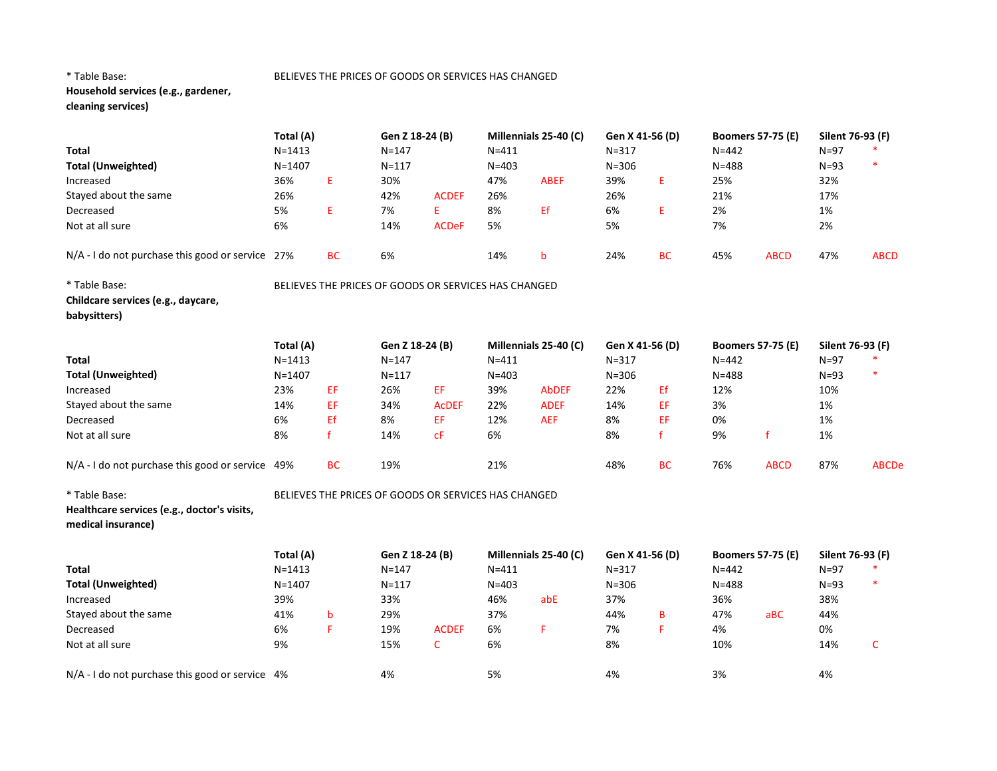# Household services (e.g., gardener, cleaning services)

|                                                                   | Total (A)  |              | Gen Z 18-24 (B)                                      |              |           | Millennials 25-40 (C) |           | Gen X 41-56 (D) |           | <b>Boomers 57-75 (E)</b> | Silent 76-93 (F) |              |
|-------------------------------------------------------------------|------------|--------------|------------------------------------------------------|--------------|-----------|-----------------------|-----------|-----------------|-----------|--------------------------|------------------|--------------|
| <b>Total</b>                                                      | $N = 1413$ |              | $N = 147$                                            |              | $N = 411$ |                       | $N = 317$ |                 | $N = 442$ |                          | $N=97$           |              |
| <b>Total (Unweighted)</b>                                         | $N = 1407$ |              | $N = 117$                                            |              | $N = 403$ |                       | $N = 306$ |                 | $N = 488$ |                          | $N=93$           | $\ast$       |
| Increased                                                         | 36%        | E            | 30%                                                  |              | 47%       | <b>ABEF</b>           | 39%       | E               | 25%       |                          | 32%              |              |
| Stayed about the same                                             | 26%        |              | 42%                                                  | <b>ACDEF</b> | 26%       |                       | 26%       |                 | 21%       |                          | 17%              |              |
| Decreased                                                         | 5%         | E            | 7%                                                   | E.           | 8%        | Ef                    | 6%        | E               | 2%        |                          | 1%               |              |
| Not at all sure                                                   | 6%         |              | 14%                                                  | <b>ACDeF</b> | 5%        |                       | 5%        |                 | 7%        |                          | 2%               |              |
| N/A - I do not purchase this good or service 27%                  |            | <b>BC</b>    | 6%                                                   |              | 14%       | b                     | 24%       | <b>BC</b>       | 45%       | <b>ABCD</b>              | 47%              | <b>ABCD</b>  |
| * Table Base:                                                     |            |              | BELIEVES THE PRICES OF GOODS OR SERVICES HAS CHANGED |              |           |                       |           |                 |           |                          |                  |              |
| Childcare services (e.g., daycare,<br>babysitters)                |            |              |                                                      |              |           |                       |           |                 |           |                          |                  |              |
|                                                                   | Total (A)  |              | Gen Z 18-24 (B)                                      |              |           | Millennials 25-40 (C) |           | Gen X 41-56 (D) |           | <b>Boomers 57-75 (E)</b> | Silent 76-93 (F) |              |
| Total                                                             | $N = 1413$ |              | $N = 147$                                            |              | $N = 411$ |                       | $N = 317$ |                 | $N = 442$ |                          | $N=97$           |              |
| <b>Total (Unweighted)</b>                                         | $N = 1407$ |              | $N = 117$                                            |              | $N = 403$ |                       | $N = 306$ |                 | $N = 488$ |                          | $N=93$           | $\ast$       |
| Increased                                                         | 23%        | EF           | 26%                                                  | EF           | 39%       | <b>AbDEF</b>          | 22%       | Ef              | 12%       |                          | 10%              |              |
| Stayed about the same                                             | 14%        | EF           | 34%                                                  | <b>ACDEF</b> | 22%       | <b>ADEF</b>           | 14%       | EF              | 3%        |                          | 1%               |              |
| Decreased                                                         | 6%         | Ef           | 8%                                                   | EF           | 12%       | <b>AEF</b>            | 8%        | EF              | 0%        |                          | 1%               |              |
| Not at all sure                                                   | 8%         | $\mathbf{f}$ | 14%                                                  | CF           | 6%        |                       | 8%        | f               | 9%        | $\mathsf{f}$             | 1%               |              |
| N/A - I do not purchase this good or service 49%                  |            | <b>BC</b>    | 19%                                                  |              | 21%       |                       | 48%       | <b>BC</b>       | 76%       | <b>ABCD</b>              | 87%              | <b>ABCDe</b> |
| * Table Base:                                                     |            |              | BELIEVES THE PRICES OF GOODS OR SERVICES HAS CHANGED |              |           |                       |           |                 |           |                          |                  |              |
| Healthcare services (e.g., doctor's visits,<br>medical insurance) |            |              |                                                      |              |           |                       |           |                 |           |                          |                  |              |
|                                                                   | Total (A)  |              | Gen Z 18-24 (B)                                      |              |           | Millennials 25-40 (C) |           | Gen X 41-56 (D) |           | <b>Boomers 57-75 (E)</b> | Silent 76-93 (F) |              |
| <b>Total</b>                                                      | $N = 1413$ |              | $N = 147$                                            |              | $N = 411$ |                       | $N = 317$ |                 | $N = 442$ |                          | $N=97$           |              |
| <b>Total (Unweighted)</b>                                         | $N = 1407$ |              | $N = 117$                                            |              | $N = 403$ |                       | $N = 306$ |                 | $N = 488$ |                          | $N=93$           | $\ast$       |
| Increased                                                         | 39%        |              | 33%                                                  |              | 46%       | abE                   | 37%       |                 | 36%       |                          | 38%              |              |
| Stayed about the same                                             | 41%        | b            | 29%                                                  |              | 37%       |                       | 44%       | B               | 47%       | aBC                      | 44%              |              |
| Decreased                                                         | 6%         | F            | 19%                                                  | <b>ACDEF</b> | 6%        | F                     | 7%        | F               | 4%        |                          | 0%               |              |
| Not at all sure                                                   | 9%         |              | 15%                                                  | $\mathsf{C}$ | 6%        |                       | 8%        |                 | 10%       |                          | 14%              | C            |
| N/A - I do not purchase this good or service 4%                   |            |              | 4%                                                   |              | 5%        |                       | 4%        |                 | 3%        |                          | 4%               |              |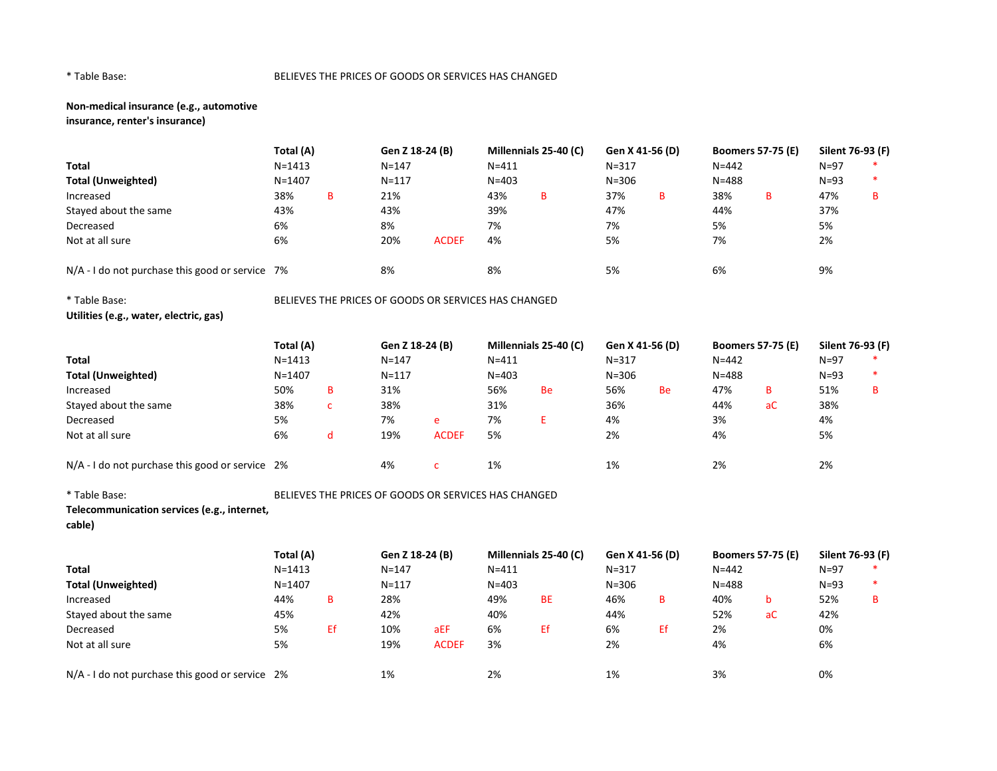# Non-medical insurance (e.g., automotive insurance, renter's insurance)

Total (A) Gen Z 18-24 (B) Millennials 25-40 (C) Gen X 41-56 (D) Boomers 57-75 (E) Silent 76-93 (F) Total N=1413 N=147 N=411 N=317 N=442 N=97 \* Total (Unweighted) N=1407 N=117 N=403 N=306 N=488 N=93 \* Increased 38% B 21% 43% B 37% B 38% B 47% B Stayed about the same 43% 43% 39% 47% 44% 37% Decreased 6% 8% 7% 7% 5% 5% Not at all sure 6% 20% ACDEF 4% 5% 7% 2% N/A - I do not purchase this good or service 7% 8% 8% 8% 8% 8% 5% 5% 6% 6% 9% 9%

\* Table Base: BELIEVES THE PRICES OF GOODS OR SERVICES HAS CHANGED Utilities (e.g., water, electric, gas)

|                                                   | Total (A)  |              | Gen Z 18-24 (B) |              |           | Millennials 25-40 (C) |           | Gen X 41-56 (D) |           | <b>Boomers 57-75 (E)</b> | Silent 76-93 (F) |   |
|---------------------------------------------------|------------|--------------|-----------------|--------------|-----------|-----------------------|-----------|-----------------|-----------|--------------------------|------------------|---|
| <b>Total</b>                                      | $N = 1413$ |              | $N = 147$       |              | $N = 411$ |                       | $N = 317$ |                 | $N = 442$ |                          | $N=97$           |   |
| <b>Total (Unweighted)</b>                         | $N = 1407$ |              | $N = 117$       |              | $N = 403$ |                       | $N = 306$ |                 | $N = 488$ |                          | $N=93$           |   |
| Increased                                         | 50%        | в            | 31%             |              | 56%       | <b>Be</b>             | 56%       | Be              | 47%       | B                        | 51%              | в |
| Stayed about the same                             | 38%        | $\sim$<br>c. | 38%             |              | 31%       |                       | 36%       |                 | 44%       | aC                       | 38%              |   |
| Decreased                                         | 5%         |              | 7%              | e            | 7%        |                       | 4%        |                 | 3%        |                          | 4%               |   |
| Not at all sure                                   | 6%         | d            | 19%             | <b>ACDEF</b> | 5%        |                       | 2%        |                 | 4%        |                          | 5%               |   |
| $N/A$ - I do not purchase this good or service 2% |            |              | 4%              |              | 1%        |                       | 1%        |                 | 2%        |                          | 2%               |   |

\* Table Base: BELIEVES THE PRICES OF GOODS OR SERVICES HAS CHANGED

Telecommunication services (e.g., internet,

cable)

|                                                   | Total (A)  |    | Gen Z 18-24 (B) |              |           | Millennials 25-40 (C) |           | Gen X 41-56 (D) |           | <b>Boomers 57-75 (E)</b> | Silent 76-93 (F) |   |
|---------------------------------------------------|------------|----|-----------------|--------------|-----------|-----------------------|-----------|-----------------|-----------|--------------------------|------------------|---|
| Total                                             | $N = 1413$ |    | $N = 147$       |              | $N = 411$ |                       | $N = 317$ |                 | $N = 442$ |                          | $N = 97$         |   |
| <b>Total (Unweighted)</b>                         | $N = 1407$ |    | $N = 117$       |              | $N = 403$ |                       | $N = 306$ |                 | $N = 488$ |                          | $N = 93$         |   |
| Increased                                         | 44%        | в  | 28%             |              | 49%       | <b>BE</b>             | 46%       | в               | 40%       |                          | 52%              | в |
| Stayed about the same                             | 45%        |    | 42%             |              | 40%       |                       | 44%       |                 | 52%       | aC                       | 42%              |   |
| Decreased                                         | 5%         | Εf | 10%             | aEF          | 6%        | Ef                    | 6%        | Ef              | 2%        |                          | 0%               |   |
| Not at all sure                                   | 5%         |    | 19%             | <b>ACDEF</b> | 3%        |                       | 2%        |                 | 4%        |                          | 6%               |   |
| $N/A - I$ do not purchase this good or service 2% |            |    | 1%              |              | 2%        |                       | 1%        |                 | 3%        |                          | 0%               |   |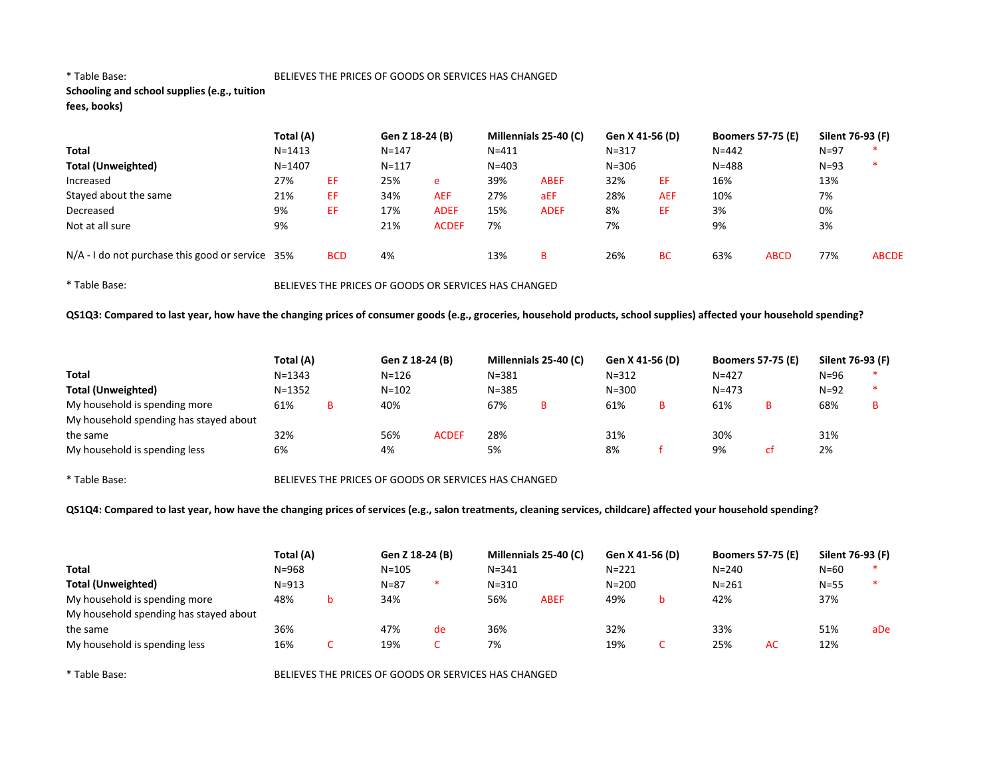# Schooling and school supplies (e.g., tuition fees, books)

|                                                    | Total (A)  |            | Gen Z 18-24 (B) |              | Millennials 25-40 (C) |             | Gen X 41-56 (D) |            | <b>Boomers 57-75 (E)</b> |             | Silent 76-93 (F) |              |
|----------------------------------------------------|------------|------------|-----------------|--------------|-----------------------|-------------|-----------------|------------|--------------------------|-------------|------------------|--------------|
| <b>Total</b>                                       | $N = 1413$ |            | $N = 147$       |              | $N = 411$             |             | $N = 317$       |            | $N = 442$                |             | $N = 97$         |              |
| <b>Total (Unweighted)</b>                          | $N = 1407$ |            | $N = 117$       |              | $N = 403$             |             | $N = 306$       |            | $N = 488$                |             | $N=93$           | ∗            |
| Increased                                          | 27%        | ΕF         | 25%             | e            | 39%                   | <b>ABEF</b> | 32%             | EF         | 16%                      |             | 13%              |              |
| Stayed about the same                              | 21%        | EF         | 34%             | <b>AEF</b>   | 27%                   | aEF         | 28%             | <b>AEF</b> | 10%                      |             | 7%               |              |
| Decreased                                          | 9%         | EF         | 17%             | <b>ADEF</b>  | 15%                   | <b>ADEF</b> | 8%              | ΕF         | 3%                       |             | 0%               |              |
| Not at all sure                                    | 9%         |            | 21%             | <b>ACDEF</b> | 7%                    |             | 7%              |            | 9%                       |             | 3%               |              |
| $N/A$ - I do not purchase this good or service 35% |            | <b>BCD</b> | 4%              |              | 13%                   | B           | 26%             | <b>BC</b>  | 63%                      | <b>ABCD</b> | 77%              | <b>ABCDE</b> |

\* Table Base: BELIEVES THE PRICES OF GOODS OR SERVICES HAS CHANGED

QS1Q3: Compared to last year, how have the changing prices of consumer goods (e.g., groceries, household products, school supplies) affected your household spending?

|                                        | Total (A)  |   | Gen Z 18-24 (B) |              |           | Millennials 25-40 (C) | Gen X 41-56 (D) |           | <b>Boomers 57-75 (E)</b> | Silent 76-93 (F) |  |
|----------------------------------------|------------|---|-----------------|--------------|-----------|-----------------------|-----------------|-----------|--------------------------|------------------|--|
| Total                                  | $N = 1343$ |   | $N = 126$       |              | $N = 381$ |                       | $N = 312$       | $N = 427$ |                          | N=96             |  |
| <b>Total (Unweighted)</b>              | $N = 1352$ |   | $N = 102$       |              | $N = 385$ |                       | $N = 300$       | $N = 473$ |                          | $N=92$           |  |
| My household is spending more          | 61%        | в | 40%             |              | 67%       | в                     | 61%             | 61%       | B                        | 68%              |  |
| My household spending has stayed about |            |   |                 |              |           |                       |                 |           |                          |                  |  |
| the same                               | 32%        |   | 56%             | <b>ACDEF</b> | 28%       |                       | 31%             | 30%       |                          | 31%              |  |
| My household is spending less          | 6%         |   | 4%              |              | 5%        |                       | 8%              | 9%        | r+                       | 2%               |  |

\* Table Base: BELIEVES THE PRICES OF GOODS OR SERVICES HAS CHANGED

QS1Q4: Compared to last year, how have the changing prices of services (e.g., salon treatments, cleaning services, childcare) affected your household spending?

|                                        | Total (A) | Gen Z 18-24 (B) |    |           | Millennials 25-40 (C) | Gen X 41-56 (D) |   | <b>Boomers 57-75 (E)</b> |    | Silent 76-93 (F) |     |
|----------------------------------------|-----------|-----------------|----|-----------|-----------------------|-----------------|---|--------------------------|----|------------------|-----|
| <b>Total</b>                           | $N = 968$ | $N = 105$       |    | $N = 341$ |                       | $N = 221$       |   | $N = 240$                |    | $N = 60$         |     |
| <b>Total (Unweighted)</b>              | $N = 913$ | $N = 87$        |    | $N = 310$ |                       | $N = 200$       |   | $N = 261$                |    | $N = 55$         |     |
| My household is spending more          | 48%       | 34%             |    | 56%       | <b>ABEF</b>           | 49%             | b | 42%                      |    | 37%              |     |
| My household spending has stayed about |           |                 |    |           |                       |                 |   |                          |    |                  |     |
| the same                               | 36%       | 47%             | de | 36%       |                       | 32%             |   | 33%                      |    | 51%              | aDe |
| My household is spending less          | 16%       | 19%             |    | 7%        |                       | 19%             | ◡ | 25%                      | AC | 12%              |     |

\* Table Base: BELIEVES THE PRICES OF GOODS OR SERVICES HAS CHANGED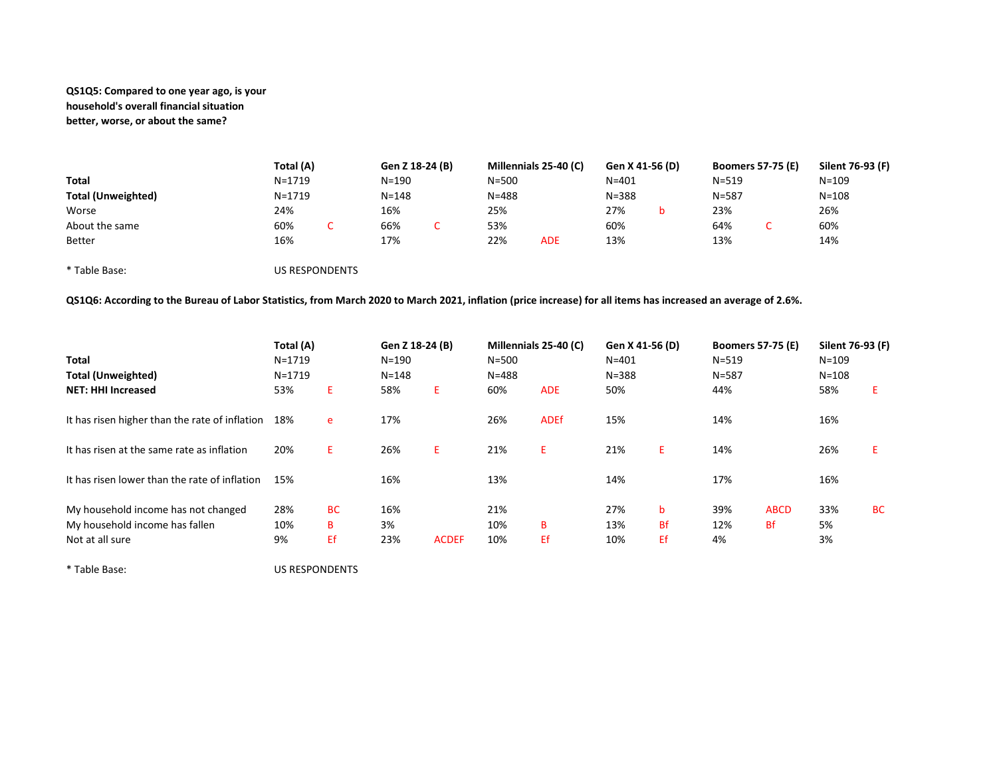# QS1Q5: Compared to one year ago, is your household's overall financial situation better, worse, or about the same?

|                           | Total (A) |                       | Gen Z 18-24 (B) |           | Millennials 25-40 (C) | Gen X 41-56 (D) |   |           | <b>Boomers 57-75 (E)</b> | Silent 76-93 (F) |
|---------------------------|-----------|-----------------------|-----------------|-----------|-----------------------|-----------------|---|-----------|--------------------------|------------------|
| Total                     | N=1719    |                       | N=190           | $N = 500$ |                       | $N = 401$       |   | $N = 519$ |                          | $N = 109$        |
| <b>Total (Unweighted)</b> | N=1719    |                       | $N = 148$       | $N = 488$ |                       | $N = 388$       |   | $N = 587$ |                          | $N = 108$        |
| Worse                     | 24%       |                       | 16%             | 25%       |                       | 27%             | b | 23%       |                          | 26%              |
| About the same            | 60%       |                       | 66%             | 53%       |                       | 60%             |   | 64%       |                          | 60%              |
| <b>Better</b>             | 16%       |                       | 17%             | 22%       | <b>ADE</b>            | 13%             |   | 13%       |                          | 14%              |
| * Table Base:             |           | <b>US RESPONDENTS</b> |                 |           |                       |                 |   |           |                          |                  |

QS1Q6: According to the Bureau of Labor Statistics, from March 2020 to March 2021, inflation (price increase) for all items has increased an average of 2.6%.

| <b>Total</b><br><b>Total (Unweighted)</b><br><b>NET: HHI Increased</b>                   | Total (A)<br>$N = 1719$<br>$N = 1719$<br>53% | E.                   | Gen Z 18-24 (B)<br>$N = 190$<br>$N = 148$<br>58% | E.           | Millennials 25-40 (C)<br>$N = 500$<br>$N = 488$<br>60% | <b>ADE</b>  | Gen X 41-56 (D)<br>$N = 401$<br>$N = 388$<br>50% |                      | <b>Boomers 57-75 (E)</b><br>$N = 519$<br>$N = 587$<br>44% |                   | Silent 76-93 (F)<br>$N = 109$<br>$N = 108$<br>58% | Ε         |
|------------------------------------------------------------------------------------------|----------------------------------------------|----------------------|--------------------------------------------------|--------------|--------------------------------------------------------|-------------|--------------------------------------------------|----------------------|-----------------------------------------------------------|-------------------|---------------------------------------------------|-----------|
| It has risen higher than the rate of inflation                                           | 18%                                          | e                    | 17%                                              |              | 26%                                                    | <b>ADEf</b> | 15%                                              |                      | 14%                                                       |                   | 16%                                               |           |
| It has risen at the same rate as inflation                                               | 20%                                          | Ε.                   | 26%                                              | E.           | 21%                                                    | E.          | 21%                                              | Ε.                   | 14%                                                       |                   | 26%                                               |           |
| It has risen lower than the rate of inflation                                            | 15%                                          |                      | 16%                                              |              | 13%                                                    |             | 14%                                              |                      | 17%                                                       |                   | 16%                                               |           |
| My household income has not changed<br>My household income has fallen<br>Not at all sure | 28%<br>10%<br>9%                             | <b>BC</b><br>в<br>Ef | 16%<br>3%<br>23%                                 | <b>ACDEF</b> | 21%<br>10%<br>10%                                      | B<br>Ef     | 27%<br>13%<br>10%                                | b<br><b>Bf</b><br>Εf | 39%<br>12%<br>4%                                          | <b>ABCD</b><br>Bf | 33%<br>5%<br>3%                                   | <b>BC</b> |

\* Table Base: US RESPONDENTS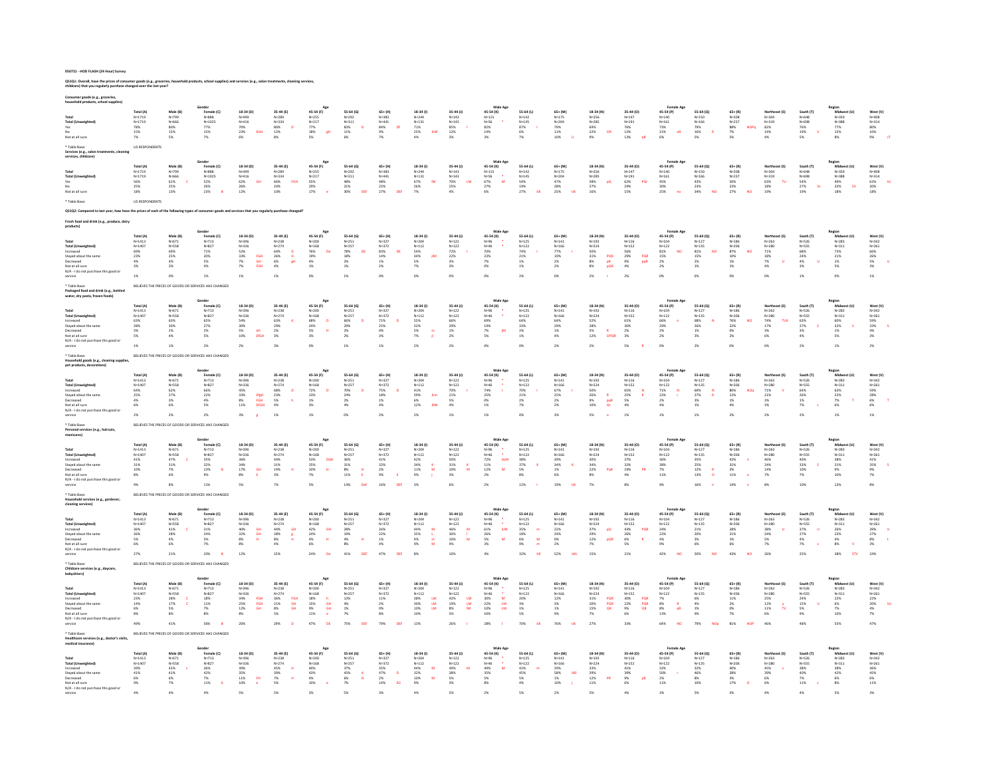QS1Q1: Overall, have the prices of consumer goods (e.g., groceries, household products, school supplies) and services (e.g., salon treatments, cleaning services,<br>childcare) that you regularly purchase changed over the last

| er goods (e.g., grocerie:                                                           |                                   |                                                      | Gender                                                                                                             |                                                              |                                                                             |                                                            |                                                                           |                                            |                                                                |                                                                                         | Male Ag                                                             |                                           |                                               |                                                                               |                                                      |                                                                 |                                               |                                                          |                                                               |                                                  |                                           |                                                 |
|-------------------------------------------------------------------------------------|-----------------------------------|------------------------------------------------------|--------------------------------------------------------------------------------------------------------------------|--------------------------------------------------------------|-----------------------------------------------------------------------------|------------------------------------------------------------|---------------------------------------------------------------------------|--------------------------------------------|----------------------------------------------------------------|-----------------------------------------------------------------------------------------|---------------------------------------------------------------------|-------------------------------------------|-----------------------------------------------|-------------------------------------------------------------------------------|------------------------------------------------------|-----------------------------------------------------------------|-----------------------------------------------|----------------------------------------------------------|---------------------------------------------------------------|--------------------------------------------------|-------------------------------------------|-------------------------------------------------|
|                                                                                     | Total (A)<br>$N = 1719$           | Male (B)<br>N=799                                    | Female (C)<br>$N = 888$                                                                                            | $18-34(D)$<br>N=499                                          | 35-44 (E)                                                                   | 45-54 (F)<br>$N = 255$                                     | 55-64 (G)<br>$N = 292$                                                    | 65+ (H)<br>N=383                           | $18-34(1)$                                                     | 35-44 (J)                                                                               | 45-54 (K)<br>$N = 115$                                              | 55-64 (L)<br>N=142<br>N=145<br>87%        | 65+ (M)<br>N=175                              | 18-34 (N)<br>N=256                                                            | 35-44 (O)<br>$N = 147$                               | 45-54 (P)                                                       | $55 - 64 (Q)$<br>$N = 150$                    | 65+ (R)<br>N=208<br>N=237<br>88%                         |                                                               | South (T)<br>N=648<br>N=698<br>76%<br>19%<br>19% | N=359                                     | West (V)<br>N=408<br>N=314<br>80%<br>10%<br>10% |
| Total (L)<br>Yes                                                                    | $N = 1719$<br>78%                 | $N=666$<br>80%                                       | $N = 1025$                                                                                                         | $N = 416$<br>70%                                             | $N=289$<br>$N=334$<br>$80%$<br>$12%$<br>$\bullet$                           | $N=217$<br>77%<br>18%<br>5%                                | $N=311$<br>83%<br>$\mathbf{D}$                                            | $N = 441$<br>84%<br><b>Df</b>              | $N=244$<br>$N=131$<br>$71\%$<br>$25\%$<br>$4\%$                | N=143<br>N=143<br>85%                                                                   | $N = 56$<br>82%                                                     |                                           | $N=204$<br>$N=204$<br>$79%$<br>$11%$<br>$10%$ | $N = 285$<br>69%                                                              | N=14,<br>N=191<br>76%<br>12%<br>13%                  | $N=140$<br>$N=161$<br>73%<br>21%<br>6%                          | N=166<br>79%<br>16%                           | <b>NOPQ</b>                                              | North<br>N=304<br>N=319<br>82%                                |                                                  | N=388<br>77%                              |                                                 |
| Not at all sure                                                                     | $15\%$<br>7%                      | 15%<br>5%                                            | 77%<br>15%                                                                                                         | 23%<br>EGH                                                   |                                                                             | еH                                                         | $\begin{array}{l} 11\% \\ 6\% \end{array}$                                | 9%<br>7%                                   | JLM                                                            | $12\%$                                                                                  | $14\%$<br>3%                                                        | 6%<br>7%                                  |                                               | 22%<br>9%<br>OR                                                               |                                                      | oR                                                              |                                               | $\frac{7\%}{5\%}$                                        | $14\%$                                                        |                                                  | $15\%$                                    |                                                 |
| Table Base<br>Services (e.g., salon treatments, cleaning<br>ervices, childcare)     | US RESPONDENTS                    |                                                      |                                                                                                                    |                                                              |                                                                             |                                                            |                                                                           |                                            |                                                                |                                                                                         |                                                                     |                                           |                                               |                                                                               |                                                      |                                                                 |                                               |                                                          |                                                               |                                                  |                                           |                                                 |
|                                                                                     | Total (A)                         | Male (B)                                             | Gender<br>Female (C)                                                                                               | $18-34(D)$                                                   | 35-44 (E)                                                                   | 45-54 (F)                                                  | 55-64 (G)                                                                 | 65+ (H)                                    | $18-34(1)$                                                     | 35-44 (J)                                                                               | Male Ag<br>45-54 (K)                                                | $55-64$ (L)                               | 65+ (M)                                       | 18-34 (N)                                                                     | 35-44 (O)                                            | 45-54 (P)                                                       | $55 - 64 (Q)$                                 | $65 + (R)$                                               | Northeast (S)                                                 | South (T)                                        | Region<br>Midwest (U)                     | West (V)                                        |
| Total (Un                                                                           | $N = 1719$<br>N=1719              | $N=799$<br>$N=666$<br>$61%$<br>$25%$                 | $N = 888$<br>$N = 1025$                                                                                            | $N = 499$<br>$N = 416$                                       | $N=289$<br>$N=334$<br>$66%$<br>$24%$                                        | N=255<br>N=217<br>S5%<br>29%<br>17%                        | $N=292$<br>$N=311$                                                        | $N = 383$<br>$N = 441$                     | $N=244$<br>$N=131$<br>$67%$<br>$26%$                           | N=143<br>N=143<br>70%<br>25%                                                            | $N=115$<br>$N=56$<br>$67%$<br>$27%$                                 | N=142<br>N=145<br>54%<br>19%<br>27%       | $N=175$<br>$N=204$<br>$47%$<br>$28%$<br>$25%$ | $N=256$<br>$N=285$                                                            | $N=147$<br>$N=191$<br>$62%$<br>$24%$                 | $N=140$<br>$N=161$<br>$45%$<br>$30%$<br>$25%$                   | $N=150$<br>$N=166$<br>$43%$<br>$23%$<br>$34%$ | $N = 208$<br>$N = 237$                                   | $N=304$<br>$N=319$<br>$63%$<br>$18%$                          | N=648<br>N=698<br>54%<br>27%<br>19%              | N=359<br>N=388                            | $N = 408$<br>$N = 314$                          |
| Yes<br>Mo                                                                           | 56%<br>25%                        |                                                      | 52%<br>26%                                                                                                         | $\begin{array}{l} 62\% \\ 26\% \end{array}$<br><b>GH</b>     | FGH                                                                         |                                                            | $\substack{48\% \\ 21\%}$                                                 | 48%<br>25%                                 | IM                                                             | LM                                                                                      | $\overline{\mathbf{M}}$                                             |                                           |                                               | 58%<br>27%<br>pQ                                                              | PQr                                                  |                                                                 |                                               | 50%<br>23%                                               | TU.                                                           |                                                  | 49%<br>33%                                | <b>tu</b>                                       |
| Not at all sure                                                                     | 18%                               | 13%                                                  | 23%                                                                                                                | 12%                                                          | 10%                                                                         |                                                            | 30%<br>DEE                                                                | 27%<br>DEE                                 | 7%                                                             | 4%                                                                                      | 6%                                                                  | $\overline{10}$                           | TIK                                           | 16%                                                                           | 15%                                                  |                                                                 | <b>NO</b>                                     | 27%<br><b>NO</b>                                         | 19%                                                           | sv                                               | S<br>18%                                  | 62%<br>20%<br>18%                               |
| * Table Base:                                                                       | <b>US RESPONDENTS</b>             |                                                      |                                                                                                                    |                                                              |                                                                             |                                                            |                                                                           |                                            |                                                                |                                                                                         |                                                                     |                                           |                                               |                                                                               |                                                      |                                                                 |                                               |                                                          |                                                               |                                                  |                                           |                                                 |
|                                                                                     |                                   |                                                      | have the prices of each of the following types of consumer goods and services that you regularly purchase changed? |                                                              |                                                                             |                                                            |                                                                           |                                            |                                                                |                                                                                         |                                                                     |                                           |                                               |                                                                               |                                                      |                                                                 |                                               |                                                          |                                                               |                                                  |                                           |                                                 |
|                                                                                     |                                   |                                                      |                                                                                                                    |                                                              |                                                                             |                                                            |                                                                           |                                            |                                                                |                                                                                         |                                                                     |                                           |                                               |                                                                               |                                                      |                                                                 |                                               |                                                          |                                                               |                                                  |                                           |                                                 |
|                                                                                     | $N = 1413$                        | Male (B)<br>N=671                                    | Gender<br>Female (C)<br>$N=713$                                                                                    | 18-34 (D)                                                    | 35-44 (E)<br>N=238                                                          | 45-54 (F)<br>N=200                                         | 55-64 (G)                                                                 | 65+ (H)<br>N=327                           | 18-34 (I)                                                      | 35-44 (J)<br>N=122                                                                      | Male Ag<br>45-54 (K)                                                | 55-64 (L)<br>N=125                        | $65 + (M)$<br>N=141                           | 18-34 (N)<br>$N=192$                                                          | 35-44 (O)<br>N=116                                   | 45-54 (P)<br>N=104                                              | 55-64 (Q)<br>N=127                            | $65 + (R)$<br>N=186                                      | Northeast (S)<br>N=263                                        | South (T)<br>N=526                               | Midwe<br>N=283                            | West (V)<br>N=342                               |
| Total (Un                                                                           | $N = 1407$                        | N=558                                                | N=827<br>71%                                                                                                       | N=396<br>N=336                                               |                                                                             |                                                            | $N = 251$<br>$N=257$<br>78%                                               | $N=372$<br>83%                             | $N = 204$                                                      |                                                                                         | $N = 96$<br>$N=46$<br>70%                                           | $N=122$<br>74%                            | $N=166$<br>77%                                |                                                                               |                                                      |                                                                 |                                               | N=206<br>87%                                             |                                                               |                                                  | $N=311$<br>$73\%$                         |                                                 |
| Increased<br>Stayed about the sam                                                   | 69%<br>23%<br>4%                  | 69%<br>25%                                           | 20%<br>5%                                                                                                          | 52%<br>$\frac{33\%}{7\%}$<br>FGH<br>GH                       | $N=274$<br>64%<br>26%<br>8%<br>$\mathbf{D}$<br>$\frac{\text{H}}{\text{gH}}$ | <b>De</b>                                                  | <b>DE</b>                                                                 | $\begin{array}{l} 14\% \\ 1\% \end{array}$ | $N=2.12$<br>$N=112$<br>$54\%$<br>$34\%$<br>$5\%$<br><b>IN</b>  | $N=122$<br>$72\%$<br>$22\%$<br>$3\%$                                                    | $\frac{23\%}{7\%}$                                                  | $_{1\%}^{21\%}$                           | $^{19\%}_{2\%}$                               | PQR<br>pR                                                                     | PQR<br>pqR                                           | $N=1.07$<br>$N=1.22$<br>81%<br>15%<br>2%<br>NO                  | $N=135$<br>81%<br>15%<br>2%<br>NO             | NO<br>$^{10\%}_{1\%}$                                    | $N=200$<br>$N=280$<br>$71\%$<br>$18\%$<br>$7\%$               | $N = 555$<br>68%<br>24%<br>4%                    | $^{21\%}_{1\%}$                           | $N=261$<br>66%<br>26%<br>5%                     |
| Decreased<br>Not at all sure                                                        | 3%                                | 4%<br>3%                                             | 4%                                                                                                                 | 7%<br>EGH                                                    | 4%                                                                          | $N=168$<br>$76%$<br>$19%$<br>$4%$<br>$1%$                  | $\begin{array}{l} 18\% \\ 2\% \\ 1\% \end{array}$                         | $2\%$                                      | $7\%$                                                          | 3%                                                                                      | 0%                                                                  | $1\%$                                     | $2\%$                                         | $N=224$<br>$N=224$<br>$50\%$<br>$31\%$<br>$8\%$<br>pQR                        | $N=152$<br>$N=152$<br>$56%$<br>$29%$<br>$9%$<br>$4%$ | 2%                                                              | $1\%$                                         | $1\%$                                                    | 4%                                                            | $3\%$                                            | $5\%$                                     | 3%                                              |
| N/A - I do not purchase this good or<br>service                                     | 1%                                | 0%                                                   | 1%                                                                                                                 | 1%                                                           | 1%                                                                          | 0%                                                         | 1%                                                                        | 0%                                         | 0%                                                             | 0%                                                                                      | 0%                                                                  | 2%                                        | 0%                                            | 2%                                                                            | 2%                                                   | 0%                                                              | 0%                                            | 0%                                                       | 0%                                                            | 1%                                               | 0%                                        | 1%                                              |
| Table Base                                                                          |                                   | BELIEVES THE PRICES OF GOODS OR SERVICES HAS CHANGED |                                                                                                                    |                                                              |                                                                             |                                                            |                                                                           |                                            |                                                                |                                                                                         |                                                                     |                                           |                                               |                                                                               |                                                      |                                                                 |                                               |                                                          |                                                               |                                                  |                                           |                                                 |
| Packaged food and drink (e.g., bottled<br>water, dry pasta, frozen foods)           |                                   |                                                      |                                                                                                                    |                                                              |                                                                             |                                                            |                                                                           |                                            |                                                                |                                                                                         | Male Ag                                                             |                                           |                                               |                                                                               |                                                      |                                                                 |                                               |                                                          |                                                               |                                                  |                                           |                                                 |
|                                                                                     | <b>Total (A)</b><br>$N = 1413$    | Male (B)<br>N=671                                    | Female (C)<br>$N = 713$                                                                                            | 18-34 (D)<br>$N = 396$<br>$N = 336$                          | 35-44 (E)<br>$N = 238$<br>$N = 274$                                         | 45-54 (F)<br>$N = 200$<br>$N = 168$                        | 55-64 (G)<br>$N = 251$                                                    | 65+ (H)<br>$N = 327$                       | 18-34 (1)<br>v=204                                             | 35-44 (J)<br>$N = 122$                                                                  | 45-54 (K)<br>$N=96$<br>$N=46$                                       | 55-64 (L)<br>$N = 125$                    | $65+$ (M<br>$N = 141$                         | 18-34 (N)<br>$N = 192$                                                        | 35-44 (0)<br>$N = 116$                               | 45-54 (P)<br>$N = 104$                                          | 55-64 (0)<br>$N = 127$                        | $65 + (R)$<br>$N=186$<br>$N=206$                         | Northeast (S)<br>N=263<br>N=280                               | South (T)<br>N=526<br>N=526<br>N=555             | Midwest (U)<br>$N = 283$                  | West (V)<br>$N = 342$                           |
| <b>Total (Unweighted)</b><br>Increased                                              | $N = 1407$                        | $N = 558$<br>63%                                     | $N = 827$                                                                                                          |                                                              |                                                                             |                                                            | $N = 257$                                                                 | $N = 372$                                  | $N = 112$                                                      | $N = 122$                                                                               |                                                                     | $N = 122$                                 | $N = 166$                                     | $N = 224$                                                                     | $N = 152$                                            | $N = 122$                                                       | N=135                                         | NO                                                       | TUV                                                           |                                                  | $N = 311$                                 | $N = 261$                                       |
| Stayed about the sam                                                                | 63%<br>28%<br>3%                  | 30%                                                  | 65%<br>27%                                                                                                         | $\frac{54\%}{30\%}$                                          | 63%<br>29%                                                                  | 68%<br>24%<br>$\mathbf H$                                  | 66%<br>29%                                                                | $\frac{71\%}{25\%}$                        | 55%<br>32%                                                     | 66%<br>29%                                                                              | 69%<br>19%<br><b>M</b>                                              | 64%<br>33%                                | 64%<br>29%                                    | 52%<br>28%                                                                    | 61%<br>30%                                           | 66%<br>29%                                                      | 68%<br>26%                                    | 76%<br>22%                                               | $\frac{74\%}{17\%}$                                           | 63%<br>27%                                       | 60%<br>32%                                | 59%<br>33%<br>$\overline{\phantom{a}}$          |
| Not at all sure<br>N/A - I do not purchase this good o                              | 5%                                | $\begin{array}{l} 2\% \\ 4\% \end{array}$            | 2%<br>5%                                                                                                           | $5\%$ 10%<br>eH<br>EfGH                                      | $\frac{2\%}{3\%}$                                                           | 5%<br>3%                                                   | $\frac{2\%}{2\%}$                                                         | 0%<br>3%                                   | $\frac{5\%}{7\%}$                                              | $\frac{1\%}{2\%}$                                                                       | $\frac{7\%}{5\%}$                                                   | $_{1\%}^{2\%}$                            | $\frac{1\%}{4\%}$                             | $\frac{5\%}{12\%}$<br>$rac{R}{OPQR}$                                          | $\frac{2\%}{3\%}$                                    | $\frac{2\%}{2\%}$                                               | $\frac{1\%}{3\%}$                             | $\frac{0\%}{2\%}$                                        | 3%<br>6%                                                      | 3%<br>4%                                         | $\begin{array}{l} 1\% \\ 5\% \end{array}$ | $\frac{4\%}{3\%}$                               |
| service                                                                             | 1%                                | 1%                                                   | 2%                                                                                                                 | 2%                                                           | 3%                                                                          | 0%                                                         | 1%                                                                        | 1%                                         | 2%                                                             | 2%                                                                                      | 0%                                                                  | 0%                                        | $2\%$                                         | $2\%$                                                                         | 5%                                                   | O%                                                              | 2%                                            | 0%                                                       | 0%                                                            | $2\%$                                            | $1\%$                                     | 2%                                              |
| Table Base<br>Household goods (e.g., cleaning supplies<br>pet products, decorations |                                   | BELIEVES THE PRICES OF GOODS OR SERVICES HAS CHANGED |                                                                                                                    |                                                              |                                                                             |                                                            |                                                                           |                                            |                                                                |                                                                                         |                                                                     |                                           |                                               |                                                                               |                                                      |                                                                 |                                               |                                                          |                                                               |                                                  |                                           |                                                 |
|                                                                                     | Total (A)                         | Male (B)                                             | Female (C)                                                                                                         | 18-34 (D)                                                    | 35-44 (E)                                                                   | 45-54 (F)                                                  | 55-64 (G)                                                                 | 65+ (H)                                    | $18-34(1)$                                                     | 35-44 (J)                                                                               | 45-54 (K)                                                           | 55-64 (L)                                 | 65+ (M)                                       | 18-34 (N)                                                                     | 35-44 (0)                                            | 45-54 (P)                                                       | 55-64 (Q)                                     | 65+ (R)                                                  | Northeast (S)                                                 | South (T)                                        |                                           | West (V)                                        |
| Total<br><b>Total (Unv</b>                                                          | $N = 1413$<br>$N = 1407$          | $N = 671$<br>N=558                                   | $N = 713$<br>$N = 827$                                                                                             | $N=396$<br>$N=336$                                           |                                                                             |                                                            |                                                                           | N=327                                      |                                                                | $N = 122$<br>$N = 122$                                                                  | $N=96$<br>$N=46$<br>74%                                             | $N = 125$                                 |                                               |                                                                               |                                                      | $N = 104$                                                       | $N = 127$                                     |                                                          |                                                               | $N = 526$<br>N=555                               | $N = 283$<br>$N = 311$                    | N=342<br>$N = 261$                              |
| Increased<br>Stayed about the sam                                                   | 64%<br>25%                        | 62%<br>27%                                           | 66%<br>22%                                                                                                         | 45%<br>33%                                                   | $N=238$<br>$N=274$<br>$68%$<br>$23%$<br>$\blacksquare$                      | $N=200$<br>$N=168$<br>$72%$<br>$23%$                       | N=251<br>N=251<br>N=257<br>70%<br>24%                                     | N=372<br>75%<br>18%                        | $N=204$<br>$N=112$<br>$41%$<br>$39%$<br>$\rm{J} \rm{L} \rm{m}$ | $\frac{70\%}{21\%}$                                                                     | 25%                                                                 | $N=122$<br>70%<br>21%                     | $N=141$<br>$N=166$<br>$67%$<br>$25%$          | $N=192$<br>$N=224$<br>$50\%$<br>$26\%$<br>$9\%$<br>$10\%$<br>$\mathbf R$      | $N=116$<br>$N=152$<br>$65%$<br>25%                   | N=104<br>N=122<br>71%<br>22%<br>$\mathbf{N}$                    | $N=135$<br>69%<br>27%<br>$\frac{N}{R}$        | N=186<br>N=206<br>80%<br>12%<br><b>NOo</b>               | N=263<br>N=280<br>71%<br>21%                                  | 64%<br>26%                                       | $\frac{63\%}{22\%}$                       | 59%<br>28%                                      |
| Decreased<br>Not at all sure                                                        | 4%<br>6%                          | 3%                                                   | 4%<br>5%                                                                                                           | Ef <sub>ri</sub> h<br>FGH<br>EFGH<br>$_{\rm 11\%}^{\rm 8\%}$ | $\mathbf{h}$<br>$\frac{5\%}{4\%}$                                           | $\frac{1\%}{3\%}$                                          | $\frac{2\%}{4\%}$                                                         | 1%<br>4%                                   | $\frac{6\%}{12\%}$<br><b>BA</b>                                | 5%<br>4%                                                                                | 0%<br>$1\%$                                                         | 2%<br>7%                                  | $\frac{2\%}{2\%}$                             | $\frac{\mathsf{p}\mathsf{q}\mathsf{R}}{\mathsf{Q}\mathsf{r}}$                 | $\frac{5\%}{4\%}$                                    | 2%<br>4%                                                        | $\frac{3\%}{1\%}$                             | 1%<br>4%                                                 | 3%<br>3%                                                      | $\frac{1\%}{7\%}$                                | $\tau$<br>$\frac{7\%}{6\%}$               | $\mathbf{r}$<br>$\frac{6\%}{6\%}$               |
| N/A - I do not purchase this good o                                                 |                                   |                                                      |                                                                                                                    |                                                              |                                                                             |                                                            |                                                                           |                                            |                                                                |                                                                                         |                                                                     |                                           |                                               |                                                                               |                                                      |                                                                 |                                               |                                                          |                                                               |                                                  |                                           |                                                 |
|                                                                                     | 2%                                | 2%                                                   | 2%                                                                                                                 | 3%                                                           | 1%                                                                          | $1\%$                                                      | 0%                                                                        | 2%                                         | $2\%$                                                          | 1%                                                                                      | 1%                                                                  | 0%                                        | 3%                                            | 5%                                                                            | 1%                                                   | $1\%$                                                           | $1\%$                                         | 2%                                                       | 2%                                                            | 2%                                               | 1%                                        | $1\%$                                           |
| * Table Raser<br>Personal services (e.g., haircuts<br>manicures)                    |                                   | RELIEVES THE PRICES OF GOODS OR SERVICES HAS CHANGED |                                                                                                                    |                                                              |                                                                             |                                                            |                                                                           |                                            |                                                                |                                                                                         | Male Ag                                                             |                                           |                                               |                                                                               |                                                      |                                                                 |                                               |                                                          |                                                               |                                                  | Regior                                    |                                                 |
|                                                                                     | Total (A)                         | Male (B)                                             | Gender<br>Female (C)<br>N=713                                                                                      | 18-34 (D)                                                    | 35-44 (E)                                                                   | 45-54 (F)                                                  | $55 - 64$ (G)                                                             | 65+ (H)                                    | $18-34(1)$                                                     | 35-44 (J)                                                                               | 45-54 (K)                                                           | 55-64 (L)                                 | 65+ (M)                                       | 18-34 (N)                                                                     | 35-44 (O)                                            | 45-54 (P)                                                       | 55-64 (0)                                     | $65 + (R)$                                               | Northeast (S)                                                 | South (T)                                        | Midwest (U)<br>$N = 283$                  | West (V)<br>$N = 342$                           |
| <b>Total (Unweighted)</b>                                                           | $N = 1413$<br>$N = 1407$          | $N = 671$<br>$N = 558$                               | $N = 827$                                                                                                          | N=396<br>$N = 336$                                           | $N = 238$<br>$N = 274$                                                      | $N = 200$<br>$N = 168$                                     | $N = 251$<br>$N = 257$                                                    | $N = 327$<br>$N = 372$                     | $N = 204$<br>$N = 112$                                         | $N = 122$<br>$N = 122$                                                                  | N=96<br>N=46                                                        | $N=125$<br>$N=122$                        | $N=141$<br>$N=166$                            | $N = 192$<br>$N = 224$                                                        | $N = 116$<br>$N = 152$                               | $N = 104$<br>$N = 122$                                          | $N = 127$<br>N=135                            | $N=186$<br>$N=206$                                       | $N=263$<br>$N=280$                                            | N=526<br>N=526                                   | $N = 311$                                 | $N = 261$                                       |
| Increased<br>Stayed about the same                                                  | $41\%$<br>$\frac{31\%}{10\%}$     | $47\%$<br>31%                                        | $35\%$<br>$32\%$ 13%                                                                                               | 36%<br>$\frac{34\%}{17\%}$                                   | $44\%$<br>$\frac{31\%}{14\%}$                                               | 53%<br>DGH<br>25%<br>10%                                   | 36%<br>$\frac{31\%}{8\%}$                                                 | $41\%$<br>$\frac{32\%}{2\%}$               | 42%<br>$\frac{34\%}{11\%}$                                     | 50%<br>31%<br>10%                                                                       | $72\%$<br><b>ULM</b><br>$\begin{array}{l} 11\% \\ 12\% \end{array}$ | $38\%$<br>37%<br>5%<br>$\mathbf{K}$       | 39%<br>34%<br>1%                              | 30%<br>$\frac{34\%}{22\%}$                                                    | $37\%$<br>32%<br>19%                                 | 36%<br>$\frac{38\%}{7\%}$                                       | 35%<br>25%<br>12%                             | $42\%$<br>$\overline{a}$<br>$\frac{31\%}{3\%}$           | 46%<br>24%                                                    | 40%<br>33%<br>10%                                | $38\%$<br>$\frac{31\%}{9\%}$              | $41\%$<br>35%<br>9%<br>$\sim$                   |
| Decreased<br>Not at all sure                                                        | 8%                                | 6%                                                   | 9%                                                                                                                 | <b>GH</b><br>$8\%$<br>Æ.                                     | $\mathbf{H}$<br>$3\%$                                                       | $7\%$                                                      | 11%                                                                       | $9\%$                                      | 9%                                                             | 3%                                                                                      | $\overline{M}$<br>2%                                                | $8\%$                                     | $6\%$                                         | PqR<br>$8\%$                                                                  | PR<br>$4\%$                                          | 11%                                                             | 13%                                           | 11%                                                      | 14%<br>$7\%$                                                  | 7%                                               | 10%                                       | $7\%$                                           |
| N/A - I do not purchase this good o<br>service                                      | 9%                                | 8%                                                   | 11%                                                                                                                | 5%                                                           | 7%                                                                          | 5%                                                         | 14%                                                                       | 16%                                        | 3%                                                             | 6%                                                                                      | 2%                                                                  | 12%                                       | 19%<br><b>UK</b>                              | $7\%$                                                                         | $8\%$                                                | 9%                                                              | 16%                                           | 14%                                                      | 8%                                                            | 10%                                              | 13%                                       | 8%                                              |
| Table Base:<br>Household services (e.g., gan<br>cleaning services)                  |                                   | BELIEVES THE PRICES OF GOODS OR SERVICES HAS CHANGED |                                                                                                                    |                                                              |                                                                             |                                                            |                                                                           |                                            |                                                                |                                                                                         |                                                                     |                                           |                                               |                                                                               |                                                      |                                                                 |                                               |                                                          |                                                               |                                                  |                                           |                                                 |
|                                                                                     | Total (A                          | Male (B)                                             | Female (C)                                                                                                         | 18-34 (D)                                                    | 35-44 (E)                                                                   | 45-54 (F)                                                  | 55-64 (G)                                                                 | 65+ (H                                     | 18-34 (I)                                                      | 35-44 (J)                                                                               | 15-54 (K)                                                           | $55-64$ (L)                               | 65+ (M                                        | 18-34 (N)                                                                     | 35-44 (O)                                            | 45-54 (P)                                                       | 55-64 (Q)                                     | 65+ (R)                                                  |                                                               | South (T)                                        |                                           | West (V)                                        |
| Total                                                                               | $N = 1413$                        | $N = 671$                                            | $N = 713$                                                                                                          | N=396<br>N=336                                               | $35$<br>$N = 238$<br>$N = 274$<br>$44%$<br>$28%$<br>$8%$<br>$4%$            | $N=200$<br>$N=168$<br>$42%$<br>$24%$<br>$4%$<br>$6%$<br>6% | $N = 251$                                                                 | $N = 327$                                  | $N = 204$                                                      | $\frac{\mathsf{N}=122}{\mathsf{N}=122}$                                                 | $N=96$<br>$N=46$<br>$61%$<br>$26%$<br>$5%$                          | N=125<br>N=122<br>35%<br>18%<br>6%<br>6%  | $N = 141$                                     | $N = 192$<br>$N = 224$                                                        | $N=116$<br>$N=152$                                   | $N = 10.4$                                                      | $N = 127$                                     | $N = 186$                                                | Northeast (S<br>North<br>N=263<br>N=280<br>38%<br>24%         | N=526<br>N=555                                   | $N = 283$                                 | N=342                                           |
| <b>Total (Unweighted</b><br>Increased                                               | $N = 1407$<br>$\frac{36\%}{26\%}$ | N=558<br>41%                                         | $N = 827$<br>$\frac{31\%}{24\%}$                                                                                   | 40%<br>32%<br>GH<br>GH                                       | GH                                                                          | GH                                                         | $N = 257$                                                                 | N=372<br>26%<br>22%                        | $N=112$<br>$44%$<br>$35%$<br>M                                 | M                                                                                       | <b>ILM</b>                                                          | $\blacksquare$                            | $N=166$<br>22%<br>24%<br>24%<br>0%<br>2%      | $\mathbf{p}\mathbf{Q}$                                                        | PQR                                                  | $N=122$<br>24%<br>22%                                           | N=135<br>21%<br>20%                           | $N = 206$<br>$\begin{array}{l} 28\% \\ 21\% \end{array}$ |                                                               | 37%<br>27%<br>$\mathbf u$                        | $N = 311$<br>$\frac{26\%}{23\%}$          | $N = 261$<br>39%<br>27%                         |
| Stayed about the same<br>Decreased                                                  | 5%                                | 28%<br>4%                                            | 5%                                                                                                                 | $8\%$<br>$\mathbf{H}$                                        | $\frac{8}{11}$                                                              | $\mathbf{H}$                                               | $\begin{array}{r} 1.188 \\ 2.8\% \\ 1.9\% \\ 4\% \\ 8\% \end{array}$<br>H | 1%                                         | - L<br>$4\%$<br>$\frac{m}{M}$                                  | 46%<br>30%<br>10%                                                                       | $\overline{\mathbf{M}}$                                             | <b>M</b>                                  |                                               | $\begin{array}{r} 11.78 \\ 2.9\% \\ 2.9\% \\ 1.2\% \\ 7\% \end{array}$<br>pQR | $43\%$<br>26%<br>6%                                  | 4%                                                              | 3%                                            | 1%                                                       | 5%                                                            |                                                  |                                           |                                                 |
| Not at all sure<br>N/A - I do not purchase this good of                             | 6%                                | 6%                                                   | 7%                                                                                                                 | 8%                                                           |                                                                             |                                                            |                                                                           | 4%                                         | $9\%$                                                          | $4\%$                                                                                   | 3%                                                                  |                                           |                                               |                                                                               | 5%                                                   | 9%                                                              | 6%                                            | $6\%$                                                    | 7%                                                            | $\frac{4\%}{7\%}$                                | $\frac{4\%}{8\%}$                         | 8%<br>3%                                        |
| service                                                                             |                                   | 21%                                                  | 33%                                                                                                                | 12%                                                          | 15%                                                                         | 24%                                                        | $41\%$                                                                    | 47%                                        | $8\%$                                                          | 109                                                                                     | 4%                                                                  | 32%                                       | 52%                                           | 15%                                                                           | 21%                                                  | 42%                                                             | 50%                                           | 43%                                                      |                                                               | 25%                                              | 38%                                       | 24%                                             |
| Table Base:<br>Childcare services (e.g., daycare,<br>abvsitters)                    |                                   | BELIEVES THE PRICES OF GOODS OR SERVICES HAS CHANGED |                                                                                                                    |                                                              |                                                                             |                                                            |                                                                           |                                            |                                                                |                                                                                         |                                                                     |                                           |                                               |                                                                               |                                                      |                                                                 |                                               |                                                          |                                                               |                                                  |                                           |                                                 |
|                                                                                     |                                   |                                                      |                                                                                                                    | 18-34 (D)                                                    | 35-44 (E)<br>N=238                                                          | 45-54 (F)<br>N=200                                         | 55-64 (G)                                                                 | 65+ (H)<br>N=327                           | 18-34 (I)                                                      | 35-44 (J)<br>N=122                                                                      | Male Ag<br>45-54 (K)                                                | 55-64 (L)<br>N=125                        | $65 + (M)$<br>N=141                           | 18-34 (N)<br>N=192                                                            | 35-44 (O)<br>N=116                                   | 45-54 (P)                                                       | 55-64 (Q)                                     | $65 + (R)$<br>N=186                                      | Northeast (S)<br>$N=263$                                      | South (T)<br>N=526                               | Midwest (U)<br>N=283                      | West (V)<br>N=342                               |
|                                                                                     |                                   |                                                      |                                                                                                                    |                                                              |                                                                             |                                                            | $N = 251$<br>$N=257$<br>13%                                               | $N=372$<br>11%                             | $N = 204$                                                      |                                                                                         |                                                                     | $N=122$<br>20%                            |                                               |                                                                               |                                                      | $N = 104$                                                       | $N = 127$<br>$N=135$<br>6%                    | $N = 206$<br>11%                                         | $N = 280$<br>25%                                              | $N = 555$<br>24%                                 | $N=311$<br>$22%$                          | $N=261$<br>22%                                  |
| Total                                                                               | Total (A)<br>$N = 1413$           | Male (B)<br>N=671                                    | Female (C)<br>$N=713$                                                                                              | $N = 396$                                                    |                                                                             |                                                            |                                                                           |                                            | <b>LM</b>                                                      |                                                                                         | $\dot{M}$                                                           |                                           | N=166<br>12%                                  | PQR                                                                           | POR<br>POR<br>OR                                     |                                                                 |                                               |                                                          |                                                               |                                                  |                                           |                                                 |
| Total (Unw<br>Increased                                                             | $N=1407$<br>$23%$                 | N=558<br>28%                                         | $N=827$<br>18%                                                                                                     | $N = 336$<br>$34%$<br>FGH                                    |                                                                             | $\mathbf{h}$                                               |                                                                           |                                            |                                                                |                                                                                         |                                                                     |                                           |                                               |                                                                               |                                                      |                                                                 |                                               |                                                          |                                                               |                                                  |                                           | su                                              |
| Stayed about the san<br>Decreased                                                   | $14\%$<br>6%                      | 17%<br>5%                                            | $11\%$<br>7%                                                                                                       | 25%<br>12%<br>FGH<br>GH                                      | $N=274$<br>$N=274$<br>$36\%$<br>$21\%$<br>$8\%$<br>FGH<br>GH<br>GH          | GH<br>GH                                                   | $\frac{4\%}{1\%}$                                                         | $_{\rm 2\%}^{2\%}$                         | $N=112$<br>$38\%$<br>$30\%$<br>$10\%$<br>$_{\rm LM}^{\rm LM}$  | $N=122$<br>$42\%$<br>$19\%$<br>$8\%$<br>$\begin{array}{c}\nLM \\ LM \\ IM\n\end{array}$ | N=96<br>N=46<br>30%<br>22%<br>22%<br>$\frac{LM}{LM}$                | $\frac{3\%}{1\%}$                         | $\frac{3\%}{1\%}$                             | $N=224$<br>31%<br>20%<br>15%<br>$rac{PQR}{QR}$                                | $N=1.52$<br>$N=152$<br>$30\%$<br>$22\%$<br>$9\%$     | $N=122$<br>$N=122$<br>$7\%$<br>$8\%$<br>$8\%$<br>$\frac{R}{qR}$ | $\frac{4\%}{1\%}$                             | $\frac{2\%}{0\%}$                                        | $\begin{array}{l} 12\% \\ 11\% \end{array}$<br>$\frac{u}{T}v$ | 15%<br>5%                                        | $\frac{6\%}{7\%}$                         | $\begin{array}{l} 20\% \\ 4\% \end{array}$      |
| Not at all sure<br>N/A - I do not purchase this good or                             | <b>R%</b>                         | 8%                                                   | 8%                                                                                                                 | $8\%$                                                        | 5%                                                                          | $N=168$<br>18%<br>15%<br>15%<br>9%<br>11%<br>$\mathbf{c}$  | $7\%$                                                                     | $8\%$                                      | 10%                                                            | 5%                                                                                      | 10%                                                                 | 5%                                        | 9%                                            | $7\%$                                                                         | 6%                                                   | 13%                                                             | 9%                                            | 7%                                                       | 6%                                                            | 9%                                               | 10%                                       | $7\%$                                           |
| cervine                                                                             | 49%                               | 41%                                                  | 56%                                                                                                                | 20%                                                          | 29%                                                                         | 47%<br><b>Inc.</b>                                         | 75%<br><b>DER</b>                                                         | 79%                                        | 13%                                                            | 26%                                                                                     | 28%                                                                 | 70%<br>$\overline{10}$                    | $76\%$                                        | 27%                                                                           | 33%                                                  | 64%<br>NO <sub>1</sub>                                          | 79%<br>NOn                                    | 81%                                                      | 46%                                                           | 48%                                              | sss                                       | 47%                                             |
| * Table Base:<br>lealthcare services (e.g., doctor's visit<br>medical insurance)    |                                   | BELIEVES THE PRICES OF GOODS OR SERVICES HAS CHANGED |                                                                                                                    |                                                              |                                                                             |                                                            |                                                                           |                                            |                                                                |                                                                                         |                                                                     |                                           |                                               |                                                                               |                                                      |                                                                 |                                               |                                                          |                                                               |                                                  |                                           |                                                 |
|                                                                                     | Total (A)                         | Male (B)                                             |                                                                                                                    | 18-34 (D)                                                    | 35-44 (E)                                                                   | 45-54 (F)                                                  | 55-64 (G)                                                                 | 65+ (H)                                    | $18-34(1)$                                                     | 35-44 (J)                                                                               | Male Ag<br>45-54 (K)                                                | 55-64 (L)                                 | 65+ (M)                                       | 18-34 (N)                                                                     | 35-44 (0)                                            | 45-54 (P)                                                       | 55-64 (0)                                     | $65 + (R)$                                               | Northeast (S)                                                 | South (T)                                        | Midwest (U)                               | West (V)                                        |
| <b>Total (Unweighted</b>                                                            | $N = 1413$<br>$N = 1407$          | $N = 671$<br>N=558                                   | Female (C)<br>$N=713$<br>$N = 827$                                                                                 | N=396<br>N=336                                               | $N = 238$<br>$N = 274$                                                      | $N = 200$<br>$N = 168$                                     | $N = 251$<br>$N = 257$                                                    | $N = 327$<br>N=372                         | $N = 204$<br>$N = 112$                                         | $N = 122$<br>$N = 122$                                                                  | N=96<br>$N = 46$                                                    | $N = 125$<br>$N = 122$                    | $N=141$<br>$N=166$                            | $N=192$<br>$N=224$                                                            | $N = 116$<br>$N = 152$                               | $N = 104$<br>$N = 122$                                          | N=127<br>N=135                                | $N = 186$<br>$N = 206$                                   | N=263<br>N=280                                                | N=526<br>N=526                                   | $N = 283$<br>$N = 311$                    | $N = 342$<br>$N = 261$                          |
| Increased<br>Stayed about the sam                                                   | 39%<br>41%                        | $\substack{42\% \\ 41\%}$                            | $\frac{36\%}{42\%}$                                                                                                | 39%<br>35%                                                   | 45%<br>39%<br>$\mathbf H$                                                   | 40%<br>43%                                                 | $\begin{array}{l} 37\% \\ 45\% \end{array}$<br>$\mathbf d$                | 35%<br>47%<br>$\overline{\phantom{a}}$     | $\frac{44\%}{32\%}$<br>M                                       | 49%<br>38%<br>M                                                                         | 49%<br>35%<br>${\bf M}$                                             | $\frac{42\%}{45\%}$                       | 29%<br>58%<br><b>UKI</b>                      |                                                                               | $\frac{41\%}{39\%}$                                  | 32%<br>50%                                                      | 32%<br>46%                                    | 40%<br>38%                                               | 45%<br>39%                                                    | 38%<br>40%                                       | $\frac{38\%}{42\%}$                       | 36%<br>45%                                      |
| Decreased<br>Not at all sure<br>N/A - I do not put                                  | 6%<br>9%                          | $\frac{6\%}{7\%}$                                    | $\frac{7\%}{11\%}$                                                                                                 | $11\%$<br><b>FH</b><br>10%                                   | 7%<br>5%<br>$\mathbf{H}$                                                    | 4%<br>10%                                                  | $\frac{6\%}{7\%}$                                                         | $\begin{array}{l} 2\% \\ 14\% \end{array}$ | 10%<br>9%<br>M                                                 | 5%<br>3%                                                                                | 5%<br>8%                                                            | $\begin{array}{l} 5\% \\ 4\% \end{array}$ | $\begin{array}{l} 1\% \\ 10\% \end{array}$    | 33%<br>39%<br>39%<br>12%<br>11%<br>PR                                         | 9%<br>6%                                             | $\frac{2\%}{11\%}$                                              | 8%<br>10%                                     | $\frac{3\%}{17\%}$                                       | $\begin{array}{l} 6\% \\ 6\% \end{array}$                     | $\frac{7\%}{11\%}$                               | $\frac{6\%}{8\%}$                         | $\frac{6\%}{11\%}$                              |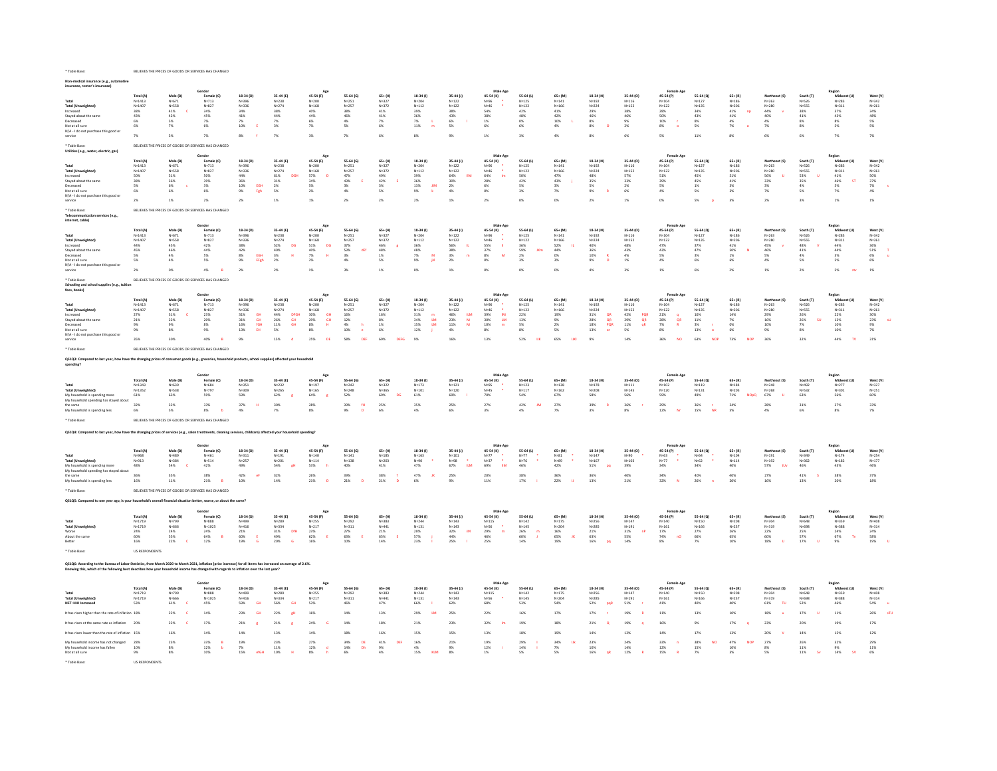| ∽dical insurance (e.g.,<br>insurance, renter's insurance)                                                                                                                |                                                    |                                                     |                                                       |                                                   |                                                   |                                                   |                                                                  |                                                |                                                             |                                                   |                                                 |                                                      |                                                |                                                            |                                                   |                                                          |                                                      |                                                             |                                                   |                                              |                                                                |                                                     |
|--------------------------------------------------------------------------------------------------------------------------------------------------------------------------|----------------------------------------------------|-----------------------------------------------------|-------------------------------------------------------|---------------------------------------------------|---------------------------------------------------|---------------------------------------------------|------------------------------------------------------------------|------------------------------------------------|-------------------------------------------------------------|---------------------------------------------------|-------------------------------------------------|------------------------------------------------------|------------------------------------------------|------------------------------------------------------------|---------------------------------------------------|----------------------------------------------------------|------------------------------------------------------|-------------------------------------------------------------|---------------------------------------------------|----------------------------------------------|----------------------------------------------------------------|-----------------------------------------------------|
| <b>Total (Unweighter</b><br>Increased<br>Stayed about the same                                                                                                           | Total (A)<br>$N = 1413$<br>N=1407<br>38%<br>$43\%$ | Male (R)<br>$N = 671$<br>$N = 558$<br>41%<br>$42\%$ | Female (C)<br>$N=713$<br>$N = 827$<br>34%<br>45%      | 18-34 (0)<br>$N = 396$<br>N=336<br>34%<br>$41\%$  | 35-44 (F)<br>$N = 238$<br>$N = 274$<br>38%<br>44% | 45-54 (F)<br>$N = 200$<br>$N = 168$<br>40%<br>44% | 55-64 (6)<br>$N = 251$<br>N=257<br>38%<br>46%                    | 65+ (H)<br>$N = 327$<br>N=377<br>41%<br>$41\%$ | 18-34 (1)<br>$N = 204$<br>$N = 112$<br>39%<br>$36\%$        | 35.44 (1)<br>$N = 122$<br>$N = 122$<br>38%<br>43% | 45-54 (K)<br>$N = 96$<br>$N = 46$<br>54%<br>38% | 55.64 (1)<br>$N = 125$<br>$N = 122$<br>42%<br>$48\%$ | 65+ (M<br>$N = 141$<br>$N = 166$<br>41%<br>42% | 18-34 (N)<br>$N = 192$<br>$N_{\rm H}$ 224<br>29%<br>$46\%$ | 35-44 (0)<br>$N = 116$<br>$N = 152$<br>38%<br>46% | 45-54 (P)<br>$N = 104$<br>$N = 122$<br>28%<br>50%        | 55-64 (0)<br>$N = 127$<br>$N = 135$<br>34%<br>$43\%$ | $65 + (R)$<br>$N = 186$<br>$N = 206$<br>41%<br>np<br>$41\%$ | Northeast (S)<br>$N = 263$<br>N=280<br>44%<br>40% | South (T)<br>N=526<br>Nusss<br>38%<br>$41\%$ | Regior<br>Midwest (11)<br>$N = 283$<br>$N = 311$<br>37%<br>43% | West (V)<br>$N = 342$<br>$N = 261$<br>34%<br>$48\%$ |
| Decreased                                                                                                                                                                | 6%<br>6%                                           | <b>SW</b>                                           | 7%                                                    | 7%<br>10%                                         | 7%<br>3%                                          | 6%                                                | 4%<br>5%                                                         | 7%<br>$6\%$                                    | $\frac{7\%}{11\%}$                                          | 6%<br>5%                                          | 1%                                              | 0%<br>6%                                             | 10%<br>4%                                      | $8\%$<br>$8\%$                                             | 9%<br>2%                                          | 10%                                                      | 8%<br>5%                                             | 4%<br>7%<br>$\bullet$                                       | 4%                                                | 8%<br>8%                                     | $8\%$<br>5%                                                    | 5%<br>5%                                            |
| Not at all sure<br>N/A - I do not purchase this good or<br>service                                                                                                       | 7%                                                 | 7%<br>5%                                            | 6%<br>7%                                              | 8%                                                | 7%                                                | 7%<br>3%                                          | 7%                                                               | 6%                                             | 8%                                                          | 9%                                                | 6%<br>1%                                        | 3%                                                   | 4%                                             | 8%                                                         | 6%                                                | 8%<br>5%                                                 | 11%                                                  | 8%                                                          | 7%<br>6%                                          | 6%                                           | 7%                                                             | 7%                                                  |
| * Table Base:                                                                                                                                                            |                                                    |                                                     | BELIEVES THE PRICES OF GOODS OR SERVICES HAS CHANGED  |                                                   |                                                   |                                                   |                                                                  |                                                |                                                             |                                                   |                                                 |                                                      |                                                |                                                            |                                                   |                                                          |                                                      |                                                             |                                                   |                                              |                                                                |                                                     |
| Utilities (e.g., water, electric, gas)                                                                                                                                   |                                                    |                                                     |                                                       |                                                   |                                                   |                                                   |                                                                  |                                                |                                                             |                                                   |                                                 |                                                      |                                                |                                                            |                                                   |                                                          |                                                      |                                                             |                                                   |                                              |                                                                |                                                     |
|                                                                                                                                                                          | Total (A)                                          | Male (B)                                            | Female (C)                                            | 18-34 (D)                                         | 35-44 (E)                                         | 45-54 (F)                                         | 55-64 (G)                                                        | $65+ (H)$                                      | $18-34(1)$                                                  | 35-44 (J)                                         | Male Ag<br>45-54 (K)                            | 55-64 (L)                                            | $65 + (M)$                                     | 18-34 (N)                                                  | 35-44 (0)                                         | 45-54 (P)                                                | 55-64 (0)                                            | $65 + (R)$                                                  | Northeast (S)                                     | South (T)                                    | Regior<br>Midwest (U)                                          | West (V)                                            |
| <b>Total (Unweighted)</b>                                                                                                                                                | $N = 1413$<br>$N = 1407$                           | $N = 671$<br>$N = 558$                              | $N = 713$<br>$N = 827$                                | N=396<br>$N = 336$                                | $N = 238$<br>$N = 274$                            | $N = 200$<br>$N = 168$                            | $N = 251$<br>$N = 257$                                           | $N = 327$<br>$N = 372$                         | N=204<br>$N = 112$                                          | $N = 122$<br>$N = 122$                            | N=96<br>$N = 46$                                | $N = 125$<br>$N = 122$                               | $N = 141$<br>$N = 166$                         | $N = 192$<br>$N = 224$                                     | $N = 116$<br>$N = 152$                            | $N = 104$<br>$N = 122$                                   | $N = 127$<br>$N = 135$                               | $N = 186$<br>$N = 206$                                      | $N = 263$<br>$N = 280$                            | $N = 526$<br>N=555                           | $N = 283$<br>N=311                                             | $N = 342$<br>$N = 261$                              |
| Increased<br>Stayed about the same                                                                                                                                       | 50%<br>38%                                         | 51%<br>36%                                          | 50%<br>39%                                            | $44\%$<br>36%                                     | $61\%$<br><b>DGH</b><br>31%                       | $57\%$<br>34%                                     | 47%<br>43%                                                       | 49%<br>42%                                     | 39%<br>36%                                                  | 64%<br><b>IM</b><br>30%                           | 64%<br>$\mathbf{m}$<br>28%                      | $50\%$<br>42%                                        | 47%<br>43%                                     | 48%<br><b>35%</b>                                          | 57%<br>33%                                        | 51%<br>39%                                               | $45\%$<br>45%                                        | $51\%$<br>$41\%$                                            | 56%<br>33%                                        | $53\%$<br>35%                                | $41\%$<br>46%<br><b>ST</b>                                     | $50\%$<br>$37\%$                                    |
| Decreased<br>Not at all sure                                                                                                                                             | 5%<br>6%                                           | 6%<br>6%                                            | 3%<br>6%                                              | 10%<br>EGH<br>$9\%$<br>Fgh                        | 2%<br>5%                                          | 5%<br>2%                                          | 3%<br>4%                                                         | 3%<br>$5\%$                                    | <b>JIM</b><br>13%<br>$9\%$                                  | 2%<br>4%                                          | 6%<br>0%                                        | 5%<br>3%                                             | 3%<br>$7\%$                                    | 5%<br>9%                                                   | 2%<br>$6\%$                                       | 5%<br>4%                                                 | 1%<br>5%                                             | 3%<br>3%                                                    | 3%<br>$7\%$                                       | 4%<br>$5\%$                                  | 5%<br>$7\%$                                                    | 7%<br>4%                                            |
| N/A - I do not purchase this good or<br>service                                                                                                                          | 2%                                                 | $1\%$                                               | 2%                                                    | 2%                                                | 1%                                                | 1%                                                | 2%                                                               | 2%                                             | 2%                                                          | 1%                                                | 2%                                              | 0%                                                   | 0%                                             | 2%                                                         | 1%                                                | 0%                                                       | 5%                                                   | 3%                                                          | 2%                                                | 3%                                           | $1\%$                                                          | $1\%$                                               |
| * Table Base:<br><b>Mon services (e.g.</b><br>Telecon                                                                                                                    |                                                    |                                                     | BELIEVES THE PRICES OF GOODS OR SERVICES HAS CHANGED  |                                                   |                                                   |                                                   |                                                                  |                                                |                                                             |                                                   |                                                 |                                                      |                                                |                                                            |                                                   |                                                          |                                                      |                                                             |                                                   |                                              |                                                                |                                                     |
| internet, cable)                                                                                                                                                         |                                                    |                                                     |                                                       |                                                   |                                                   |                                                   |                                                                  |                                                |                                                             |                                                   | Male Ago                                        |                                                      |                                                |                                                            |                                                   |                                                          |                                                      |                                                             |                                                   |                                              | Regior                                                         |                                                     |
|                                                                                                                                                                          | Total (A)<br>$N = 1413$                            | Male (B)<br>$N = 671$                               | Female (C)<br>$N = 713$                               | 18-34 (D)<br>N=396                                | 35-44 (E)<br>$N = 238$                            | 45-54 (F)<br>$N = 200$                            | 55-64 (G)<br>$N = 251$                                           | $65 + (H)$<br>N=327                            | $18-34(1)$<br>$N = 204$                                     | 35-44 (J)<br>$N = 122$                            | 45-54 (K)<br>$N = 96$                           | 55-64 (L)<br>$N = 125$                               | $65+$ (M)<br>$N = 141$                         | 18-34 (N)<br>$N = 192$                                     | 35-44 (0)<br>$N = 116$                            | 45-54 (P)<br>$N = 104$                                   | 55-64 (0)<br>$N = 127$                               | $65 + (R)$<br>$N = 186$                                     | Northeast (S)<br>N=263                            | South (T)<br>$N = 526$                       | Midwest (U)<br>N=283                                           | West (V)<br>$N = 342$                               |
| <b>Total (Unweighted</b><br>Increased                                                                                                                                    | $N = 1407$<br>44%                                  | $N = 558$<br>45%                                    | $N = 827$<br>42%                                      | N=336<br>38%                                      | $N = 274$<br>52%<br>DG                            | $N = 168$<br>DG.<br>51%                           | $N = 257$<br>37%                                                 | $N = 372$<br>46%                               | $N = 112$<br>36%                                            | $N = 122$<br>56%<br>$\mathbf{u}$                  | $N = 46$<br>55%<br>$\mathbf{H}$                 | $N = 122$<br>36%                                     | $N = 166$<br>52%                               | $N = 224$<br>40%                                           | $N = 152$<br>48%                                  | $N = 122$<br>47%                                         | $N = 135$<br>37%                                     | $N = 206$<br>41%                                            | $N = 280$<br>45%                                  | N=555<br>48%                                 | $N = 311$<br>44%                                               | $N = 261$<br>36%                                    |
| Stayed about the sam<br>Decreased                                                                                                                                        | 45%<br>5%                                          | 46%<br>4%                                           | 44%<br>5%                                             | 42%<br>FGH                                        | 40%<br>$\mathbf{H}$                               | 40%<br>7%<br>$\mathbf{H}$                         | 53%<br>dE                                                        | 48%<br>1%                                      | 48%<br>7%<br><b>M</b>                                       | 38%<br>3%<br>$\blacksquare$                       | 37%<br>8%<br><b>M</b>                           | 59%<br>JKm<br>2%                                     | 44%<br>0%                                      | 36%<br>10%                                                 | 43%<br>4%                                         | 43%<br>5%                                                | 47%<br>3%                                            | $50\%$<br>$\overline{N}$<br>1%                              | 46%<br>5%                                         | 41%<br>4%                                    | $44\%$<br>3%                                                   | $51\%$<br>6%                                        |
| Not at all sure                                                                                                                                                          | 5%                                                 | 4%                                                  | 5%                                                    | $\begin{array}{l} 8\% \\ 9\% \end{array}$<br>EFgh | $\frac{3\%}{2\%}$                                 | 2%                                                | $3\%$ 4%                                                         | $5\%$                                          | 9%                                                          | 2%                                                | $0\%$                                           | 3%                                                   | 3%                                             | $9\%$                                                      | $1\%$                                             | $4\%$                                                    | $6\%$                                                | 6%                                                          | $4\%$                                             | $5\%$                                        | $5\%$                                                          | 6%                                                  |
| N/A - I do not purchase this good or<br>service                                                                                                                          | 2%                                                 | 0%                                                  | 4%                                                    | 2%                                                | 2%                                                | 1%                                                | 3%                                                               | 1%                                             | 0%                                                          | $1\%$                                             | 0%                                              | 0%                                                   | O%                                             | 4%                                                         | 3%                                                | $1\%$                                                    | 6%                                                   | 2%                                                          | 1%                                                | 2%                                           | 5%<br>sty                                                      | 1%                                                  |
| * Table Base:<br>Schooling and school supplies (e.g., tuition<br>fees, books)                                                                                            |                                                    |                                                     | BELIEVES THE PRICES OF GOODS OR SERVICES HAS CHANGED  |                                                   |                                                   |                                                   |                                                                  |                                                |                                                             |                                                   |                                                 |                                                      |                                                |                                                            |                                                   |                                                          |                                                      |                                                             |                                                   |                                              |                                                                |                                                     |
|                                                                                                                                                                          | Total (A)                                          | Male (B)                                            | Gender<br>Female (C)                                  | 18-34 (D)                                         | 35-44 (E)                                         | 45-54 (F)                                         | 55-64 (G)                                                        | $65+ (H)$                                      | $18-34(1)$                                                  | 35-44 (J)                                         | Male Ago<br>45-54 (K)                           | 55-64 (L)                                            | $65+$ (M                                       | 18-34 (N)                                                  | 35-44 (0)                                         | <b>Female Age</b><br>45-54 (P)                           | 55-64 (0)                                            | $65 + (R)$                                                  | Northeast (S)                                     | South (T)                                    | Region<br>Midwest (11)                                         | West (V)                                            |
| <b>Total (Unweighted</b>                                                                                                                                                 | $N = 1413$<br>$N = 1407$                           | $N = 671$<br>$N = 558$                              | $N = 713$<br>$N = 827$                                | $N = 396$<br>N=336                                | $N = 238$<br>$N = 274$                            | $N = 200$<br>$4 = 168$                            | $N = 251$<br>$N = 257$                                           | $N = 327$<br>N=372                             | $N = 204$<br>$N = 112$                                      | $N = 122$<br>$N = 122$                            | $N = 96$<br>$N = 46$                            | $N = 125$<br>$N = 122$                               | $N = 141$<br>$N = 166$                         | $N = 192$<br>$N = 224$                                     | $N = 116$<br>$N = 152$                            | $N = 104$<br>$N = 122$                                   | $N = 127$<br>$N = 135$                               | $N = 186$<br>$N = 206$                                      | $N = 263$<br>$N = 280$                            | $N = 526$<br>$N=555$                         | $N = 283$<br>N=311                                             | $N = 342$<br>$N = 261$                              |
| Increased                                                                                                                                                                | 27%                                                | 31%                                                 | 23%<br>20%                                            | 31%<br><b>GH</b>                                  | 44%<br>DEGH                                       | 30%<br>29%<br>GH<br>GH                            | 16%                                                              | 16%                                            | 31%                                                         | 46%<br><b>ILM</b><br>М                            | 39%<br><b>IM</b>                                | 22%                                                  | 19%                                            | 31%<br>$\frac{\mathsf{QR}}{\mathsf{QR}}$                   | 42%<br>POR                                        | 21%                                                      | 10%                                                  | 14%                                                         | 29%                                               | 26%                                          | 22%                                                            | 30%                                                 |
| Stayed about the same<br>Decreased                                                                                                                                       | 21%<br>9%                                          | 22%<br>9%                                           | $8\%$                                                 | $\overline{GH}$<br>$31\%$<br>$16\%$<br>fGH        | 26%<br>GH<br>$11\%$<br>GH                         | $8\%$                                             | 12%<br>$\begin{array}{l} 4\% \\ 10\% \end{array}$<br>$\mathbf h$ | $8\%$<br>$1\%$                                 | $34\%$<br>$\mathbf{t}\mathbf{M}$<br>$15\%$<br>$\mathsf{LM}$ | 23%<br>11%<br>M                                   | 30%<br>$\mathsf{LM}$<br>10%                     | 13%<br>5%                                            | 9%<br>2%                                       | 28%<br>$18\%$<br>PQR                                       | $\overline{qs}$<br>29%<br>11%<br>qR               | QR<br>28%<br>7%<br>$\mathbf R$                           | $11\%$<br>$\frac{3\%}{13\%}$<br>$\mathcal{L}$        | 7%<br>n%                                                    | 16%<br>10%                                        | 26%<br>su<br>7%                              | $13\%$<br>$10\%$                                               | 23%<br>9%                                           |
| Not at all sure<br>N/A - I do not purchase this good or                                                                                                                  | 9%                                                 | $8\%$                                               | 9%                                                    | 13%<br>EH                                         | 5%                                                | 8%                                                | $\bullet$                                                        | 6%                                             | 12%                                                         | 4%                                                | 8%                                              | 8%                                                   | 5%                                             | 13%<br>or                                                  | 5%                                                | 8%                                                       | $\bullet$                                            | 6%                                                          | 9%                                                | 8%                                           | 10%                                                            | 7%                                                  |
| service                                                                                                                                                                  | 35%                                                | 30%                                                 | 40%                                                   | 9%                                                | 15%                                               | 25%<br>DE                                         | 58%<br><b>DEF</b>                                                | 69%<br><b>DEFG</b>                             | 9%                                                          | 16%                                               | 13%                                             | 52%<br><b>TIK</b>                                    | 65%<br>TIKE                                    | 9%                                                         | 14%                                               | 36%<br><b>NO</b>                                         | 63%<br>NOP                                           | 73%<br><b>NOP</b>                                           | 36%                                               | 32%                                          | 44%<br>TV.                                                     | 31%                                                 |
| * Table Raser                                                                                                                                                            |                                                    |                                                     | BELIEVES THE PRICES OF GOODS OR SERVICES HAS CHANGED. |                                                   |                                                   |                                                   |                                                                  |                                                |                                                             |                                                   |                                                 |                                                      |                                                |                                                            |                                                   |                                                          |                                                      |                                                             |                                                   |                                              |                                                                |                                                     |
| QS1Q3: Compared to last year, how have the changing prices of consumer goods (e.g., groceries, household products, school supplies) affected your household<br>spending? |                                                    |                                                     |                                                       |                                                   |                                                   |                                                   |                                                                  |                                                |                                                             |                                                   |                                                 |                                                      |                                                |                                                            |                                                   |                                                          |                                                      |                                                             |                                                   |                                              |                                                                |                                                     |
| Total<br>Total (Unweighted)                                                                                                                                              | Total (A)<br>$N = 1343$<br>$N = 1352$              | Male (B)<br>$N = 639$<br>$N = 538$                  | Gender<br>Female (C)<br>$N = 684$<br>$N = 797$        | $18-34(D)$<br>$N = 351$<br>N=309                  | 35-44 (E)<br>$N = 232$<br>$N = 265$               | 45-54 (F)<br>$N = 197$<br>$N = 165$               | 55-64 (G)<br>$N = 242$<br>$N = 248$                              | 65+ (H)<br>$N = 322$<br>$N = 365$              | 18-34 (1)<br>$N = 173$<br>$N = 101$                         | 35-44 (J)<br>$N = 121$<br>$N = 120$               | Male Ag<br>45-54 (K)<br>$N = 95$<br>$N = 45$    | 55-64 (L)<br>$N = 123$<br>$N = 117$                  | 65+ (M<br>$N = 138$<br>$N = 162$               | 18-34 (N)<br>$N = 178$<br>$N = 208$                        | 35-44 (0)<br>$N = 111$<br>$N = 145$               | <b>Female Age</b><br>45-54 (P)<br>$N = 102$<br>$N = 120$ | 55-64 (0)<br>$N = 119$<br>$N = 131$                  | $65+$ (R<br>$N = 184$<br>N=203                              | Northeast (S)<br>$N = 248$<br>$N = 268$           | South (T)<br>$N = 492$<br>N=532              | Regior<br><b>MAG</b><br>er (i.f)<br>$N = 277$<br>N=301         | West (V)<br>N=327<br>$N = 251$                      |
| My household is spending more                                                                                                                                            | 61%                                                | 63%                                                 | 59%                                                   | 59%                                               | 62%                                               | 64%                                               | 52%                                                              | 69%<br>ns.                                     | 61%                                                         | 69%                                               | 70%                                             | 54%                                                  | 67%                                            | 58%                                                        | 56%                                               | 59%                                                      | 49%                                                  | 71%<br><b>NOpO</b>                                          | 67%                                               | 63%                                          | 56%                                                            | 60%                                                 |
| My household spending has stayed about<br>the same                                                                                                                       | 32%                                                | 32%                                                 | 33%                                                   | 37%                                               | 30%                                               | 28%                                               | 39%<br>64                                                        | 25%                                            | 35%                                                         | 25%                                               | 27%                                             | 42%                                                  | 27%                                            | 39%                                                        | 36%                                               | 29%                                                      | 36%                                                  | 24%                                                         | 28%                                               | 31%                                          | 37%                                                            | 33%                                                 |
| My household is spending less                                                                                                                                            | 6%                                                 | 5%                                                  | 8%                                                    | 4%                                                | 7%                                                | 8%                                                | 9%<br>$\overline{p}$                                             | 6%                                             | 4%                                                          | 6%                                                | 3%                                              | 4%                                                   | 7%                                             | 3%                                                         | 8%                                                | 12%                                                      | NR<br>15%                                            | 5%                                                          | 4%                                                | 6%                                           | 8%                                                             | 7%                                                  |
| Table Base                                                                                                                                                               |                                                    |                                                     | BELIEVES THE PRICES OF GOODS OR SERVICES HAS CHANGED  |                                                   |                                                   |                                                   |                                                                  |                                                |                                                             |                                                   |                                                 |                                                      |                                                |                                                            |                                                   |                                                          |                                                      |                                                             |                                                   |                                              |                                                                |                                                     |
| QS1Q4: Compared to last year, how have the changing prices of services (e.g., salon treatments, cleaning services, childcare) affected your household sp                 |                                                    |                                                     |                                                       |                                                   |                                                   |                                                   |                                                                  |                                                |                                                             |                                                   |                                                 |                                                      |                                                |                                                            |                                                   |                                                          |                                                      |                                                             |                                                   |                                              |                                                                |                                                     |
| Total                                                                                                                                                                    | Total (A)                                          | Male (B)                                            | Female (C)                                            | 18-34 (D)                                         | 35-44 (E)<br>$N = 191$                            | 45-54 (F)                                         | 55-64 (G)                                                        | 65+ (H)                                        | $18-34(1)$                                                  | 35-44 (J)                                         | 45-54 (K)                                       | 55-64 (L)<br>$N=77$                                  | $65 + (M)$                                     | 18-34 (N)                                                  | 35-44 (0)                                         | 45-54 (P)                                                | 55-64 (Q)                                            | $65 + (R)$                                                  | Northeast (S)                                     | South (T)<br>$N = 349$                       | Region<br>Midwest (U)<br>$N = 174$                             | West (V)                                            |
| Total (Unweighted)                                                                                                                                                       | N=968<br>N=913                                     | N=489<br>$N = 384$                                  | $N = 461$<br>N=514                                    | $N = 311$<br>$N = 257$                            | $N = 201$                                         | $N = 140$<br>$N = 11.4$                           | $N = 141$<br>$N = 1.38$                                          | $N = 185$<br>$Nu=203$                          | $N = 163$<br>N=90                                           | $N = 101$<br>$\sim$<br>$N = 98$                   | $N=77$<br>$N = 37$                              | Na26                                                 | $N = 81$<br>$N = 89$                           | $N = 147$<br>$N = 167$                                     | $N=90$<br>$N = 103$                               | $N = 63$<br>$N = 77$                                     | $N = 64$<br>Nu62                                     | $N = 104$<br>N=114                                          | $N = 191$<br>$N=192$                              | $N = 362$                                    | N=182                                                          | N=254<br>$N = 177$                                  |
| My household is spending more<br>My household spending has stayed abou                                                                                                   | 48%                                                | 54%                                                 | 42%                                                   | 49%                                               | 54%<br><b>CH</b>                                  | 53%                                               | 40%                                                              | 41%                                            | 47%                                                         | 67%<br><b>ILM</b>                                 | 69%<br><b>IDA</b>                               | 46%                                                  | 42%                                            | 51%<br><b>DO</b>                                           | 39%                                               | 34%                                                      | 34%                                                  | 40%                                                         | 57%<br>tUv                                        | 46%                                          | 43%                                                            | 46%                                                 |
| the same<br>My household is spending less                                                                                                                                | 36%                                                | 35%                                                 |                                                       |                                                   |                                                   |                                                   |                                                                  |                                                |                                                             |                                                   |                                                 |                                                      |                                                |                                                            |                                                   |                                                          |                                                      |                                                             |                                                   |                                              | 38%                                                            |                                                     |
|                                                                                                                                                                          | 16%                                                | 11%                                                 | 38%<br>21%                                            | 42%<br>10%                                        | 32%<br>14%                                        | 26%<br>$21\%$                                     | 39%<br>$21\%$                                                    | 38%<br>21%                                     | 47%<br>6%                                                   | 25%<br>9%                                         | 20%<br>11%                                      | 38%<br>$17\%$                                        | 36%<br>22%                                     | 36%<br>13%                                                 | 40%<br>21%                                        | 34%<br>32%                                               | 40%<br>26%                                           | 40%<br>20%                                                  | 27%<br>16%                                        | 41%<br>13%                                   | 20%                                                            | 37%<br>18%                                          |
| Table Base:                                                                                                                                                              |                                                    |                                                     | BELIEVES THE PRICES OF GOODS OR SERVICES HAS CHANGED  |                                                   |                                                   |                                                   |                                                                  |                                                |                                                             |                                                   |                                                 |                                                      |                                                |                                                            |                                                   |                                                          |                                                      |                                                             |                                                   |                                              |                                                                |                                                     |
| OS1OS: Compared to one year ago, is your household's overall financial situation better, worse, or about the same?                                                       |                                                    |                                                     |                                                       |                                                   |                                                   |                                                   |                                                                  |                                                |                                                             |                                                   |                                                 |                                                      |                                                |                                                            |                                                   |                                                          |                                                      |                                                             |                                                   |                                              |                                                                |                                                     |
|                                                                                                                                                                          |                                                    |                                                     |                                                       |                                                   |                                                   |                                                   |                                                                  |                                                |                                                             |                                                   |                                                 |                                                      |                                                |                                                            |                                                   |                                                          |                                                      |                                                             |                                                   |                                              | Regior                                                         |                                                     |
|                                                                                                                                                                          | Total (A)<br>$N = 1719$                            | Male (B)<br>$N = 799$                               | Female (C)<br>$N = 888$                               | 18-34 (D)<br>$N = 499$                            | 35-44 (E)<br>$N = 289$                            | 45-54 (F)<br>$N = 255$                            | 55-64 (G)<br>$N = 292$                                           | $65+ (H)$<br>$N = 383$                         | $18-34(1)$<br>$N = 244$                                     | 35-44 (J)<br>$N = 143$                            | 45-54 (K)<br>$N = 115$                          | 55-64 (L)<br>$N = 142$                               | $65+ (M)$<br>$N = 175$                         | 18-34 (N)<br>$N = 256$                                     | 35-44 (0)<br>$N = 147$                            | 45-54 (P)<br>$N = 140$                                   | 55-64 (0)<br>N=150                                   | $65 + (R)$<br>$N = 208$                                     | Northeast (S)<br>$N = 304$                        | South (T)<br>$N = 648$                       | Midwest (U)<br>N=359                                           | West (V)<br>$N = 408$                               |
| <b>Total (Unweighted</b><br>Worse                                                                                                                                        | $N = 1719$<br>24%                                  | N=666<br>24%                                        | $N = 1025$<br>24%                                     | $N = 416$<br>21%                                  | $N = 334$<br>31%<br><b>DfH</b>                    | $N = 217$<br>23%                                  | $N = 311$<br>27%                                                 | N=441<br>21%                                   | $N = 131$<br>20%                                            | $N = 143$<br>32%<br><b>IM</b>                     | N=56<br>29%<br>$\blacksquare$                   | $N = 145$                                            | $N = 204$<br>16%                               | $N = 285$<br>21%                                           | $N = 191$<br>31%<br><b>nP</b>                     | $N = 161$<br>17%                                         | $N = 166$<br>27%                                     | $N = 237$<br>26%                                            | N=319<br>22%                                      | N=698<br>25%                                 | N=388<br>24%                                                   | $N = 314$                                           |
| About the same<br>Retter                                                                                                                                                 | $60\%$<br>16%                                      | 55%<br>22%                                          | 64%<br>$\blacksquare$<br>12%                          | 60%<br>$\epsilon$<br>19%                          | 49%<br>20%<br><b>G</b>                            | 62%<br>16%                                        | 63%<br>$\epsilon$<br>10%                                         | 65%<br>14%                                     | 57%<br>23%                                                  | 44%<br>25%                                        | 46%<br>25%                                      | $\frac{26\%}{60\%}$<br>T<br>14%                      | 65%<br><b>JK</b><br>19%                        | 63%<br>16%                                                 | 55%<br>14%                                        | 74%<br>nO<br>8%                                          | 66%<br>7%                                            | 65%<br>10%                                                  | $60\%$<br>18%                                     | 57%<br>17%                                   | $67\%$<br>$\mathbf{v}$<br>9%                                   | 24%<br>58%<br>19%                                   |
|                                                                                                                                                                          | US RESPONDENTS                                     |                                                     |                                                       |                                                   |                                                   |                                                   |                                                                  |                                                |                                                             |                                                   |                                                 |                                                      |                                                |                                                            |                                                   |                                                          |                                                      |                                                             |                                                   |                                              |                                                                |                                                     |
| QS1Q6: According to the Bureau of Labor Statistics, from March 2020 to March 2021, inflation (price increase) for all items has increased an average of 2.6%.            |                                                    |                                                     |                                                       |                                                   |                                                   |                                                   |                                                                  |                                                |                                                             |                                                   |                                                 |                                                      |                                                |                                                            |                                                   |                                                          |                                                      |                                                             |                                                   |                                              |                                                                |                                                     |
| Knowing this, which of the following best describes how your household income has changed with regards to inflation over the last year?                                  |                                                    |                                                     |                                                       |                                                   |                                                   |                                                   |                                                                  |                                                |                                                             |                                                   |                                                 |                                                      |                                                |                                                            |                                                   |                                                          |                                                      |                                                             |                                                   |                                              |                                                                |                                                     |
|                                                                                                                                                                          | Total (A)                                          | Male (B)                                            | Gender<br>Female (C)                                  | 18-34 (D)                                         | 35-44 (E)                                         | 45-54 (F)                                         | 55-64 (G)                                                        | $65+$ (H)                                      | $18-34(1)$                                                  | 35-44 (J)                                         | Male Ac<br>45-54 (K)                            | 55-64 (L)                                            | $65 + (M)$                                     | 18-34 (N)                                                  | 35-44 (0)                                         | 45-54 (P)                                                | 55-64 (0)                                            | $65+$ (R)                                                   | Northeast (S)                                     | South (T)                                    | Regio<br>Midwest (U)                                           | West (V)                                            |
| <b>Total (Unweighted)</b>                                                                                                                                                | $N = 1719$<br>$N = 1719$                           | $N = 799$<br>N=666                                  | $N = 888$<br>$N = 1025$                               | N=499<br>$N = 416$                                | $N = 289$<br>N=334                                | $N = 255$<br>$N = 217$                            | $N = 292$<br>$N = 311$                                           | $N = 383$<br>$N = 441$                         | $N = 244$<br>$N = 131$                                      | $N = 143$<br>$N = 143$                            | $N = 115$<br>$N = 56$                           | $N = 142$<br>$N = 145$                               | $N = 175$<br>$N = 204$                         | $N = 256$<br>$N = 285$                                     | $N = 147$<br>$N = 191$                            | $N = 1AC$<br>$N = 161$                                   | $N = 150$<br>N=166                                   | $N = 208$<br>$N = 237$                                      | $N = 304$<br>$N = 319$                            | $N = 648$<br>$N = 698$                       | N=359<br>N=388                                                 | $N = 408$<br>$N = 314$                              |
|                                                                                                                                                                          | 53%                                                | $61\%$                                              | 45%                                                   | <b>GH</b><br>59%                                  | 56%<br><b>GH</b>                                  | $53\%$                                            | 46%                                                              | 47%                                            | 66%                                                         | 62%                                               | 68%                                             | 53%                                                  | 54%                                            | 52%<br>pgB                                                 | 51%                                               | 41%                                                      | 40%                                                  | 40%                                                         | $61\%$<br>τu                                      | 52%                                          | 46%                                                            | 54%                                                 |
| thas risen higher than the rate of inflation 18%                                                                                                                         |                                                    | 22%                                                 | 14%                                                   | 23%<br><b>GH</b>                                  | 22%<br>gΗ                                         | 16%                                               | 14%                                                              | 13%                                            | 29%<br><b>LM</b>                                            | 25%                                               | 22%                                             | 16%                                                  | 17%                                            | 17%                                                        | 19%                                               | 11%                                                      | 13%                                                  | 10%                                                         | 18%                                               | 17%                                          | 11%                                                            | 26%                                                 |
| t has risen at the same rate as inflation                                                                                                                                | 20%                                                | 22%                                                 | 17%                                                   | 21%                                               | 21%                                               | 24%                                               | 14%                                                              | 18%                                            | 21%                                                         | 23%                                               | 32%                                             | 19%                                                  | 18%                                            | 21%                                                        | 19%                                               | 16%                                                      | 9%                                                   | 17%                                                         | 23%                                               | 20%                                          | 19%                                                            | 17%                                                 |
| thas risen lower than the rate of inflation 15%<br>My household income has not changed                                                                                   | 28%                                                | 16%<br>23%                                          | 14%<br>33%                                            | 14%<br>19%                                        | 13%<br>23%                                        | 14%<br>27%                                        | 18%<br>34%<br>DE                                                 | 16%<br>41%<br>DEE                              | 15%<br>16%                                                  | 15%<br>21%                                        | 13%<br>19%                                      | 18%<br>29%                                           | 19%<br>34%                                     | 14%<br>23%                                                 | 12%<br>24%                                        | 14%<br>33%                                               | 17%<br>38%<br><b>NO</b>                              | 13%<br>47%<br><b>NOP</b>                                    | 20%<br>27%                                        | 14%<br>26%                                   | 15%<br>32%                                                     | 12%<br>29%                                          |

\* Table Base: US RESPONDENTS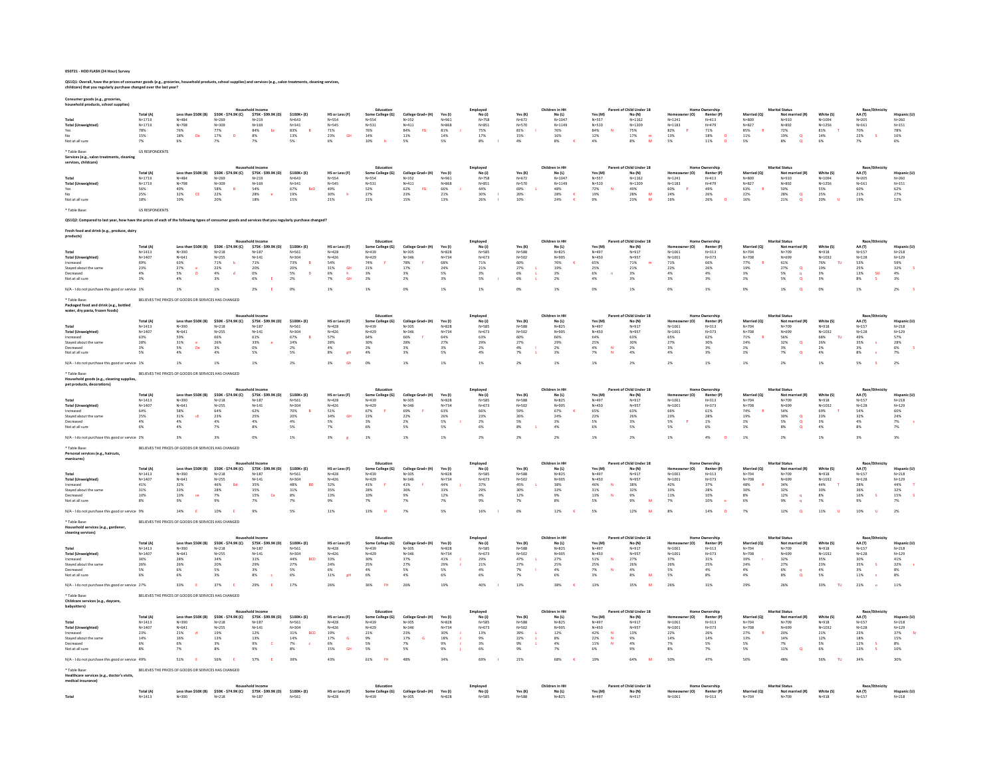QS1Q1: Overall, have the prices of consumer goods (e.g., groceries, household products, school supplies) and services (e.g., salon treatments, cleaning services,<br>childcare) that you regularly purchase changed over the last

| Consumer goods (e.g., groceries<br>ehold products, school supp                                                                                        |                                                                 |                                                                                                  |                                                                                                                         |                                                                                                          |                                                                                              |                                                                                                            |                                                                                                              |                                                                                |                                                                   |                                                                      |                                                                      |                                                                                                            |                                                                                      |                                                                                                           |                                                             |                                                                            |                                                                         |                                                                                                                                   |                                                                                         |                                                                                       |                                                                            |
|-------------------------------------------------------------------------------------------------------------------------------------------------------|-----------------------------------------------------------------|--------------------------------------------------------------------------------------------------|-------------------------------------------------------------------------------------------------------------------------|----------------------------------------------------------------------------------------------------------|----------------------------------------------------------------------------------------------|------------------------------------------------------------------------------------------------------------|--------------------------------------------------------------------------------------------------------------|--------------------------------------------------------------------------------|-------------------------------------------------------------------|----------------------------------------------------------------------|----------------------------------------------------------------------|------------------------------------------------------------------------------------------------------------|--------------------------------------------------------------------------------------|-----------------------------------------------------------------------------------------------------------|-------------------------------------------------------------|----------------------------------------------------------------------------|-------------------------------------------------------------------------|-----------------------------------------------------------------------------------------------------------------------------------|-----------------------------------------------------------------------------------------|---------------------------------------------------------------------------------------|----------------------------------------------------------------------------|
| <b>Total (Unweighted)</b><br>Not at all sun                                                                                                           | Total (A<br>$N = 1719$<br>$N = 1719$<br>78%<br>15%<br>7%        | Less than \$50K (B)<br>$N = 484$<br>$N = 798$<br>$76\%$<br>De<br>18%<br>6%                       | \$50K - \$74.9K (C)<br>$N = 269$<br>$N = 309$<br>$\begin{array}{c} 77\% \\ 17\% \end{array}$<br>$\overline{D}$<br>$7\%$ | \$75K - \$99.9K (D)<br>$N = 219$<br>$N = 169$<br>$\frac{84\%}{8\%}$<br>7%                                | \$100K+(E)<br>$N = 643$<br>$N = 341$<br>$\begin{array}{l} 83\% \\ 13\% \end{array}$<br>5%    | HS or Less (F)<br>$N =$ 554<br>$N = 545$<br>$\begin{array}{l} 71\% \\ 23\% \end{array}$<br><b>GH</b><br>6% | Education<br>Some College (G<br>$N = 554$<br>$N = 531$<br>$\begin{array}{l} 76\% \\ 14\% \end{array}$<br>10% | College Grad+ (H)<br>$N = 352$<br>$N = 411$<br>$84\%$<br>FG<br>11%<br>S%       | Yes (I)<br>$N = 961$<br>$N = 868$<br>$81\%$<br>14%<br>5%          | Employed<br>No(1)<br>$N = 758$<br>$N = 851$<br>75%<br>17%<br>8%      | Yes (K)<br>$N = 672$<br>N=570<br>$81\%$<br>15%<br>4%                 | Children in HH<br>No(L)<br>$N = 1047$<br>$N = 1149$<br>$76\%$<br>16%<br>$8\%$                              | Yes (M<br>$N = 557$<br>N=510<br>$\begin{array}{c} 84\% \\ 12\% \end{array}$<br>$4\%$ | Parent of Child Under 18<br>No (N)<br>$N = 1162$<br>$N = 1209$<br>$75\%$<br>17%<br>$\frac{m}{M}$<br>$8\%$ | $N = 1241$<br>$N = 1183$<br>$\frac{82\%}{13\%}$<br>5%       | Renter (P<br>$N = 413$<br>$N = 479$<br>$^{71\%}_{18\%}$<br>$\circ$<br>11%  | $N = 809$<br>$N = 827$<br>$85\%$<br>11%<br>5%                           | <b>Marital Status</b><br>Not ma<br>$N = 910$<br>$N = 892$<br>$72\%$<br>19%<br>$\overset{\text{\tiny Q}}{\text{\tiny a}}$<br>$8\%$ | White (S)<br>$N = 1094$<br>$N = 1256$<br>$81\%$<br>14%<br>6%                            | Race/Eth<br>AA (T)<br>$N = 205$<br>$N = 161$<br>70%<br>22%<br>7%                      | Hispanic<br>$N = 260$<br>$N = 151$<br>$78\%$<br>16%                        |
| ' Table Base:<br>Services (e.g., salon treatme<br>services, childcare)                                                                                | <b>US RESPONDENTS</b>                                           |                                                                                                  |                                                                                                                         |                                                                                                          |                                                                                              |                                                                                                            | Education                                                                                                    |                                                                                |                                                                   |                                                                      |                                                                      |                                                                                                            |                                                                                      | Parent of Child Under 18                                                                                  |                                                             |                                                                            |                                                                         |                                                                                                                                   |                                                                                         |                                                                                       |                                                                            |
| Tota<br><b>Total (Unweighted</b><br>Yes<br>Not at all sun                                                                                             | Total (A)<br>$N = 1719$<br>$N = 1719$<br>56%<br>25%<br>18%      | Less than \$50K (B)<br>$N = 484$<br>$N=798$<br>49%<br>$32\%$<br>$\mathsf{CE}$<br>19%             | \$50K - \$74.9K (C)<br>$N = 269$<br>$N = 309$<br>58%<br>22%<br>20%                                                      | \$75K - \$99.9K (D)<br>$N = 219$<br>N=169<br>54%<br>28%<br>$\bullet$<br>18%                              | $$100K + (E)$<br>$N = 643$<br>$N = 341$<br>67%<br><b>BcD</b><br>$19\%$<br>$15\%$             | HS or Less (F)<br>$N = 554$<br>$N = 545$<br>49%<br>$30\%$<br>$21\%$                                        | Some College (G)<br>$N = 554$<br>$N = 531$<br>52%<br>$27\%$<br>21%                                           | College Grad+ (H)<br>$N = 352$<br>$N=411$<br>62%<br><b>FG</b><br>$23\%$<br>15% | Yes (I)<br>$N = 961$<br>$N = 868$<br>66%<br>$21\%$<br>13%         | Employed<br>No(1)<br>$N=758$<br>$N = 851$<br>44%<br>$30\%$<br>26%    | Yes (K)<br>$N = 672$<br>$N = 570$<br>69%<br>20%<br>10%               | Children in HH<br>$\mathsf{No}\left(\mathsf{L}\right)$<br>$N = 1047$<br>$N = 1149$<br>48%<br>$28\%$<br>24% | Yes (M)<br>$N = 557$<br>$N = 510$<br>72%<br>$19\%$<br>9%                             | No (N)<br>$N = 1162$<br>N=1209<br>49%<br>$28\%$<br>${\bf M}$<br>23%                                       | r (O)<br>$N = 1241$<br>$N = 1183$<br>60%<br>$24\%$<br>16%   | Renter (P)<br>$N = 413$<br>$N = 479$<br>49%<br>26%<br>26%                  | Married (Q)<br>$N = 809$<br>$N = 827$<br>63%<br>$22\%$<br>16%           | <b>Marital Status</b><br>Not mar<br>$N = 910$<br>N=892<br>50%<br>$28\%$<br>$\alpha$<br>21%                                        | White (S)<br>$N = 1094$<br>$N = 1256$<br>55%<br>$25\%$<br>20%                           | Race/I<br>AA (T)<br>$N=205$<br>$N = 161$<br>60%<br>$21\%$<br>19%                      | Hispanic (I<br>$N = 260$<br>$N = 151$<br>62%<br>$27\%$<br>12%              |
| * Table Base:                                                                                                                                         | <b>US RESPONDENTS</b>                                           |                                                                                                  |                                                                                                                         |                                                                                                          |                                                                                              |                                                                                                            |                                                                                                              |                                                                                |                                                                   |                                                                      |                                                                      |                                                                                                            |                                                                                      |                                                                                                           |                                                             |                                                                            |                                                                         |                                                                                                                                   |                                                                                         |                                                                                       |                                                                            |
| Q\$1Q2: Compared to last year, how have the prices of each of the following types of consumer goods and services that you regularly purchase changed? |                                                                 |                                                                                                  |                                                                                                                         |                                                                                                          |                                                                                              |                                                                                                            |                                                                                                              |                                                                                |                                                                   |                                                                      |                                                                      |                                                                                                            |                                                                                      |                                                                                                           |                                                             |                                                                            |                                                                         |                                                                                                                                   |                                                                                         |                                                                                       |                                                                            |
| Fresh food and drink (e.g., produce, dairy<br>products)                                                                                               |                                                                 |                                                                                                  |                                                                                                                         |                                                                                                          |                                                                                              |                                                                                                            | Educatio                                                                                                     |                                                                                |                                                                   | Employed                                                             |                                                                      | Children in HH                                                                                             |                                                                                      | Parent of Child Under 18                                                                                  |                                                             |                                                                            |                                                                         | <b>Marital Statu</b>                                                                                                              |                                                                                         | Race/Eth                                                                              |                                                                            |
| <b>Total (Unweighted)</b><br>Increased<br>Stayed about the same<br>Decreased<br>Not at all sun<br>N/A - I do not purchase this good or service 1%     | Total (A)<br>$N = 1413$<br>$N = 1407$<br>69%<br>23%<br>4%<br>3% | Less than \$50K (B)<br>$N = 390$<br>$N = 641$<br>$63\%$<br>27%<br>5%<br>$\mathbf{D}$<br>4%<br>1% | \$50K - \$74.9K (C)<br>$N = 218$<br>$N = 255$<br>$71\%$<br>ъ<br>22%<br>$\mathsf{d}$<br>$4\%$<br>3%<br>1%                | \$75K - \$99.9K (D)<br>$N = 187$<br>$N = 141$<br>71%<br>$\substack{20\% \\ 0\%}$<br>6%<br>2%             | $$100K + (E)$<br>$N = 561$<br>$N = 304$<br>$73\%$<br>20%<br>$\overline{D}$<br>5%<br>2%<br>OX | HS or Less (F)<br>$N = 428$<br>$N = 426$<br>54%<br>31%<br><b>GH</b><br>6%<br>h<br>$7\%$<br><b>GH</b><br>1% | Some College (G)<br>$N = 439$<br>$N = 429$<br>$74\%$<br>21%<br>3%<br>2%<br>1%                                | College Grad+ (H)<br>$N = 305$<br>$N = 346$<br>$78\%$<br>17%<br>3%<br>2%<br>OX | Yes (I)<br>$N = 828$<br>$N = 734$<br>68%<br>24%<br>5%<br>3%<br>1% | No(1)<br>$N = 58$<br>$N = 673$<br>$71\%$<br>21%<br>3%<br>$5\%$<br>1% | Yes (K)<br>$N = 588$<br>$N = 502$<br>60%<br>27%<br>6%<br>$6\%$<br>0% | No (L)<br>N=825<br>$N = 905$<br>$76\%$<br>19%<br>3%<br>2%<br>1%                                            | Yes (M)<br>$N = 497$<br>$N = 450$<br>65%<br>25%<br>6%<br>$4\%$<br>0%                 | No (N)<br>$N = 917$<br>$N = 957$<br>$71\%$<br>21%<br>3%<br>3%<br>$1\%$                                    | $N = 1061$<br>$N = 1001$<br>$71\%$<br>22%<br>4%<br>3%<br>OX | Renter (P)<br>$N = 313$<br>$N = 373$<br>66%<br>26%<br>4%<br>$3\%$<br>$1\%$ | Married (Q<br>$N = 704$<br>$N = 708$<br>$77\%$<br>19%<br>3%<br>2%<br>0% | Not married (R)<br>N=709<br>$N = 699$<br>$61\%$<br>27%<br>$\alpha$<br>5%<br>$\blacksquare$<br>$5\%$<br>$\alpha$<br>1%<br>$\alpha$ | White (S)<br>$N = 918$<br>$N = 1032$<br>76%<br>TU.<br>$\frac{19\%}{3\%}$<br>$3\%$<br>0% | AA (T)<br>$N = 157$<br>$N = 128$<br>53%<br>25%<br>13%<br><b>SU</b><br>$8\%$<br>1%     | Hispanic (U<br>$N = 218$<br>$N = 129$<br>59%<br>32%<br>4%<br>$3\%$<br>2%   |
| ' Table Base:<br>Packaged food and drink (e.g., bottled<br>water, dry pasta, frozen foods)                                                            |                                                                 | BELIEVES THE PRICES OF GOODS OR SERVICES HAS CHANGED                                             |                                                                                                                         |                                                                                                          |                                                                                              |                                                                                                            | Education                                                                                                    |                                                                                |                                                                   | Employed                                                             |                                                                      | Children in HH                                                                                             |                                                                                      | Parent of Child Under 18                                                                                  |                                                             |                                                                            |                                                                         | <b>Marital Status</b>                                                                                                             |                                                                                         |                                                                                       |                                                                            |
| Total<br><b>Total (Unweighted)</b><br>Increased<br>Stayed about the sam<br>lecreased<br>Not at all sure                                               | Total (A)<br>$N = 1413$<br>$N = 140$<br>63%<br>28%<br>3%<br>5%  | Less than \$50K (B)<br>$N = 390$<br>$N = 641$<br>$\frac{59\%}{31\%}$<br>$5\%$<br>De<br>4%        | \$50K - \$74.9K (C)<br>$N = 218$<br>$N = 255$<br>66%<br>26%<br>$3\%$<br>4%                                              | \$75K - \$99.9K (D)<br>$N = 187$<br>$N = 141$<br>$\begin{array}{l} 61\% \\ 33\% \end{array}$<br>0%<br>5% | \$100K+(E)<br>$N = 561$<br>$N = 304$<br>67%<br>24%<br>2%<br>5%                               | HS or Less (F)<br>$N = 428$<br>$N = 426$<br>57%<br>28%<br>$4\%$<br>$8\%$<br>gH                             | Some College (G)<br>$N = 439$<br>$N = 429$<br>64%<br>30%<br>$2\%$<br>4%                                      | College Grad+ (H)<br>$N = 305$<br>$N = 346$<br>66%<br>28%<br>3%<br>3%          | Yes (i)<br>$N = 828$<br>$N = 734$<br>64%<br>27%<br>2K<br>5%       | No (I)<br>$N = 585$<br>$N = 67$<br>63%<br>29%<br>2%<br>4%            | Yes (K)<br>N=588<br>$N = 502$<br>60%<br>27%<br>$4\%$<br>7%           | No (I)<br>$N = 825$<br>$N = 905$<br>66%<br>29%<br>2%<br>3%                                                 | Yes (M)<br>$N = 497$<br>$N = 450$<br>64%<br>25%<br>$4\%$<br>N<br>7%                  | No (N)<br>$N = 917$<br>N=957<br>63%<br>30%<br>2%<br>$4\%$                                                 | r (O)<br>$N = 1061$<br>$N = 1001$<br>65%<br>27%<br>3%<br>4% | Renter (P)<br>$N = 313$<br>$N = 373$<br>62%<br>30%<br>3%<br>$3\%$          | Married (O)<br>$N = 704$<br>$N = 708$<br>71%<br>24%<br>2%<br>2%         | Not may<br>(R) heit<br>$N = 709$<br>$N = 695$<br>56%<br>32%<br>$\alpha$<br>$\frac{3\%}{7\%}$<br>$\alpha$                          | White (S)<br>$N = 918$<br>N=1032<br>68%<br>m.<br>26%<br>2%<br>$4\%$                     | Race/Et<br><b>44 (T)</b><br>$N = 157$<br>$N = 128$<br>49%<br>35%<br>٠s<br>3%<br>$8\%$ | <b>Hispanic (L)</b><br>$N = 218$<br>$N = 129$<br>57%<br>28%<br>$6\%$<br>7% |
| N/A - I do not purchase this good or service 1%                                                                                                       |                                                                 | 1%                                                                                               | 1%                                                                                                                      | 1%                                                                                                       | 2 <sup>5</sup>                                                                               | 3%<br>- Gh                                                                                                 | O <sup>N</sup>                                                                                               | 1%                                                                             | 1%                                                                | 1%                                                                   | 2%                                                                   | 1%                                                                                                         | 1%                                                                                   | 2 <sup>5</sup>                                                                                            | 2 <sup>5</sup>                                              | $1\%$                                                                      | 1%                                                                      | 2%                                                                                                                                | 1%                                                                                      | 5%                                                                                    | 2%                                                                         |
| Table Rase<br>Household goods (e.g., cleaning supplies                                                                                                |                                                                 | BELIEVES THE PRICES OF GOODS OR SERVICES HAS CHANGED                                             |                                                                                                                         |                                                                                                          |                                                                                              |                                                                                                            |                                                                                                              |                                                                                |                                                                   |                                                                      |                                                                      |                                                                                                            |                                                                                      |                                                                                                           |                                                             |                                                                            |                                                                         |                                                                                                                                   |                                                                                         |                                                                                       |                                                                            |
| pet products, decorations)                                                                                                                            | Total (A)                                                       | Less than \$50K (B)                                                                              | \$50K - \$74.9K (C)                                                                                                     | \$75K - \$99.9K (D)                                                                                      | $$100K + (E)$                                                                                | HS or Less (F)                                                                                             | Educatio<br>Some College (G)                                                                                 | College Grad+ (H)                                                              | <b>Yes (I)</b>                                                    | Employed<br>No(1)                                                    | Yes (K)                                                              | Children in HH<br><b>No (L)</b>                                                                            | Yes (M)                                                                              | Parent of Child Under 18<br>No (N)                                                                        |                                                             | Renter (P)                                                                 | Married (Q)                                                             | <b>Marital Statu</b><br>Not mar                                                                                                   | White (S)                                                                               | Race/Fth<br>AA (T)                                                                    | Hispanic (L                                                                |
| <b>Total (Unweighted)</b>                                                                                                                             | $N = 1413$<br>$N = 1407$                                        | $N=390$<br>$N = 641$                                                                             | $N=218$<br>$N = 255$                                                                                                    | $N = 187$<br>$N = 141$                                                                                   | $N = 561$<br>$N = 304$                                                                       | $N = 428$<br>$N = 426$                                                                                     | $N = 439$<br>$N = 429$                                                                                       | $N = 305$<br>$N = 346$                                                         | $N = 828$<br>$N = 734$                                            | $N = 58$<br>$N = 673$                                                | $N = 588$<br>$N = 502$                                               | $N = 825$<br>N=905                                                                                         | $N = 497$<br>$N = 450$                                                               | $N = 917$<br>N=957                                                                                        | $N = 1061$<br>$N = 1001$                                    | $N = 313$<br>$N = 373$                                                     | $N = 704$<br>$N = 708$                                                  | $N = 709$<br>$N = 699$                                                                                                            | $N = 918$<br>$N = 1032$                                                                 | $N = 157$<br>$N = 128$                                                                | $N = 218$<br>$N = 129$                                                     |
| Increased<br>Staved about the sam                                                                                                                     | 64%<br>25%                                                      | $58\%$<br>31%<br>cE                                                                              | 64%<br>23%                                                                                                              | $62\%$<br>25%                                                                                            | 70%<br>20%                                                                                   | 51%<br>34%<br><b>GH</b>                                                                                    | $67\%$<br>23%                                                                                                | 69%<br>22%                                                                     | 63%<br>26%                                                        | $66\%$<br>23%                                                        | 59%<br>26%                                                           | $67\%$<br>24%                                                                                              | $65\%$<br>22%                                                                        | 63%<br>26%                                                                                                | 66%<br>23%                                                  | 61%<br>28%                                                                 | $74\%$<br>19%                                                           | $54\%$<br>$30\%$                                                                                                                  | 69%<br>23%                                                                              | 54%<br>32%                                                                            | 60%<br>24%                                                                 |
| Decreased<br>Not at all sun                                                                                                                           | 4%<br>6%                                                        | 4%<br>$4\%$                                                                                      | 4%<br>7%                                                                                                                | 4%<br>8%                                                                                                 | 4%<br>$5\%$                                                                                  | 5%<br>7%                                                                                                   | 3%<br>6%                                                                                                     | 2%<br>5%                                                                       | 5%<br>5%                                                          | 2%<br>$6\%$                                                          | 5%<br>$8\%$                                                          | 3%<br>$4\%$                                                                                                | 5%<br>6%                                                                             | 3%<br>$5\%$                                                                                               | $\overline{P}$<br>5%<br>$5\%$                               | 1%<br>6%                                                                   | 2%<br>3%                                                                | $\alpha$<br>5%<br>8%<br>$\alpha$                                                                                                  | 3%<br>$4\%$                                                                             | 4%<br>$8\%$                                                                           | 7%<br>7%                                                                   |
| N/A - I do not purchase this good or service 2%                                                                                                       |                                                                 | 3%                                                                                               | 3%                                                                                                                      | 0%                                                                                                       | $1\%$                                                                                        | $3\%$                                                                                                      | 1%                                                                                                           | $1\%$                                                                          | $1\%$                                                             | 2%                                                                   | $2\%$                                                                | 2%                                                                                                         | $1\%$                                                                                | $2\%$                                                                                                     | 1%                                                          | $4\%$                                                                      | 1%                                                                      | $2\%$                                                                                                                             | $1\%$                                                                                   | $3\%$                                                                                 | 3%                                                                         |
| Table Base:<br>Personal services (e.g., haircuts<br>manicures)                                                                                        |                                                                 | BELIEVES THE PRICES OF GOODS OR SERVICES HAS CHANGED                                             |                                                                                                                         |                                                                                                          |                                                                                              |                                                                                                            |                                                                                                              |                                                                                |                                                                   |                                                                      |                                                                      |                                                                                                            |                                                                                      |                                                                                                           |                                                             |                                                                            |                                                                         |                                                                                                                                   |                                                                                         |                                                                                       |                                                                            |
|                                                                                                                                                       | Total (A)                                                       | Less than \$50K (B)                                                                              | \$50K - \$74.9K (C)                                                                                                     | \$75K - \$99,9K (D)                                                                                      | $$100K + (E)$                                                                                | HS or Less (F)                                                                                             | Educatio<br>Some College (G)                                                                                 | College Grad+ (H)                                                              | Yes (I)                                                           | Employed<br>No(1)                                                    | Yes (K)                                                              | Children in HI<br>No(1)                                                                                    | Yes (M)                                                                              | Parent of Child Under 18<br>No (N)                                                                        |                                                             | Renter (P                                                                  | Married (O)                                                             | ital Statu<br>Not ma                                                                                                              | White (S)                                                                               | Race/Et<br>AA (T)                                                                     | <b>Hispanic (I</b>                                                         |
| Total<br><b>Total (Unweighted)</b>                                                                                                                    | $N = 1413$<br>$N = 1407$                                        | $N = 390$<br>$N = 641$                                                                           | $N = 218$<br>$N = 255$                                                                                                  | $N = 187$<br>$N = 141$                                                                                   | $N = 561$<br>$N = 304$                                                                       | $N = 428$<br>$N = 426$                                                                                     | $N = 439$<br>$N = 429$                                                                                       | $N = 305$<br>$N = 346$                                                         | $N = 828$<br>$N = 734$                                            | $N = 585$<br>$N = 673$                                               | N=588<br>$N = 502$                                                   | $N = 825$<br>N=905                                                                                         | $N = 497$<br>$N = 450$                                                               | $N = 917$<br>N=957                                                                                        | $N = 1061$<br>$N = 1001$                                    | $N = 313$<br>$N = 373$                                                     | $N = 704$<br>$N = 708$                                                  | $N = 709$<br>N=699                                                                                                                | $N = 918$<br>$N = 1032$                                                                 | $N = 157$<br>$N = 128$                                                                | $N = 218$<br>$N = 129$                                                     |
| Increased<br>Stayed about the same                                                                                                                    | 41%<br>31%                                                      | 32%<br>33%                                                                                       | 46%<br><b>Bd</b><br>28%                                                                                                 | 35%<br>35%                                                                                               | 48%<br><b>BD</b><br>31%                                                                      | 32%<br>35%                                                                                                 | 41%<br>28%                                                                                                   | 41%<br>36%                                                                     | 44%<br>33%                                                        | 37%<br>29%                                                           | 45%<br>30%                                                           | 38%<br>33%                                                                                                 | 46%<br>-N<br>31%                                                                     | 38%<br>32%                                                                                                | 42%<br>33%                                                  | 37%<br>28%                                                                 | 48%<br>30%                                                              | 34%<br>32%                                                                                                                        | 44%<br>30%                                                                              | 28%<br>36%                                                                            | 44%<br>32%                                                                 |
| ecreased<br>Not at all sure                                                                                                                           | 10%<br>8%                                                       | 13%<br>$\alpha$<br>9%                                                                            | $7\%$<br>9%                                                                                                             | 15%<br>Ce<br>7%                                                                                          | 8%<br>7%                                                                                     | 13%<br>9%                                                                                                  | 10%<br>7%                                                                                                    | $9\%$<br>7%                                                                    | 12%<br>7%                                                         | 9%<br>9%                                                             | 12%<br>7%                                                            | 9%<br>$8\%$                                                                                                | 13%<br>5%                                                                            | 9%<br>9%<br>M                                                                                             | 11%<br>7%                                                   | $10\%$<br>10%                                                              | 8%<br>6%                                                                | $12\%$<br>q<br>9%<br>$\overline{a}$                                                                                               | 8%<br>7%                                                                                | 16%<br>×.<br>9%                                                                       | $15\%$<br>7%                                                               |
| N/A - I do not purchase this good or service 9%                                                                                                       |                                                                 | 14%                                                                                              | 10%                                                                                                                     | 9%                                                                                                       | 5%                                                                                           | 11%                                                                                                        | 13%                                                                                                          | 7%                                                                             | 5%                                                                | 16%                                                                  | 6%                                                                   | 12%                                                                                                        | 5%                                                                                   | 12%                                                                                                       | 8%                                                          | 14%                                                                        | 7%                                                                      | 12%<br>$\circ$                                                                                                                    | 11%<br>m                                                                                | 10%                                                                                   | 2%                                                                         |
| * Table Base<br>Household services (e.g., gardener<br>cleaning services)                                                                              |                                                                 | BELIEVES THE PRICES OF GOODS OR SERVICES HAS CHANGED                                             |                                                                                                                         | hold Incom                                                                                               |                                                                                              |                                                                                                            | Education                                                                                                    |                                                                                |                                                                   | Employed                                                             |                                                                      | Children in HH                                                                                             |                                                                                      | Parent of Child Under 18                                                                                  |                                                             | Home Ownership                                                             |                                                                         | <b>Marital Status</b>                                                                                                             |                                                                                         | Race/Ethn                                                                             |                                                                            |
|                                                                                                                                                       | Total (A)<br>$N = 1413$                                         | Less than \$50K (B)                                                                              | \$50K - \$74.9K (C)<br>$N = 218$                                                                                        | \$75K - \$99.9K (D)<br>$N = 187$                                                                         | $$100K + (E)$<br>N=561                                                                       | HS or Less (F)<br>$N = 428$                                                                                | Some College (G)<br>N=439                                                                                    | College Grad+ (H)<br>N=305                                                     | <b>Yes</b> (I)<br>$N = 828$                                       | No(1)<br>$N = 585$                                                   | Yes (K)<br>$N = 588$                                                 | No (L)<br>$N = 825$                                                                                        | Yes (M)<br>$N = 497$                                                                 | No (N)<br>$N = 917$                                                                                       | er (O)<br>N=1061                                            | Renter (P)<br>$N = 313$                                                    | Married (Q)<br>$N = 704$                                                | Not married (R)<br>N=709                                                                                                          | White (S)<br>N=918                                                                      | AA (T)<br>$N = 157$                                                                   | Hispanic (U<br>$N = 218$                                                   |
| <b>Total (Unweighted)</b>                                                                                                                             | $N = 1407$                                                      | $N = 390$<br>$N = 641$                                                                           | $N = 255$                                                                                                               | $N = 141$                                                                                                | $N = 304$<br>BCD                                                                             | $N = 426$                                                                                                  | $N = 429$                                                                                                    | $N = 346$<br>37%                                                               | $N = 734$                                                         | $N = 673$                                                            | $N = 502$<br>47%                                                     | $N = 905$<br>27%                                                                                           | $N = 450$<br>$\bar{N}$                                                               | $N = 957$<br>27%                                                                                          | $N = 1001$                                                  | $N = 373$                                                                  | $N = 708$                                                               | $N = 699$                                                                                                                         | $N = 1032$<br>35%                                                                       | $N = 128$                                                                             | $N = 129$                                                                  |
| ncreased<br>Staved about the same                                                                                                                     | 36%<br>26%                                                      | $28\%$<br>26%                                                                                    | $34\%$<br>20%                                                                                                           | 31%<br>29%                                                                                               | 44%<br>27%                                                                                   | $33\%$<br>24%                                                                                              | $30\%$<br>25%                                                                                                | 27%                                                                            | 41%<br>29%                                                        | 29%<br>21%                                                           | 27%                                                                  | 25%                                                                                                        | $51\%$<br>25%                                                                        | 26%                                                                                                       | 37%<br>26%                                                  | $31\%$<br>25%                                                              | 39%<br>24%                                                              | $32\%$<br>27%                                                                                                                     | 23%                                                                                     | 30%<br>35%<br><b>s</b>                                                                | $41\%$<br>32%                                                              |
| Decreased<br>Not at all sun                                                                                                                           | 5%<br>6%                                                        | 6%<br>6%                                                                                         | 5%<br>3%                                                                                                                | 3%<br>8%                                                                                                 | 5%<br>$6\%$                                                                                  | 6%<br>11%                                                                                                  | 4%<br>6%                                                                                                     | 5%<br>4%                                                                       | 5%<br>6%                                                          | 4%<br>$6\%$                                                          | 7%<br>7%                                                             | 4%<br>6%                                                                                                   | 7%<br>N<br>$3\%$                                                                     | 4%<br>$8\%$<br>M                                                                                          | 5%<br>5%                                                    | 4%<br>$8\%$                                                                | 4%<br>4%                                                                | 6%<br>$8\%$                                                                                                                       | 4%<br>5%                                                                                | 3%<br>$11\%$                                                                          | 8%<br>8%                                                                   |
| N/A - I do not purchase this good or service 27%                                                                                                      |                                                                 | 33%                                                                                              | 37%                                                                                                                     | 29%                                                                                                      | 17%                                                                                          | 26%                                                                                                        | 36%                                                                                                          | 269                                                                            | 19%                                                               | 40%                                                                  | 13%                                                                  | 38%                                                                                                        | 13%                                                                                  | 35%                                                                                                       | 26%                                                         | 31%                                                                        | 29%                                                                     | 269                                                                                                                               | 33%                                                                                     | 21%                                                                                   | 11%                                                                        |
| * Table Base:<br>Childcare services (e.g., daycare,<br>babysitters)                                                                                   |                                                                 | BELIEVES THE PRICES OF GOODS OR SERVICES HAS CHANGED                                             |                                                                                                                         |                                                                                                          |                                                                                              |                                                                                                            |                                                                                                              |                                                                                |                                                                   |                                                                      |                                                                      |                                                                                                            |                                                                                      |                                                                                                           |                                                             |                                                                            |                                                                         |                                                                                                                                   |                                                                                         |                                                                                       |                                                                            |
|                                                                                                                                                       | Total (A)                                                       | Less than \$50K (B)                                                                              | \$50K - \$74.9K (C)                                                                                                     | \$75K - \$99.9K (D)                                                                                      | \$100K+(E)                                                                                   | HS or Less (F)                                                                                             | Some College (G)                                                                                             | College Grad+ (H)                                                              | Yes (I)                                                           | Employee<br>No(1)                                                    | Yes (K)                                                              | ildren in H<br>No (L)                                                                                      | Yes (M)                                                                              | Child Under 18<br>No (N)                                                                                  | r(0)                                                        | Renter (P)                                                                 | Married (O)                                                             | ital Statu<br>Not married (R)                                                                                                     | White (S)                                                                               | Race/<br>AA (T)                                                                       | <b>Hispanic (L)</b>                                                        |
| <b>Total (Unweighted)</b>                                                                                                                             | $N = 1413$<br>$N = 140$                                         | $N = 390$<br>$N = 641$                                                                           | $N = 218$<br>$N = 255$                                                                                                  | $N = 187$<br>$N = 141$                                                                                   | $N = 561$<br>$N = 304$                                                                       | $N = 428$<br>$N = 426$                                                                                     | $N = 439$<br>$N = 429$                                                                                       | $N = 305$<br>$N = 346$                                                         | $N = 828$<br>$N = 734$                                            | $N = 585$<br>$N = 673$                                               | $N = 588$<br>$N = 502$                                               | $N = 825$<br>N=905                                                                                         | $N = 497$<br>$N = 450$                                                               | $N = 917$<br>N=957                                                                                        | $N = 1061$<br>$N = 1001$                                    | $N = 313$<br>$N = 373$                                                     | $N = 704$<br>$N = 708$                                                  | $N = 709$<br>$N = 695$                                                                                                            | $N = 918$<br>$N = 1032$                                                                 | $N=157$<br>$N = 128$                                                                  | $N = 218$<br>$N = 129$                                                     |
| Increased<br>Stayed about the same                                                                                                                    | 23%<br>$14\%$                                                   | 21%<br>$\mathbf d$<br>$16\%$                                                                     | 19%<br>$13\%$                                                                                                           | 12%<br>13%                                                                                               | BCD<br>31%<br>$14\%$                                                                         | 19%<br>$17\%$<br>$\mathsf{G}$                                                                              | 21%<br>9%                                                                                                    | 23%<br>$17\%$                                                                  | 30%<br>18%                                                        | 13%<br>9%                                                            | 39%<br>22%                                                           | 12%<br>$8\%$                                                                                               | 42%<br>$\mathbf{N}$<br>$22\%$                                                        | 13%<br>9%                                                                                                 | 22%<br>$14\%$                                               | 26%<br>$14\%$                                                              | 27%<br>$13\%$                                                           | 20%<br>$14\%$                                                                                                                     | 21%<br>$12\%$                                                                           | 23%<br>$18\%$                                                                         | 37%<br>$15\%$                                                              |
| Decreased<br>Not at all sure                                                                                                                          | 6%<br>8%                                                        | 6%<br>7%                                                                                         | 3%<br>8%                                                                                                                | $9\%$<br>c<br>9%                                                                                         | 7%<br>8%                                                                                     | 6%<br>15%<br><b>GH</b>                                                                                     | S%<br>5%                                                                                                     | 7%<br>5%                                                                       | 9%<br>9%                                                          | 3%<br>6%                                                             | 9%<br>9%                                                             | 4%<br>7%                                                                                                   | 11%<br>N<br>6%                                                                       | 4%<br>9%                                                                                                  | 7%<br>8%                                                    | 5%<br>7%                                                                   | 5%<br>5%                                                                | 7%<br>11%<br>$\circ$                                                                                                              | 5%<br>6%                                                                                | 12%<br>×.<br>13%                                                                      | $8\%$<br>10%                                                               |
| V/A - I do not purchase this good or service 49%                                                                                                      |                                                                 | 51%<br>- 6                                                                                       | 56%                                                                                                                     | 57%                                                                                                      | 39%                                                                                          | 43%                                                                                                        | 61%<br><b>PH</b>                                                                                             | 48%                                                                            | 34%                                                               | 69%                                                                  | 21%                                                                  | 68%                                                                                                        | 19%                                                                                  | 64%                                                                                                       | 50%                                                         | 47%                                                                        | 50%                                                                     | 48%                                                                                                                               | 56%                                                                                     | 34%                                                                                   | 30%                                                                        |
| Table Rase:<br>Healthcare services (e.g., doctor's visits,<br>$\,$ medical insurance) $\,$                                                            |                                                                 | BELIEVES THE PRICES OF GOODS OR SERVICES HAS CHANGED                                             |                                                                                                                         |                                                                                                          |                                                                                              |                                                                                                            |                                                                                                              |                                                                                |                                                                   |                                                                      |                                                                      |                                                                                                            |                                                                                      |                                                                                                           |                                                             |                                                                            |                                                                         |                                                                                                                                   |                                                                                         |                                                                                       |                                                                            |
|                                                                                                                                                       | Total (A)                                                       | Less than \$50K (B)                                                                              | \$50K - \$74.9K (C)                                                                                                     | <b>Hourahold Incom</b><br>\$75K - \$99.9K (D)                                                            | $$100K + (E)$                                                                                | HS or Less (F)                                                                                             | Education<br>ome College (G)                                                                                 | College Grad+ (H)                                                              | Yes (I)                                                           | Employed<br>No(1)                                                    | Yes (K)                                                              | Children in HH<br>No (L)                                                                                   | Yes (M)                                                                              | Parent of Child Under 18<br>No (N)                                                                        | tr (O)                                                      | Home Ownership<br>Renter (P)                                               | Married (O                                                              | <b>Marital Statu</b>                                                                                                              |                                                                                         | Race/Ft<br>AA (T)                                                                     | Hispanio                                                                   |
|                                                                                                                                                       | $N = 1413$                                                      | $N = 390$                                                                                        | $N = 218$                                                                                                               | $N = 187$                                                                                                | $N = 561$                                                                                    | $N = 428$                                                                                                  |                                                                                                              | $N = 200$                                                                      | $N = 828$                                                         | $N = \mathbb{C}R$                                                    | $N = 588$                                                            | $N = 825$                                                                                                  | $N = 497$                                                                            | $N = 917$                                                                                                 | $N = 1061$                                                  | $N = 313$                                                                  | $N = 704$                                                               |                                                                                                                                   |                                                                                         | $N = 157$                                                                             | $N = 218$                                                                  |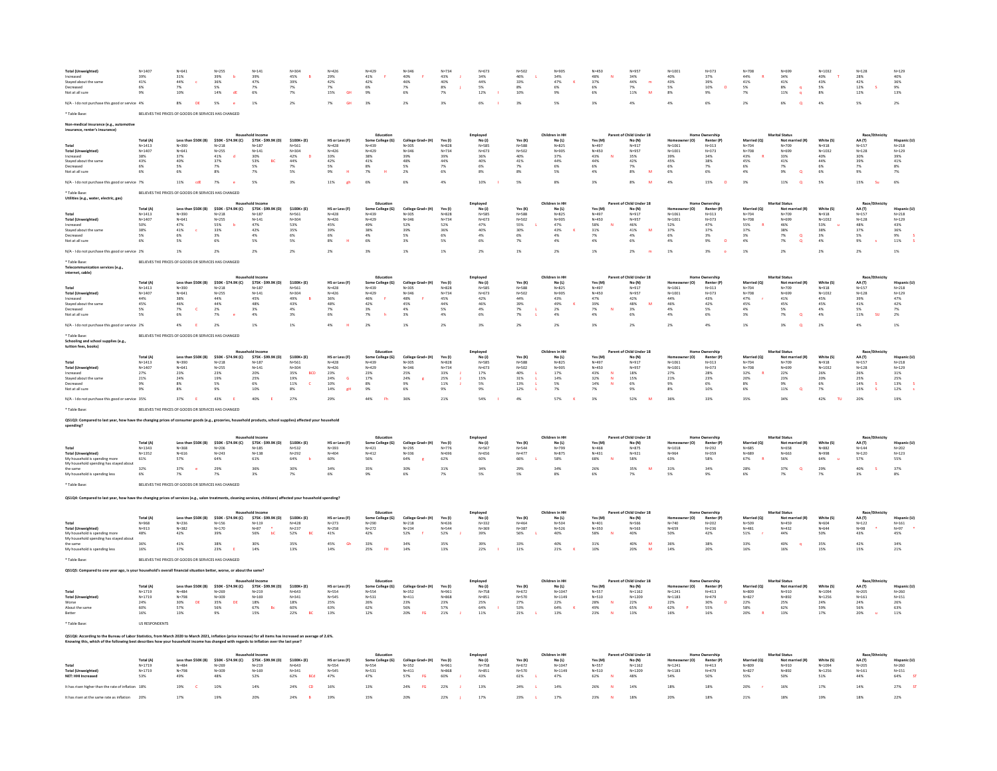| <b>Total (Un</b><br>ncreared<br>Stayed about the same<br>Decreased<br>Vot at all sure                                                                                                   | $N = 1407$<br>39%<br>$41\%$<br>6% | N=641<br>31%<br>44%<br>$\epsilon$<br>7%<br>10%       | $N = 255$<br>39%<br>$\mathbf{b}$<br>$36\%$<br>5%<br>14%<br>dE | $N = 141$<br>39%<br>47%<br>7%<br>6%      | $N = 304$<br>45%<br>8<br>39%<br>7%<br>7% | $N = 426$<br>29%<br>42%<br>7%<br>$15\%$<br><b>GH</b> | $N = 429$<br>41%<br>$42\%$<br>6%<br>9% | $N = 346$<br>40%<br>46%<br>7%<br>6%         | $N = 734$<br>$\frac{43\%}{40\%}$<br>8%<br>$7\%$ | $N = 673$<br>34%<br>$44\%$<br>5%<br>$12\%$ | $N = 502$<br>46%<br>33%<br>8%<br>10% | $N = 90$<br>34%<br>47%<br>$\,$ K<br>6%<br>9% | $N = 450$<br>48%<br>37%<br>6%<br>6% | $N = 957$<br>34%<br>44%<br>$\blacksquare$<br>7%<br>$11\%$ | $N = 1001$<br>40%<br>$43\%$<br>5%<br>$8\%$ | $N = 373$<br>37%<br>39%<br>10%<br>$\circ$<br>$9\%$ | $N = 708$<br>44%<br>$41\%$<br>5% | $N = 699$<br>34%<br>$41\%$<br>8%<br>$11\%$ | $N = 1032$<br>40%<br>43%<br>5%<br>$8\%$ | $N = 128$<br>28%<br>42%<br>12%<br>12% | $N = 129$<br>40%<br>36%<br>9%<br>13% |
|-----------------------------------------------------------------------------------------------------------------------------------------------------------------------------------------|-----------------------------------|------------------------------------------------------|---------------------------------------------------------------|------------------------------------------|------------------------------------------|------------------------------------------------------|----------------------------------------|---------------------------------------------|-------------------------------------------------|--------------------------------------------|--------------------------------------|----------------------------------------------|-------------------------------------|-----------------------------------------------------------|--------------------------------------------|----------------------------------------------------|----------------------------------|--------------------------------------------|-----------------------------------------|---------------------------------------|--------------------------------------|
| N/A - I do not purchase this good or service 4%                                                                                                                                         |                                   | $8\%$<br>DE                                          | 5%                                                            | 1%                                       | 2%                                       | $7\%$<br><b>GH</b>                                   | 3%                                     | 2%                                          | 3%                                              | 6%                                         | 3%                                   | S%                                           | $3\%$                               | 4%                                                        | 4%                                         | 6%                                                 | 2%                               | 6%                                         | 4%                                      | 5%                                    | 2%                                   |
|                                                                                                                                                                                         |                                   | BELIEVES THE PRICES OF GOODS OR SERVICES HAS CHANGED |                                                               |                                          |                                          |                                                      |                                        |                                             |                                                 |                                            |                                      |                                              |                                     |                                                           |                                            |                                                    |                                  |                                            |                                         |                                       |                                      |
| edical insurance (e.g., automotiv                                                                                                                                                       |                                   |                                                      |                                                               |                                          |                                          |                                                      |                                        |                                             |                                                 |                                            |                                      |                                              |                                     |                                                           |                                            |                                                    |                                  |                                            |                                         |                                       |                                      |
| insurance, renter's insurance)                                                                                                                                                          |                                   |                                                      |                                                               |                                          |                                          |                                                      |                                        |                                             |                                                 | Employe                                    |                                      |                                              |                                     | Child Under 18                                            |                                            |                                                    |                                  |                                            |                                         |                                       |                                      |
|                                                                                                                                                                                         | <b>Total (A)</b><br>$N = 1413$    | Less than \$50K (B)<br>$N = 390$                     | \$50K - \$74.9K (C)<br>$N = 218$                              | \$75K - \$99.9K (D)<br>$N = 187$         | $$100K + (E)$<br>$N = 561$               | HS or Less (F)<br>$N = 428$                          | Some College (G)<br>$N = 439$          | College Grad+ (H)<br>$N = 305$              | Yes (I)<br>$N = 828$                            | No (J)<br>$N = 58$                         | Yes (K)<br>$N = 588$                 | No (L)<br>$N = 825$                          | Yes (M)<br>$N = 497$                | No (N)<br>$N = 917$                                       | $N = 1061$                                 | Renter (P)<br>$N = 313$                            | Married (Q)<br>$N = 704$         | Not married (R)<br>$N = 709$               | White (S)<br>$N = 918$                  | AA (T)<br>$N = 157$                   | Hispanic (I<br>$N = 218$             |
| <b>Total (Unweighted)</b><br>Increased                                                                                                                                                  | $N = 1407$<br>$38\%$              | $N = 641$<br>37%                                     | $N=255$<br>41%                                                | $N = 141$<br>$\frac{30\%}{53\%}$         | $N = 304$<br>$42\%$                      | $N = 426$<br>$33\%$                                  | $N = 429$<br>$38\%$                    | $N = 346$<br>39%                            | $N = 734$<br>39%                                | $N = 673$<br>36%                           | $N = 502$<br>40%                     | $N = 905$<br>37%                             | $N = 450$<br>43%                    | $N = 957$<br>$35\%$                                       | $N = 1001$<br>$39\%$                       | $N = 373$<br>34%                                   | $N = 708$<br>$43\%$              | $N = 699$<br>33%                           | $N = 1032$<br>40%                       | $N = 128$<br>30%                      | $N = 129$<br>39%                     |
| Staved about the same                                                                                                                                                                   | 43%<br>6%                         | 40%<br>5%                                            | 37%<br>7K                                                     | BC<br>$5\%$                              | 44%<br>7%                                | 42%<br>5%                                            | 41%<br>8%                              | 48%<br>S%                                   | 44%                                             | 40%<br>$6\%$                               | 41%                                  | 44%<br>6%                                    | 44%                                 | 42%<br>7%                                                 | 45%<br>6%                                  | 38%<br>7%                                          | 45%<br>6%                        | 41%<br>7%                                  | 44%<br>$6\%$                            | 39%<br>7%                             | 41%                                  |
| Not at all sure                                                                                                                                                                         | 6%                                | 6%                                                   | $8\%$                                                         | 7%                                       | 5%                                       | <b>H</b><br>9%                                       | 7%                                     | 2%                                          | 6%                                              | 8%                                         | 8%                                   | 5%                                           | $^{6\%}_{4\%}$                      | M<br>$8\%$                                                | 6%                                         | 6%                                                 | 4%                               | 9%<br>$\circ$                              | 6%                                      | 9%                                    | $\frac{8\%}{7\%}$                    |
| V/A - I do not purchase this good or service 7%                                                                                                                                         |                                   | 11%<br>cdE                                           | 7%<br>$^{\circ}$                                              | 5%                                       | 3%                                       | 11%<br>ch                                            | 6%                                     | 6%                                          | 4%                                              | 10%                                        | 5%                                   | 8%                                           | 3%                                  | 8%                                                        | 4%                                         | 15%                                                | 3%                               | 11%                                        | 5%                                      | 15%                                   | 6%                                   |
| <b>Table Base</b><br>Utilities (e.g., water, electric, gas)                                                                                                                             |                                   | BELIEVES THE PRICES OF GOODS OR SERVICES HAS CHANGED |                                                               |                                          |                                          |                                                      |                                        |                                             |                                                 |                                            |                                      |                                              |                                     |                                                           |                                            |                                                    |                                  |                                            |                                         |                                       |                                      |
|                                                                                                                                                                                         | Total (A                          |                                                      |                                                               |                                          | $$100K + (E)$                            |                                                      | Education                              |                                             |                                                 | Employee                                   |                                      | Children in HI                               |                                     | Parent of Child Under 18                                  |                                            | <b>Home Ownership</b><br>Rent                      | Married (Q)                      | <b>Marital Status</b>                      |                                         | Race/Ethr                             |                                      |
|                                                                                                                                                                                         | $N = 1413$                        | $N = 390$                                            | \$50K - \$74.9K (C)<br>$N = 218$                              | \$75K - \$99.9K (D)<br>$N = 187$         | N=561<br>$N = 304$                       | HS or Less (F)<br>$N = 428$                          | Some College (G)<br>$N = 439$          | College Grad+ (H)<br>$N = 305$<br>$N = 346$ | Yes (I)<br>$N = 828$<br>$N = 724$               | No(1)<br>$N = 585$<br>$N = 673$            | Yes (K)<br>$N = 588$                 | No (L)<br>$N = 825$                          | Yes (M)<br>$N = 497$                | $N = 917$                                                 | $N = 1061$                                 | $N = 313$                                          | $N = 704$                        | $N = 709$                                  | White (S)<br>$N = 918$                  | AA (T)<br>$N = 157$                   | Hispanic (U<br>$N = 218$             |
| <b>Total (Unweighted</b><br>Increased                                                                                                                                                   | $N = 1407$<br>50%                 | $N = 641$<br>47%                                     | $N = 255$<br>55%                                              | $N=141$<br>$47%$                         | 53%                                      | $N = 426$<br>45%                                     | $N = 429$<br>49%                       | 52%                                         | 52%                                             | 47%                                        | $N = 502$<br>55%                     | $N = 905$<br>47%                             | $N = 450$<br>58%                    | N=957<br>46%                                              | $N = 1001$<br>52%                          | $N = 373$<br>47%                                   | $N = 708$<br>55%                 | $N = 699$<br>46%                           | $N = 1032$<br>53%                       | $N = 128$<br>48%                      | $N = 129$<br>43%                     |
| Stayed about the sam<br>Decreased                                                                                                                                                       | 38%<br>5%                         | 41%<br>6%                                            | 33%<br>3%                                                     | $42\%$<br>4%                             | 35%<br>6%                                | 39%<br>6%                                            | 38%<br>4%                              | 39%<br>5%                                   | 36%<br>6%                                       | 40%<br>4%                                  | 30%<br>6%                            | 43%<br><b>V</b><br>4%                        | $31\%$<br>7%                        | 41%<br>M<br>4%                                            | 37%<br>6%                                  | 37%<br>3%                                          | 37%<br>3%                        | $38\%$<br>$\alpha$<br>7%                   | 38%<br>3%                               | 37%<br>5%                             | 36%<br>9%                            |
| Not at all sure                                                                                                                                                                         |                                   | 5%                                                   | 6%                                                            | 5%                                       | $5\%$                                    | $8\%$                                                | 6%                                     | 3%                                          | $5\%$                                           | 6%                                         | 7%                                   | 4%                                           | 4%                                  | 6%                                                        | 4%                                         | 9%<br>$\circ$                                      | 4%                               | $7\%$<br>$\alpha$                          | $4\%$                                   | $9\%$                                 | $11\%$                               |
| N/A - I do not purchase this good or service 2%                                                                                                                                         |                                   | 1%                                                   | 2%                                                            | 2%                                       | 2%                                       | 2%                                                   | 3%                                     | 1%                                          | 1%                                              | 2%                                         | 1%                                   | 2 <sup>5</sup>                               | $1\%$                               | $2\%$                                                     | 1%                                         | 3%                                                 | 1%                               | 2%                                         | 2%                                      | 2%                                    | 1%                                   |
| Table Base<br>Telecommunication services (e.g.,<br>internet, cable)                                                                                                                     |                                   | BELIEVES THE PRICES OF GOODS OR SERVICES HAS CHANGED |                                                               |                                          |                                          |                                                      |                                        |                                             |                                                 |                                            |                                      |                                              |                                     |                                                           |                                            |                                                    |                                  |                                            |                                         |                                       |                                      |
|                                                                                                                                                                                         | Total (A)                         | Less than \$50K (B)                                  | \$50K - \$74.9K (C)                                           | \$75K - \$99.9K (D)                      | \$100K+(E)                               | HS or Less (F)                                       | Educat<br>Some College (G)<br>N=439    | College Grad+ (H)                           | Yes (I)                                         | Employee<br>No(1)                          | Yes $(K)$                            | Children in HI<br>No (L)                     | Yes (M)                             | Parent of Child Under 18<br>No (N)                        |                                            | ne Ownership<br>Renter (P)<br>N=313                | Married (O)                      | <b>Marital Status</b><br>Not man $N=709$   | White (S)                               | Race/Et<br>AA (T)                     | Hispanic (L                          |
| <b>Total (Unweighted)</b>                                                                                                                                                               | $N = 1413$<br>$N = 1407$          | $N = 390$<br>$N = 641$                               | $N = 218$<br>$N = 255$                                        | $N = 187$<br>$N = 141$                   | N=561<br>$N = 304$                       | $N = 428$<br>$N = 426$                               | $N = 429$                              | $N = 305$<br>$N = 346$                      | $N = 828$<br>$N = 724$                          | $N = 585$<br>$N = 673$                     | $N = 588$<br>$N = 502$               | $N = 825$<br>$N = 905$                       | $N = 497$<br>$N = 450$              | $N = 917$<br>$N = 957$                                    | $N = 1061$<br>$N = 1001$                   | $N = 373$                                          | $N = 704$<br>$N = 708$           | $N = 699$                                  | $N = 918$<br>$N = 1032$                 | $N = 157$<br>$N = 128$                | $N = 218$<br>$N = 129$               |
| ncreased<br>Staved about the same                                                                                                                                                       | $44\%$<br>45%                     | $38\%$<br>46%                                        | $44\%$<br>44%                                                 | 45%<br>48%                               | B<br>49%<br>43%                          | $36\%$<br>48%                                        | $46\%$<br>- P<br>42%                   | $48\%$<br>45%                               | 45%<br>44%                                      | $42\%$<br>46%                              | $44\%$<br>39%                        | 43%<br>49%                                   | 47%<br>39%                          | $42\%$<br>48%<br>M                                        | $44\%$<br>46%                              | 43%<br>42%                                         | $47\%$<br>45%                    | $41\%$<br>45%                              | 45%<br>45%                              | 39%<br>41%                            | 47%<br>42%                           |
| Decreased<br>Not at all sure                                                                                                                                                            | 5%<br>5%                          | <b>c</b><br>7%<br>6%                                 | $2\%$<br>7%                                                   | $3\%$<br>4%                              | 4%<br>$3\%$                              | 7%<br>6%                                             | 3%<br>7%                               | 4%<br>3%                                    | 5%<br>4%                                        | $4\%$<br>$6\%$                             | $7\%$<br>$7\%$                       | 2%<br>4%                                     | $7\%$<br>4%                         | 3%<br>6%                                                  | 4%<br>4%                                   | 5%<br>6%                                           | 4%<br>3%                         | 5%<br>7%<br>$\Omega$                       | 4%<br>4%                                | 5%<br>$11\%$<br><b>SH</b>             | 7%<br>2%                             |
| N/A - I do not purchase this good or service 2%                                                                                                                                         |                                   | 4%<br>Æ                                              | 2%                                                            | 1%                                       | 1%                                       | 4%                                                   | 2%                                     | 1%                                          | 2%                                              | 3%                                         | 2%                                   | 2%                                           | 3%                                  | 2%                                                        | 2%                                         | 4%                                                 | 1%                               | 3%                                         | 2%                                      | 4%                                    | 1%                                   |
| Table Rase<br>Schooling and school supplies (e.g.,<br>tuition fees, books)                                                                                                              |                                   | BELIEVES THE PRICES OF GOODS OR SERVICES HAS CHANGED |                                                               |                                          |                                          |                                                      |                                        |                                             |                                                 |                                            |                                      |                                              |                                     |                                                           |                                            |                                                    |                                  |                                            |                                         |                                       |                                      |
|                                                                                                                                                                                         | <b>Total (A)</b>                  | Less than \$50K (B)                                  | \$50K - \$74.9K (C)                                           | \$75K - \$99.9K (D)                      | \$100K+(E)                               | HS or Less (F)                                       | Some College (G)                       | College Grad+ (H)                           | Yes (I)                                         | Employer<br>No(1)                          | Yes (K)                              | Children in H<br>No (L)                      | Yes (M)                             | Parent of Child Under 18<br>No (N)                        | r (O)                                      | Renter (P)                                         | Married (O)                      | Not married (R)                            | White (S)                               | AA (T)                                | Hispanic (U                          |
| <b>Total (Unweighted)</b>                                                                                                                                                               | $N = 1413$<br>$N = 1407$          | $N = 390$<br>$N = 641$                               | $\mathsf{N}{=}218$<br>$N=255$                                 | $N = 187$<br>$N = 141$                   | $N = 561$<br>$N = 304$                   | $N = 428$<br>$N = 426$                               | N=439<br>$N = 429$                     | $N = 305$<br>$N = 346$                      | $N = 828$<br>$N = 734$                          | $N = 585$<br>$N = 673$                     | N=588<br>$N = 502$                   | $N = 825$<br>$N = 905$                       | N=497<br>$N = 450$                  | $N = 917$<br>$N = 957$                                    | $N = 1061$<br>$N = 1001$                   | $N = 313$<br>$N = 373$                             | $N = 704$<br>$N = 708$           | $N = 709$<br>$N = 699$                     | $N = 918$<br>$N = 1032$                 | $N = 157$<br>$N = 128$                | $N = 218$<br>$N = 129$               |
| Increased<br>Staved about the same                                                                                                                                                      | $27\%$<br>21%                     | $23\%$<br>24%                                        | $23\%$<br>19%                                                 | 20%<br>25%                               | $35\%$<br>BCD<br>19%                     | $23\%$<br>24%<br>$\overline{G}$                      | $23\%$<br>17%                          | $25\%$<br>24%                               | $33\%$<br>25%                                   | $17\%$<br>15%                              | 40%<br>31%                           | $17\%$<br>14%                                | 43%<br>32%<br>N                     | $18\%$<br>15%                                             | $27\%$<br>21%                              | 28%<br>23%                                         | $32\%$<br>20%                    | $22\%$<br>23%                              | $26\%$<br>20%                           | $26\%$<br>25%                         | $31\%$<br>25%                        |
| ecreased                                                                                                                                                                                |                                   | 8%                                                   | S%                                                            | 6%                                       | $11\%$                                   | 10%                                                  | 8%                                     |                                             | $11\%$                                          | 5%                                         | 13%                                  |                                              | $14\%$                              |                                                           | 9%                                         | 6%                                                 | 8%                               |                                            | 6%                                      | $14\%$<br>s                           | $13\%$                               |
| Not at all sure                                                                                                                                                                         | 9%                                | 8%                                                   | 9%                                                            | 10%                                      | $8\%$                                    | 14%<br>eH                                            | 9%                                     | 6%                                          | 9%                                              | 9%                                         | 12%                                  | 7%                                           | 7%                                  | $9\%$                                                     | 8%                                         | 10%                                                | 6%                               | 11%<br>$\circ$                             | $7\%$                                   | 15%                                   | 12%                                  |
| N/A - I do not purchase this good or service 35%                                                                                                                                        |                                   | 37%<br>- E                                           | 43%<br>- F                                                    | 40%                                      | 27%                                      | 29%                                                  | 44%                                    | 36%                                         | 21%                                             | 54%                                        | 4%                                   | 57%                                          | 3%                                  | 52%                                                       | 36%                                        | 33%                                                | 35%                              | 34%                                        | 42%                                     | 20%                                   | 19%                                  |
| Table Base<br>Q\$1Q3: Compared to last year, how have the changing prices of consumer goods (e.g., groceries, household products, school supplies) affected your household<br>spending? |                                   | BELIEVES THE PRICES OF GOODS OR SERVICES HAS CHANGED |                                                               |                                          |                                          |                                                      |                                        |                                             |                                                 |                                            |                                      |                                              |                                     |                                                           |                                            |                                                    |                                  |                                            |                                         |                                       |                                      |
|                                                                                                                                                                                         |                                   |                                                      |                                                               | <b>Household Incom</b>                   |                                          |                                                      | Educatio                               |                                             |                                                 | Employee                                   |                                      | Children in HI                               |                                     | Parent of Child Under 18                                  |                                            | Home Ownershi                                      |                                  | <b>Marital Status</b>                      |                                         | Race/Etl                              |                                      |
|                                                                                                                                                                                         | Total (A)                         | Less than \$50K (B)                                  | \$50K - \$74.9K (C)                                           | \$75K - \$99.9K (D)                      | $$100K + (E)$                            | HS or Less (F)                                       | Some College (G)                       | College Grad+ (H)                           | Yes (I                                          | No(1)                                      | Yes (K)                              | No (L)                                       | Yes (M)                             |                                                           |                                            |                                                    |                                  |                                            | White (S)                               | AA (T)                                |                                      |
| Total<br><b>Total (Unweighted)</b>                                                                                                                                                      | $N = 1343$<br>$N = 1352$          | $N = 368$<br>$N = 616$                               | $N = 206$<br>$N = 243$                                        | $N = 185$<br>$N=138$                     | $N = 532$<br>$N = 292$                   | $N = 393$<br>$N = 404$                               | $N = 421$<br>$N = 412$                 | $N = 295$<br>$N = 336$                      | $N = 776$<br>$N = 696$                          | $N = 567$<br>$N = 656$                     | $N = 544$<br>$N = 477$               | $N = 799$<br>$N = 875$                       | $N = 468$<br>$N = 431$              | $N = 875$<br>$N = 921$                                    | $N = 1018$<br>$N = 964$                    | $N = 292$<br>$N = 359$                             | $N = 685$<br>N=689               | $N=658$<br>$N = 663$                       | $N = 882$<br>N=998                      | $N = 144$<br>$N = 120$                | $N = 202$<br>$N = 123$               |
| My household is spending more<br>My household spending has stayed abou                                                                                                                  | 61%                               | 57%                                                  | 64%                                                           | 61%                                      | 64%                                      | 60%                                                  | 56%                                    | 64%                                         | 62%                                             | 60%                                        | 66%                                  | 58%                                          | 68%                                 | 58%                                                       | 63%                                        | 58%                                                | 67%                              | 56%                                        | 64%                                     | 57%                                   | 55%                                  |
| the same<br>My household is spending les                                                                                                                                                | 32%                               | 37%<br>7%                                            | 29%                                                           | 36%                                      | 30%                                      | 34%<br>6%                                            | 35%                                    | 30%<br>6%                                   | 31%                                             | 34%                                        | 29%                                  | 34%                                          | 26%<br>6%                           | 35%<br>- 54                                               | 31%                                        | 34%<br>9%                                          | 28%                              | 37%<br>$\circ$                             | 29%                                     | 40%<br>3%                             | 37%                                  |
| Table Rase                                                                                                                                                                              |                                   | BELIEVES THE PRICES OF GOODS OR SERVICES HAS CHANGED |                                                               |                                          |                                          |                                                      |                                        |                                             |                                                 |                                            |                                      |                                              |                                     |                                                           |                                            |                                                    |                                  |                                            |                                         |                                       |                                      |
|                                                                                                                                                                                         |                                   |                                                      |                                                               |                                          |                                          |                                                      |                                        |                                             |                                                 |                                            |                                      |                                              |                                     |                                                           |                                            |                                                    |                                  |                                            |                                         |                                       |                                      |
| Q\$1Q4: Compared to last year, how have the changing prices of services (e.g., salon treatments, cleaning services, childcare) affected your hou:                                       |                                   |                                                      |                                                               |                                          |                                          | old spending?                                        |                                        |                                             |                                                 |                                            |                                      |                                              |                                     |                                                           |                                            |                                                    |                                  |                                            |                                         |                                       |                                      |
|                                                                                                                                                                                         |                                   |                                                      |                                                               |                                          |                                          |                                                      |                                        |                                             |                                                 | Employee                                   |                                      | Iren in H                                    |                                     | f Child Hoder 19                                          |                                            |                                                    |                                  | ral Cratu                                  |                                         |                                       |                                      |
|                                                                                                                                                                                         | Total (A)<br>$N = 968$            | Less than \$50K (B)<br>$N = 236$                     | \$50K - \$74.9K (C)<br>$N=156$<br>$N=170$                     | \$75K - \$99.9K (D)<br>$N=119$<br>$N=87$ | \$100K+(E)<br>$N = 428$<br>$N = 237$     | HS or Less (F)<br>$N = 273$                          | Some College (G)<br>$N=290$<br>$N=272$ | College Grad+ (H)<br>$N = 218$              | <b>Yes</b> (I)<br>$N = 636$                     | No(1)<br>$N = 332$                         | Yes (K)<br>$N = 464$                 | No (L)<br>N=504                              | Yes (M)<br>$N = 401$<br>$N = 350$   | No (N)<br>$N = 566$                                       | r (O)<br>$N = 740$                         | Renter (P)<br>$N = 202$                            | Married (Q)<br>$N = 509$         | Not married (R)<br>$N = 459$               | White (S)<br>N=604                      | AA (T)<br>$N = 122$                   | Hispanic (I<br>$N = 161$             |
| <b>Total (Unweighted)</b><br>My household is spending more                                                                                                                              | $N = 913$<br>48%                  | $N = 382$<br>42%                                     | 39%                                                           | 56%                                      | 52%<br><b>BC</b>                         | $N = 258$<br>41%                                     | 42%                                    | $N = 234$<br>52%                            | $N = 544$<br>52%                                | $N = 369$<br>39%                           | $N = 387$<br>56%                     | $N = 526$<br>40%                             | 58%                                 | $N = 563$<br>40%                                          | $N = 659$<br>50%                           | $N = 236$<br>42%                                   | $N = 481$<br>51%                 | $N = 432$<br>44%                           | $N = 644$<br>50%                        | $N = 98$<br>43%                       | $N = 97$<br>45%                      |
| My household spending has stayed about                                                                                                                                                  | 36%                               | 41%                                                  | 38%                                                           | 30%                                      | 35%                                      | $\frac{45\%}{14\%}$<br>Gh                            | $33\%$                                 | 34%                                         | 35%                                             | 39%                                        | 33%                                  | 40%                                          | $31\%$ 10%                          | $40\%$                                                    | 36%                                        | 38%                                                | 33%                              | 40%                                        | 35%                                     | 42%                                   | 34%<br>21%                           |
| My household is spending less                                                                                                                                                           | 16%                               | 17%                                                  | 23%                                                           | 14%                                      | 13%                                      |                                                      | H<br>25%                               | 14%                                         | 13%                                             | 22%                                        | 11%                                  | 21%                                          |                                     | 20%                                                       | 14%                                        | 20%                                                | 16%                              | 16%                                        | 15%                                     | 15%                                   |                                      |
|                                                                                                                                                                                         |                                   | BELIEVES THE PRICES OF GOODS OR SERVICES HAS CHANGED |                                                               |                                          |                                          |                                                      |                                        |                                             |                                                 |                                            |                                      |                                              |                                     |                                                           |                                            |                                                    |                                  |                                            |                                         |                                       |                                      |
| QS1Q5: Compared to one year ago, is your household's overall financial situation                                                                                                        |                                   |                                                      | better, worse, or about the same?                             |                                          |                                          |                                                      |                                        |                                             |                                                 |                                            |                                      |                                              |                                     |                                                           |                                            |                                                    |                                  |                                            |                                         |                                       |                                      |
|                                                                                                                                                                                         | <b>Total (A)</b>                  | Less than \$50K (B)                                  | \$50K - \$74.9K (C)                                           | \$75K - \$99.9K (D)                      | \$100K+(E)                               | HS or Less (F)                                       | Some College (G)                       | College Grad+ (H)                           | Yes (I)                                         | Employer<br>No(1)                          | Yes (K)                              | Children in HI<br>No (L)                     |                                     | Parent of Child Under 18<br>No (N)                        | er (O)<br>Homeov                           | Renter (P)                                         | Married (Q)                      | Marital Status<br>Not married (R)          | White (S)                               | Race/E<br>AA (T)                      | Hispanic (U                          |
| <b>Total (Unweighted)</b>                                                                                                                                                               | $N = 1719$<br>$N = 1719$          | $N = 484$<br>$N = 798$                               | $N = 269$<br>$N = 309$                                        | $N = 219$                                | $N = 643$<br>$N = 3.41$                  | N=554<br>$N = SAS$                                   | $N =$ 554<br>$N = 531$                 | $N = 352$<br>$N = 411$                      | $N = 961$<br>$N = 868$                          | $N = 758$<br>$N = 851$                     | $N = 672$<br>$N = 570$               | $N = 1047$<br>$N = 1149$                     | Yes (M)<br>N=557<br>$N = 510$       | $N = 1162$<br>$N = 1209$                                  | $N = 1241$                                 | $N = 413$<br>$N = 479$                             | $N = 809$<br>$N = 827$           | $N = 910$<br>$N = 892$                     | $N = 1094$<br>N=1256                    | $N=205$<br>$N = 161$                  | $N = 260$<br>$N = 151$               |
| Worse                                                                                                                                                                                   | $24\%$                            | $30\%$<br>$\mathsf{DE}$                              | $35\%$<br>DE                                                  | $N = 169$<br>18%                         | $18\%$                                   | 25%                                                  | 26%                                    | $23\%$                                      | $23\%$                                          | $25\%$                                     | $27\%$                               | 22%                                          | 28%                                 | $22\%$                                                    | $N = 1183$<br>$22\%$                       | 30%<br>$\circ$                                     | $22\%$                           | $25\%$                                     | 24%                                     | 24%                                   | $26\%$                               |
| About the same                                                                                                                                                                          | 60%<br>16%                        | 57%<br>13%                                           | 56%<br>9%                                                     | 67%<br>Bc<br>15%                         | 60%<br>22%<br>BC                         | 63%<br>13%                                           | 62%<br>12%                             | 56%<br>FG                                   | 57%<br>21%                                      | 64%<br>11%                                 | 53%<br>21%                           | 64%<br><b>K</b><br>13%                       | 49%<br>23%                          | 65%<br>M<br>13%                                           | 62%<br>$\mathbf{P}$<br>16%                 | 55%<br>16%                                         | 58%<br>20%                       | 62%                                        | 59%<br>17%                              | 56%<br>20%                            | 63%                                  |
|                                                                                                                                                                                         | <b>US RESPONDENTS</b>             |                                                      |                                                               |                                          |                                          |                                                      |                                        |                                             |                                                 |                                            |                                      |                                              |                                     |                                                           |                                            |                                                    |                                  |                                            |                                         |                                       |                                      |
| 1Q6: According to the Bureau of Labor Statistics, from March 2020 to March 2021, inflation (price increase) for all items has increased an average of 2.6%.                             |                                   |                                                      |                                                               |                                          |                                          |                                                      |                                        |                                             |                                                 |                                            |                                      |                                              |                                     |                                                           |                                            |                                                    |                                  |                                            |                                         |                                       |                                      |
| Knowing this, which of the following best describes how your household income has changed with regards to inflation over the last year?                                                 |                                   |                                                      |                                                               |                                          |                                          |                                                      |                                        |                                             |                                                 |                                            |                                      |                                              |                                     |                                                           |                                            |                                                    |                                  |                                            |                                         |                                       |                                      |
|                                                                                                                                                                                         | <b>Total (A)</b>                  | Less than \$50K (B)                                  | \$50K - \$74.9K (C)                                           | \$75K - \$99.9K (D)                      | \$100K+(E)                               | HS or Less (F)                                       | Some College (G)                       | College Grad+ (H)                           | Yes (I)                                         | Employee<br>No(1)                          | Yes (K)                              | Children in H<br>No (L)                      | Yes (M                              | t of Child Under 18<br>No (N)                             | r(0)                                       | Renter (P)                                         | Married (O)                      | Not married (R)                            | White (S)                               | Race/E<br>AA (T)                      | Hispanic (U)                         |
| <b>Total (Unweighted)</b>                                                                                                                                                               | $N = 1719$<br>$N = 1719$          | $N = 484$<br>$N = 798$                               | $N = 269$<br>$N = 309$                                        | $N=219$<br>$N = 169$                     | $N = 643$<br>$N = 341$                   | N=554<br>$N = S4S$                                   | N=554<br>$N = 531$                     | $N = 352$<br>$N = 411$                      | N=961<br>$N = 868$                              | $N=758$<br>$N = 851$                       | $N = 672$<br>$N = 570$               | $N = 1047$<br>$N = 1149$                     | $N =$ 557<br>$N = 510$              | $N = 1162$<br>$N = 1209$                                  | N=1241<br>$N = 1183$                       | $N = 413$<br>$N = 479$                             | N=809<br>$N = 827$               | N=910<br>$N = 892$                         | $N = 1094$<br>$N = 1256$                | $N = 205$<br>$N = 161$                | $N = 260$<br>$N = 151$               |
| <b>VET: HHI Increased</b>                                                                                                                                                               | 53%                               | 49%                                                  | 48%                                                           | $52\%$                                   | $62\%$<br>BCd                            | $47\%$                                               | 47%                                    | 57%                                         | 60%                                             | $43\%$                                     | 61%                                  | 47%                                          | 62%                                 | 48%                                                       | 54%                                        | 50%                                                | 55%                              | 50%                                        | 51%                                     | 44%                                   | 64%                                  |
|                                                                                                                                                                                         |                                   | 19%                                                  | 10%                                                           | 14%                                      | 24%                                      | 16%                                                  | 139                                    | 24%                                         | 22%                                             | 13%                                        | 24%                                  | 14%                                          |                                     | 14%                                                       | 189                                        | 18%                                                | 20%                              | 169                                        | 17%                                     | 14%                                   |                                      |
| It has risen at the same rate as inflation                                                                                                                                              |                                   | 17%                                                  | 199                                                           | 20%                                      | 24%                                      | 199                                                  |                                        | 209                                         | 22%                                             | 17%                                        | 23%                                  |                                              |                                     |                                                           |                                            | 18%                                                | 21%                              |                                            |                                         |                                       |                                      |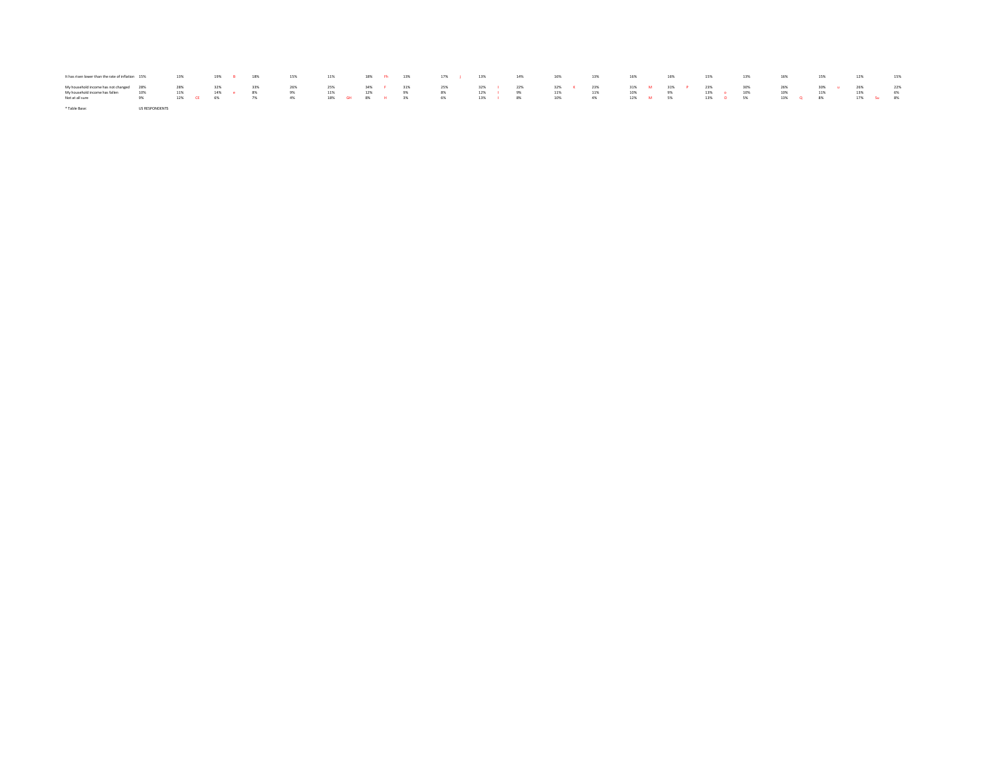| It has risen lower than the rate of inflation 15%                                                                    |                       | $13\%$ and $13\%$ |  | 19% B 18% |           | 15%<br>$11\%$              |     |     |                            | 18% Fh 13% 17% i 13% |  | 14% 16%                                                         |               | 13% | 16% | 16% | 15% | 13%                            | 16%           | 15% | 12%                                        | 15% |
|----------------------------------------------------------------------------------------------------------------------|-----------------------|-------------------|--|-----------|-----------|----------------------------|-----|-----|----------------------------|----------------------|--|-----------------------------------------------------------------|---------------|-----|-----|-----|-----|--------------------------------|---------------|-----|--------------------------------------------|-----|
| My household income has not changed 28% 28% 28% 32%<br>My household income has fallen 10% 11% 11%<br>Not at all sure | 9% 12% CE 6%          |                   |  | 14% e 8%  | 33%<br>7% | 25%<br>26%<br>9%<br>$-4\%$ | 11% | 12% | $9\%$<br>18% GH 8% H 3% 6% | 34% F 31% 25%<br>8%  |  | 32% I 22% 32% K 23% 31% M 31% P 23% 30%<br>12%   9%<br>13%   8% | 11%<br>10% 4% | 11% | 10% | 9%  |     | 13% o 10%<br>12% M 5% 13% O 5% | $26\%$<br>10% | 11% | 30% u 26% 22%<br>13%<br>13% Q 8% 17% Su 8% | 6%  |
| * Table Base:                                                                                                        | <b>US RESPONDENTS</b> |                   |  |           |           |                            |     |     |                            |                      |  |                                                                 |               |     |     |     |     |                                |               |     |                                            |     |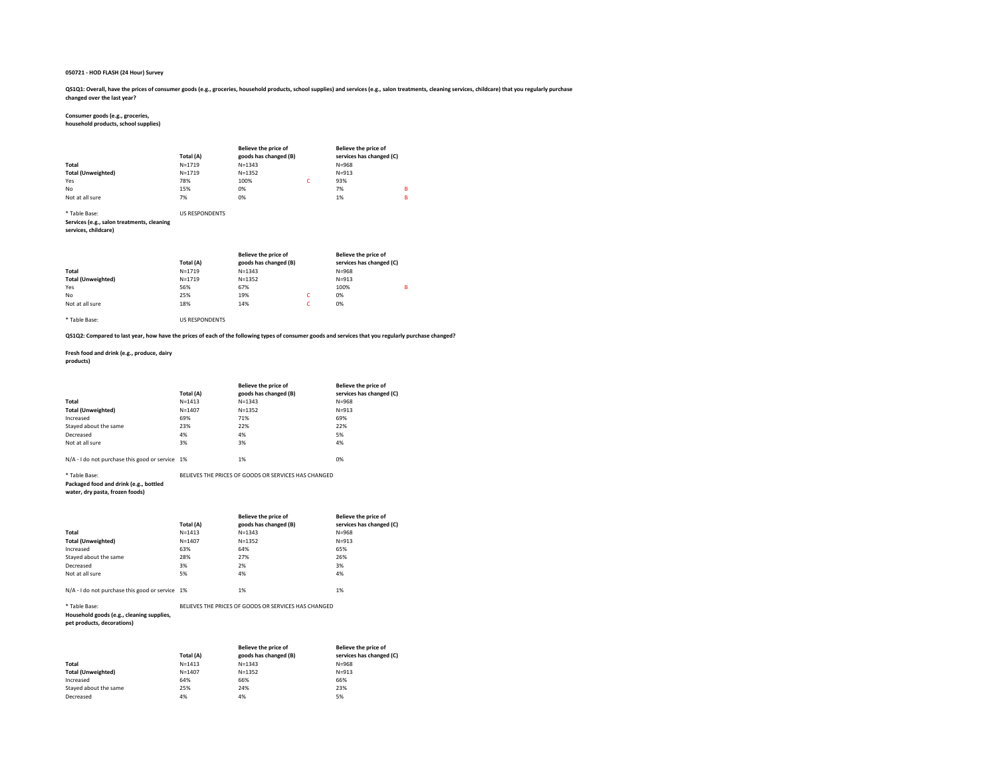QS1Q1: Overall, have the prices of consumer goods (e.g., groceries, household products, school supplies) and services (e.g., salon treatments, cleaning services, childcare) that you regularly purchase changed over the last year?

#### Consumer goods (e.g., groceries,

household products, school supplies)

|                           | Total (A)  | Believe the price of<br>goods has changed (B) | Believe the price of<br>services has changed (C) |   |
|---------------------------|------------|-----------------------------------------------|--------------------------------------------------|---|
| Total                     | $N = 1719$ | $N = 1343$                                    | $N = 968$                                        |   |
| <b>Total (Unweighted)</b> | $N = 1719$ | $N = 1352$                                    | $N = 913$                                        |   |
| Yes                       | 78%        | 100%                                          | 93%                                              |   |
| No                        | 15%        | 0%                                            | 7%                                               | в |
| Not at all sure           | 7%         | 0%                                            | 1%                                               | в |

#### \* Table Base: US RESPONDENTS

Services (e.g., salon treatments, cleaning

#### services, childcare)

|                           | Total (A)  | Believe the price of<br>goods has changed (B) |   | Believe the price of<br>services has changed (C) |   |
|---------------------------|------------|-----------------------------------------------|---|--------------------------------------------------|---|
| Total                     | $N = 1719$ | $N = 1343$                                    |   | $N = 968$                                        |   |
| <b>Total (Unweighted)</b> | $N = 1719$ | $N = 1352$                                    |   | $N = 913$                                        |   |
| Yes                       | 56%        | 67%                                           |   | 100%                                             | B |
| No                        | 25%        | 19%                                           | c | 0%                                               |   |
| Not at all sure           | 18%        | 14%                                           | c | 0%                                               |   |

\* Table Base: US RESPONDENTS

#### QS1Q2: Compared to last year, how have the prices of each of the following types of consumer goods and services that you regularly purchase changed?

Fresh food and drink (e.g., produce, dairy products)

|                           | Total (A)  | Believe the price of<br>goods has changed (B) | Believe the price of<br>services has changed (C) |
|---------------------------|------------|-----------------------------------------------|--------------------------------------------------|
| Total                     | $N = 1413$ | $N = 1343$                                    | $N = 968$                                        |
| <b>Total (Unweighted)</b> | $N = 1407$ | $N = 1352$                                    | $N = 913$                                        |
| Increased                 | 69%        | 71%                                           | 69%                                              |
| Staved about the same     | 23%        | 22%                                           | 22%                                              |
| Decreased                 | 4%         | 4%                                            | 5%                                               |
| Not at all sure           | 3%         | 3%                                            | 4%                                               |
|                           |            |                                               |                                                  |

N/A - I do not purchase this good or service 1% 1% 1% 1%

\* Table Base: BELIEVES THE PRICES OF GOODS OR SERVICES HAS CHANGED Packaged food and drink (e.g., bottled

### water, dry pasta, frozen foods)

|                                                 | Total (A)  | Believe the price of<br>goods has changed (B) | <b>Believe the price of</b><br>services has changed (C) |
|-------------------------------------------------|------------|-----------------------------------------------|---------------------------------------------------------|
| Total                                           | $N = 1413$ | $N = 1343$                                    | $N = 968$                                               |
| <b>Total (Unweighted)</b>                       | $N = 1407$ | $N = 1352$                                    | $N = 913$                                               |
| Increased                                       | 63%        | 64%                                           | 65%                                                     |
| Stayed about the same                           | 28%        | 27%                                           | 26%                                                     |
| Decreased                                       | 3%         | 2%                                            | 3%                                                      |
| Not at all sure                                 | 5%         | 4%                                            | 4%                                                      |
|                                                 |            |                                               |                                                         |
| N/A - I do not purchase this good or service 1% |            | 1%                                            | 1%                                                      |

## \* Table Base: BELIEVES THE PRICES OF GOODS OR SERVICES HAS CHANGED

Household goods (e.g., cleaning supplies,

pet products, decorations)

|                           | Total (A)  | Believe the price of<br>goods has changed (B) | Believe the price of<br>services has changed (C) |
|---------------------------|------------|-----------------------------------------------|--------------------------------------------------|
| Total                     | $N = 1413$ | $N = 1343$                                    | $N = 968$                                        |
| <b>Total (Unweighted)</b> | $N = 1407$ | $N = 1352$                                    | $N = 913$                                        |
| Increased                 | 64%        | 66%                                           | 66%                                              |
| Staved about the same     | 25%        | 24%                                           | 23%                                              |
| Decreased                 | 4%         | 4%                                            | 5%                                               |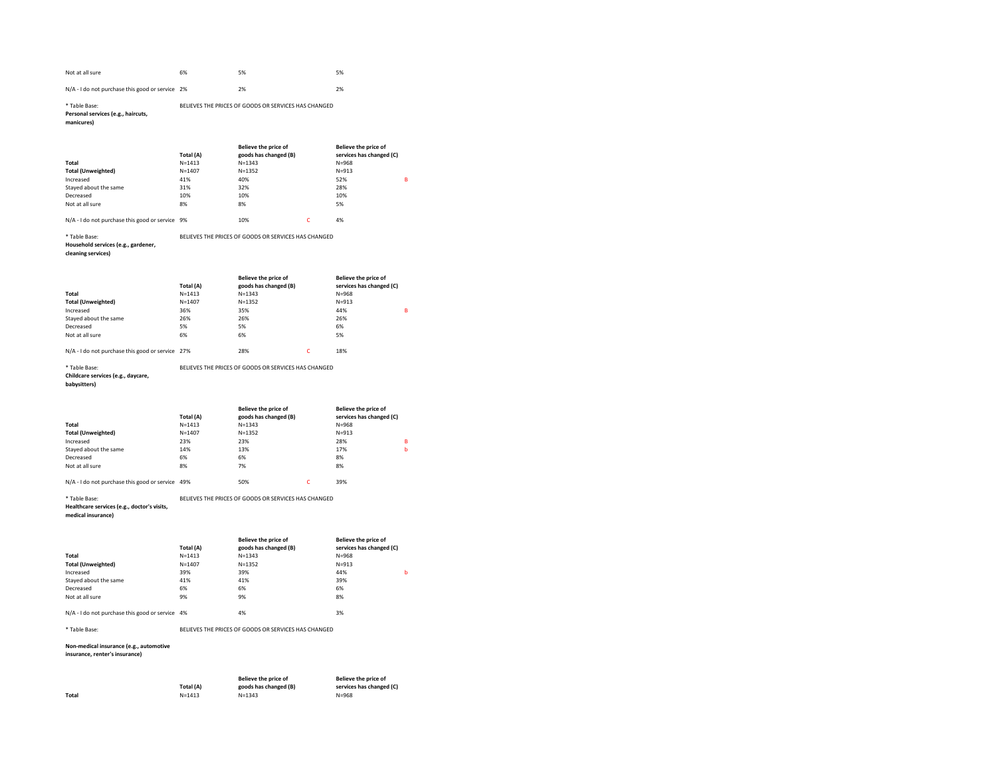| Not at all sure                                 | 6% | 5% | 5% |
|-------------------------------------------------|----|----|----|
| N/A - I do not purchase this good or service 2% |    | 2% | 2% |

#### \* Table Base: BELIEVES THE PRICES OF GOODS OR SERVICES HAS CHANGED Personal services (e.g., haircuts,

manicures)

|                                                 | Total (A)  | Believe the price of<br>goods has changed (B) |   | Believe the price of<br>services has changed (C) |   |
|-------------------------------------------------|------------|-----------------------------------------------|---|--------------------------------------------------|---|
| Total                                           | $N = 1413$ | $N = 1343$                                    |   | $N = 968$                                        |   |
| <b>Total (Unweighted)</b>                       | $N = 1407$ | $N = 1352$                                    |   | $N = 913$                                        |   |
| Increased                                       | 41%        | 40%                                           |   | 52%                                              | в |
| Stayed about the same                           | 31%        | 32%                                           |   | 28%                                              |   |
| Decreased                                       | 10%        | 10%                                           |   | 10%                                              |   |
| Not at all sure                                 | 8%         | 8%                                            |   | 5%                                               |   |
| N/A - I do not purchase this good or service 9% |            | 10%                                           | Ċ | 4%                                               |   |

\* Table Base: BELIEVES THE PRICES OF GOODS OR SERVICES HAS CHANGED Household services (e.g., gardener,

### cleaning services)

|                                                  | Total (A)  | Believe the price of<br>goods has changed (B) |   | Believe the price of<br>services has changed (C) |   |
|--------------------------------------------------|------------|-----------------------------------------------|---|--------------------------------------------------|---|
| Total                                            | $N = 1413$ | $N = 1343$                                    |   | $N = 968$                                        |   |
| <b>Total (Unweighted)</b>                        | $N = 1407$ | $N = 1352$                                    |   | $N = 913$                                        |   |
| Increased                                        | 36%        | 35%                                           |   | 44%                                              | в |
| Stayed about the same                            | 26%        | 26%                                           |   | 26%                                              |   |
| Decreased                                        | 5%         | 5%                                            |   | 6%                                               |   |
| Not at all sure                                  | 6%         | 6%                                            |   | 5%                                               |   |
|                                                  |            |                                               |   |                                                  |   |
| N/A - I do not purchase this good or service 27% |            | 28%                                           | Ċ | 18%                                              |   |

\* Table Base: BELIEVES THE PRICES OF GOODS OR SERVICES HAS CHANGED Childcare services (e.g., daycare,

babysitters)

|                                                  |            | Believe the price of  | Believe the price of     |   |
|--------------------------------------------------|------------|-----------------------|--------------------------|---|
|                                                  | Total (A)  | goods has changed (B) | services has changed (C) |   |
| Total                                            | $N = 1413$ | $N = 1343$            | $N = 968$                |   |
| <b>Total (Unweighted)</b>                        | $N = 1407$ | $N = 1352$            | $N = 913$                |   |
| Increased                                        | 23%        | 23%                   | 28%                      | B |
| Staved about the same                            | 14%        | 13%                   | 17%                      | b |
| Decreased                                        | 6%         | 6%                    | 8%                       |   |
| Not at all sure                                  | 8%         | 7%                    | 8%                       |   |
|                                                  |            |                       |                          |   |
| N/A - I do not purchase this good or service 49% |            | 50%                   | 39%                      |   |

\* Table Base: BELIEVES THE PRICES OF GOODS OR SERVICES HAS CHANGED

#### Healthcare services (e.g., doctor's visits,

medical insurance)

|                                                 | Total (A)  | Believe the price of<br>goods has changed (B) | Believe the price of<br>services has changed (C) |   |
|-------------------------------------------------|------------|-----------------------------------------------|--------------------------------------------------|---|
| Total                                           | $N = 1413$ | $N = 1343$                                    | $N = 968$                                        |   |
| <b>Total (Unweighted)</b>                       | $N = 1407$ | $N = 1352$                                    | $N = 913$                                        |   |
| Increased                                       | 39%        | 39%                                           | 44%                                              | ь |
| Staved about the same                           | 41%        | 41%                                           | 39%                                              |   |
| Decreased                                       | 6%         | 6%                                            | 6%                                               |   |
| Not at all sure                                 | 9%         | 9%                                            | 8%                                               |   |
|                                                 |            |                                               |                                                  |   |
| N/A - I do not purchase this good or service 4% |            | 4%                                            | 3%                                               |   |

\* Table Base: BELIEVES THE PRICES OF GOODS OR SERVICES HAS CHANGED

#### Non-medical insurance (e.g., automotive

insurance, renter's insurance)

|       |            | Believe the price of  | Believe the price of     |
|-------|------------|-----------------------|--------------------------|
|       | Total (A)  | goods has changed (B) | services has changed (C) |
| Total | $N = 1413$ | $N = 1343$            | $N = 968$                |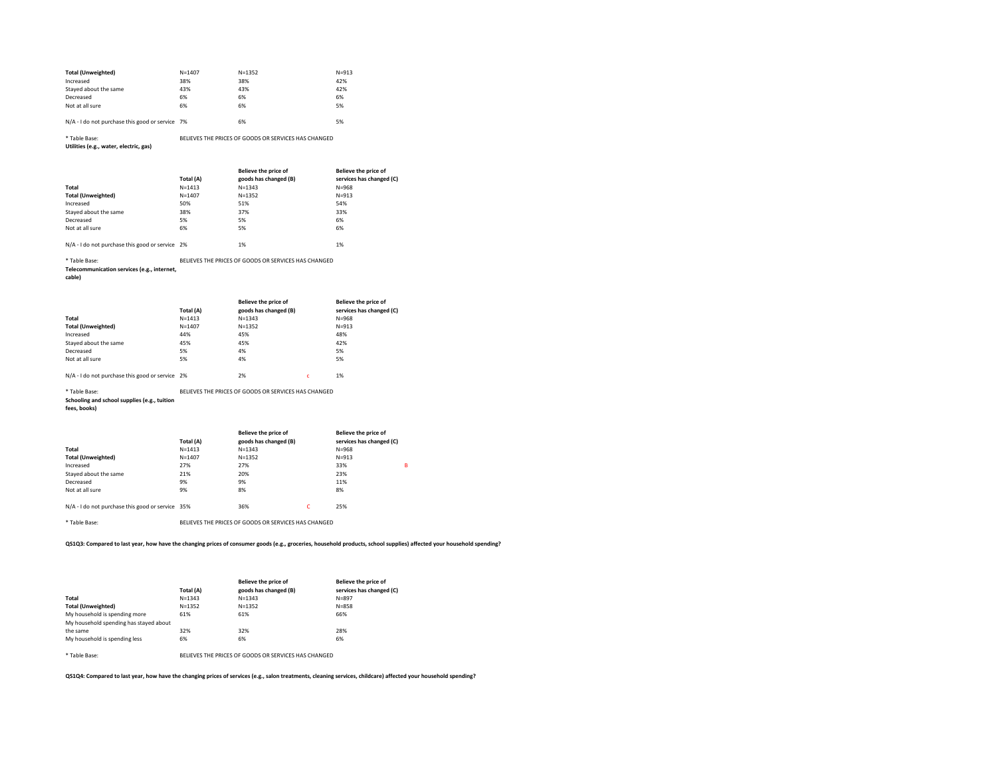| <b>Total (Unweighted)</b> | $N = 1407$ | $N = 1352$ | $N = 913$ |
|---------------------------|------------|------------|-----------|
| Increased                 | 38%        | 38%        | 42%       |
| Staved about the same     | 43%        | 43%        | 42%       |
| Decreased                 | 6%         | 6%         | 6%        |
| Not at all sure           | 6%         | 6%         | 5%        |
|                           |            |            |           |

| N/A - I do not purchase this good or service 7% | 6% | 5% |
|-------------------------------------------------|----|----|
|                                                 |    |    |

#### \* Table Base: BELIEVES THE PRICES OF GOODS OR SERVICES HAS CHANGED Utilities (e.g., water, electric, gas)

|                                                 |            | Believe the price of  | Believe the price of     |
|-------------------------------------------------|------------|-----------------------|--------------------------|
|                                                 | Total (A)  | goods has changed (B) | services has changed (C) |
| Total                                           | $N = 1413$ | $N = 1343$            | $N = 968$                |
| <b>Total (Unweighted)</b>                       | $N = 1407$ | $N = 1352$            | $N = 913$                |
| Increased                                       | 50%        | 51%                   | 54%                      |
| Stayed about the same                           | 38%        | 37%                   | 33%                      |
| Decreased                                       | 5%         | 5%                    | 6%                       |
| Not at all sure                                 | 6%         | 5%                    | 6%                       |
|                                                 |            |                       |                          |
| N/A - I do not purchase this good or service 2% |            | 1%                    | 1%                       |

\* Table Base: BELIEVES THE PRICES OF GOODS OR SERVICES HAS CHANGED

#### Telecommunication services (e.g., internet,

cable)

|                                                 |            | Believe the price of  | Believe the price of     |
|-------------------------------------------------|------------|-----------------------|--------------------------|
|                                                 | Total (A)  | goods has changed (B) | services has changed (C) |
| Total                                           | $N = 1413$ | $N = 1343$            | $N = 968$                |
| <b>Total (Unweighted)</b>                       | $N = 1407$ | $N = 1352$            | $N = 913$                |
| Increased                                       | 44%        | 45%                   | 48%                      |
| Stayed about the same                           | 45%        | 45%                   | 42%                      |
| Decreased                                       | 5%         | 4%                    | 5%                       |
| Not at all sure                                 | 5%         | 4%                    | 5%                       |
|                                                 |            |                       |                          |
| N/A - I do not purchase this good or service 2% |            | 2%                    | 1%                       |

#### \* Table Base: BELIEVES THE PRICES OF GOODS OR SERVICES HAS CHANGED

Schooling and school supplies (e.g., tuition

fees, books)

|                                                  | Total (A)  | Believe the price of<br>goods has changed (B) |   | Believe the price of<br>services has changed (C) |   |
|--------------------------------------------------|------------|-----------------------------------------------|---|--------------------------------------------------|---|
| Total                                            | $N = 1413$ | $N = 1343$                                    |   | $N = 968$                                        |   |
| <b>Total (Unweighted)</b>                        | $N = 1407$ | $N = 1352$                                    |   | $N = 913$                                        |   |
| Increased                                        | 27%        | 27%                                           |   | 33%                                              | в |
| Stayed about the same                            | 21%        | 20%                                           |   | 23%                                              |   |
| Decreased                                        | 9%         | 9%                                            |   | 11%                                              |   |
| Not at all sure                                  | 9%         | 8%                                            |   | 8%                                               |   |
| N/A - I do not purchase this good or service 35% |            | 36%                                           | c | 25%                                              |   |

\* Table Base: BELIEVES THE PRICES OF GOODS OR SERVICES HAS CHANGED

QS1Q3: Compared to last year, how have the changing prices of consumer goods (e.g., groceries, household products, school supplies) affected your household spending?

|                                        | Total (A)  | Believe the price of<br>goods has changed (B) | Believe the price of<br>services has changed (C) |
|----------------------------------------|------------|-----------------------------------------------|--------------------------------------------------|
| Total                                  | $N = 1343$ | $N = 1343$                                    | $N = 897$                                        |
| <b>Total (Unweighted)</b>              | $N = 1352$ | $N = 1352$                                    | $N = 858$                                        |
| My household is spending more          | 61%        | 61%                                           | 66%                                              |
| My household spending has staved about |            |                                               |                                                  |
| the same                               | 32%        | 32%                                           | 28%                                              |
| My household is spending less          | 6%         | 6%                                            | 6%                                               |
|                                        |            |                                               |                                                  |

\* Table Base: BELIEVES THE PRICES OF GOODS OR SERVICES HAS CHANGED

QS1Q4: Compared to last year, how have the changing prices of services (e.g., salon treatments, cleaning services, childcare) affected your household spending?